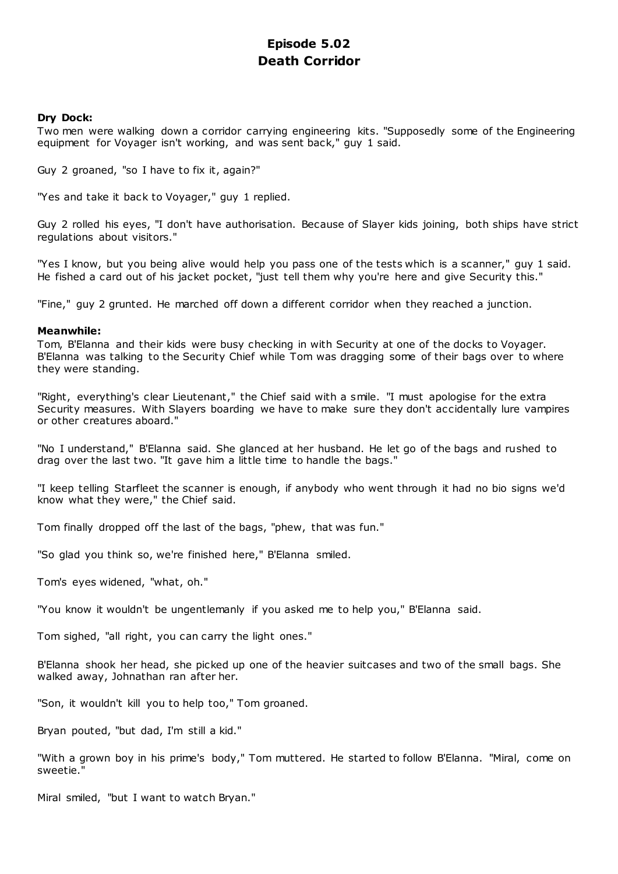# **Episode 5.02 Death Corridor**

# **Dry Dock:**

Two men were walking down a corridor carrying engineering kits. "Supposedly some of the Engineering equipment for Voyager isn't working, and was sent back," guy 1 said.

Guy 2 groaned, "so I have to fix it, again?"

"Yes and take it back to Voyager," guy 1 replied.

Guy 2 rolled his eyes, "I don't have authorisation. Because of Slayer kids joining, both ships have strict regulations about visitors."

"Yes I know, but you being alive would help you pass one of the tests which is a scanner," guy 1 said. He fished a card out of his jacket pocket, "just tell them why you're here and give Security this."

"Fine," guy 2 grunted. He marched off down a different corridor when they reached a junction.

# **Meanwhile:**

Tom, B'Elanna and their kids were busy checking in with Security at one of the docks to Voyager. B'Elanna was talking to the Security Chief while Tom was dragging some of their bags over to where they were standing.

"Right, everything's clear Lieutenant," the Chief said with a smile. "I must apologise for the extra Security measures. With Slayers boarding we have to make sure they don't accidentally lure vampires or other creatures aboard."

"No I understand," B'Elanna said. She glanced at her husband. He let go of the bags and rushed to drag over the last two. "It gave him a little time to handle the bags."

"I keep telling Starfleet the scanner is enough, if anybody who went through it had no bio signs we'd know what they were," the Chief said.

Tom finally dropped off the last of the bags, "phew, that was fun."

"So glad you think so, we're finished here," B'Elanna smiled.

Tom's eyes widened, "what, oh."

"You know it wouldn't be ungentlemanly if you asked me to help you," B'Elanna said.

Tom sighed, "all right, you can carry the light ones."

B'Elanna shook her head, she picked up one of the heavier suitcases and two of the small bags. She walked away, Johnathan ran after her.

"Son, it wouldn't kill you to help too," Tom groaned.

Bryan pouted, "but dad, I'm still a kid."

"With a grown boy in his prime's body," Tom muttered. He started to follow B'Elanna. "Miral, come on sweetie."

Miral smiled, "but I want to watch Bryan."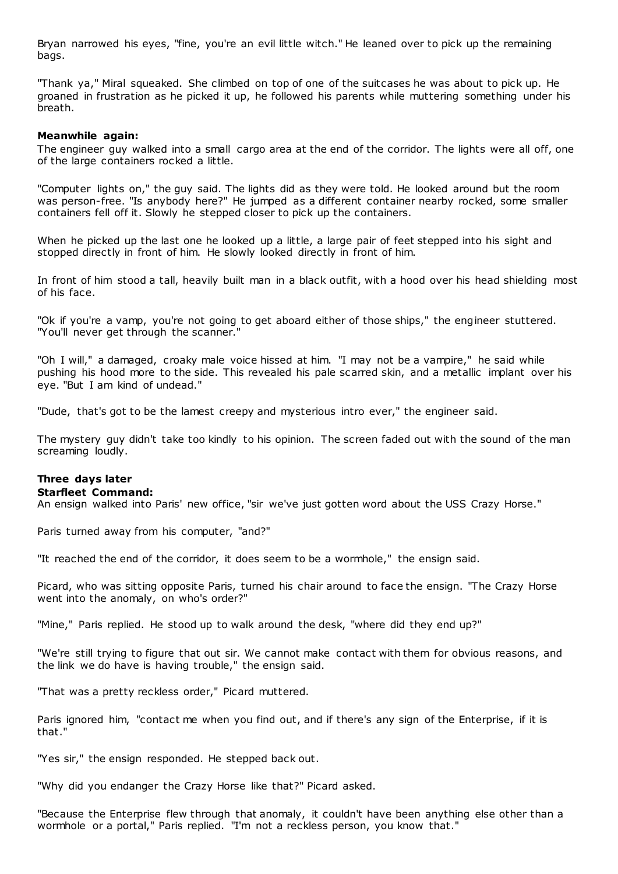Bryan narrowed his eyes, "fine, you're an evil little witch." He leaned over to pick up the remaining bags.

"Thank ya," Miral squeaked. She climbed on top of one of the suitcases he was about to pick up. He groaned in frustration as he picked it up, he followed his parents while muttering something under his breath.

# **Meanwhile again:**

The engineer guy walked into a small cargo area at the end of the corridor. The lights were all off, one of the large containers rocked a little.

"Computer lights on," the guy said. The lights did as they were told. He looked around but the room was person-free. "Is anybody here?" He jumped as a different container nearby rocked, some smaller containers fell off it. Slowly he stepped closer to pick up the containers.

When he picked up the last one he looked up a little, a large pair of feet stepped into his sight and stopped directly in front of him. He slowly looked directly in front of him.

In front of him stood a tall, heavily built man in a black outfit, with a hood over his head shielding most of his face.

"Ok if you're a vamp, you're not going to get aboard either of those ships," the engineer stuttered. "You'll never get through the scanner."

"Oh I will," a damaged, croaky male voice hissed at him. "I may not be a vampire," he said while pushing his hood more to the side. This revealed his pale scarred skin, and a metallic implant over his eye. "But I am kind of undead."

"Dude, that's got to be the lamest creepy and mysterious intro ever," the engineer said.

The mystery guy didn't take too kindly to his opinion. The screen faded out with the sound of the man screaming loudly.

# **Three days later**

### **Starfleet Command:**

An ensign walked into Paris' new office, "sir we've just gotten word about the USS Crazy Horse."

Paris turned away from his computer, "and?"

"It reached the end of the corridor, it does seem to be a wormhole," the ensign said.

Picard, who was sitting opposite Paris, turned his chair around to face the ensign. "The Crazy Horse went into the anomaly, on who's order?"

"Mine," Paris replied. He stood up to walk around the desk, "where did they end up?"

"We're still trying to figure that out sir. We cannot make contact with them for obvious reasons, and the link we do have is having trouble," the ensign said.

"That was a pretty reckless order," Picard muttered.

Paris ignored him, "contact me when you find out, and if there's any sign of the Enterprise, if it is that."

"Yes sir," the ensign responded. He stepped back out.

"Why did you endanger the Crazy Horse like that?" Picard asked.

"Because the Enterprise flew through that anomaly, it couldn't have been anything else other than a wormhole or a portal," Paris replied. "I'm not a reckless person, you know that."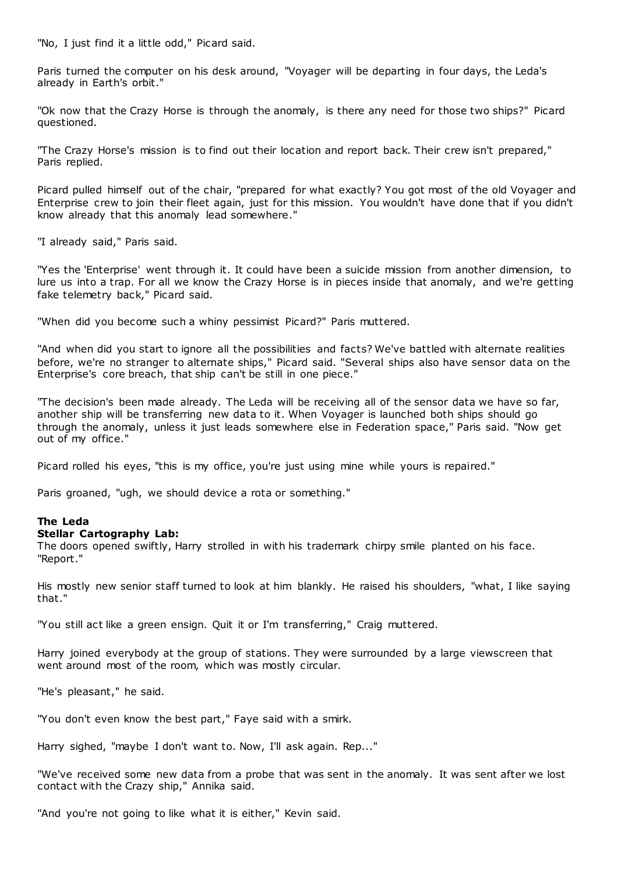"No, I just find it a little odd," Picard said.

Paris turned the computer on his desk around, "Voyager will be departing in four days, the Leda's already in Earth's orbit."

"Ok now that the Crazy Horse is through the anomaly, is there any need for those two ships?" Picard questioned.

"The Crazy Horse's mission is to find out their location and report back. Their crew isn't prepared," Paris replied.

Picard pulled himself out of the chair, "prepared for what exactly? You got most of the old Voyager and Enterprise crew to join their fleet again, just for this mission. You wouldn't have done that if you didn't know already that this anomaly lead somewhere."

"I already said," Paris said.

"Yes the 'Enterprise' went through it. It could have been a suicide mission from another dimension, to lure us into a trap. For all we know the Crazy Horse is in pieces inside that anomaly, and we're getting fake telemetry back," Picard said.

"When did you become such a whiny pessimist Picard?" Paris muttered.

"And when did you start to ignore all the possibilities and facts? We've battled with alternate realities before, we're no stranger to alternate ships," Picard said. "Several ships also have sensor data on the Enterprise's core breach, that ship can't be still in one piece."

"The decision's been made already. The Leda will be receiving all of the sensor data we have so far, another ship will be transferring new data to it. When Voyager is launched both ships should go through the anomaly, unless it just leads somewhere else in Federation space," Paris said. "Now get out of my office."

Picard rolled his eyes, "this is my office, you're just using mine while yours is repaired."

Paris groaned, "ugh, we should device a rota or something."

# **The Leda**

# **Stellar Cartography Lab:**

The doors opened swiftly, Harry strolled in with his trademark chirpy smile planted on his face. "Report."

His mostly new senior staff turned to look at him blankly. He raised his shoulders, "what, I like saying that."

"You still act like a green ensign. Quit it or I'm transferring," Craig muttered.

Harry joined everybody at the group of stations. They were surrounded by a large viewscreen that went around most of the room, which was mostly circular.

"He's pleasant," he said.

"You don't even know the best part," Faye said with a smirk.

Harry sighed, "maybe I don't want to. Now, I'll ask again. Rep..."

"We've received some new data from a probe that was sent in the anomaly. It was sent after we lost contact with the Crazy ship," Annika said.

"And you're not going to like what it is either," Kevin said.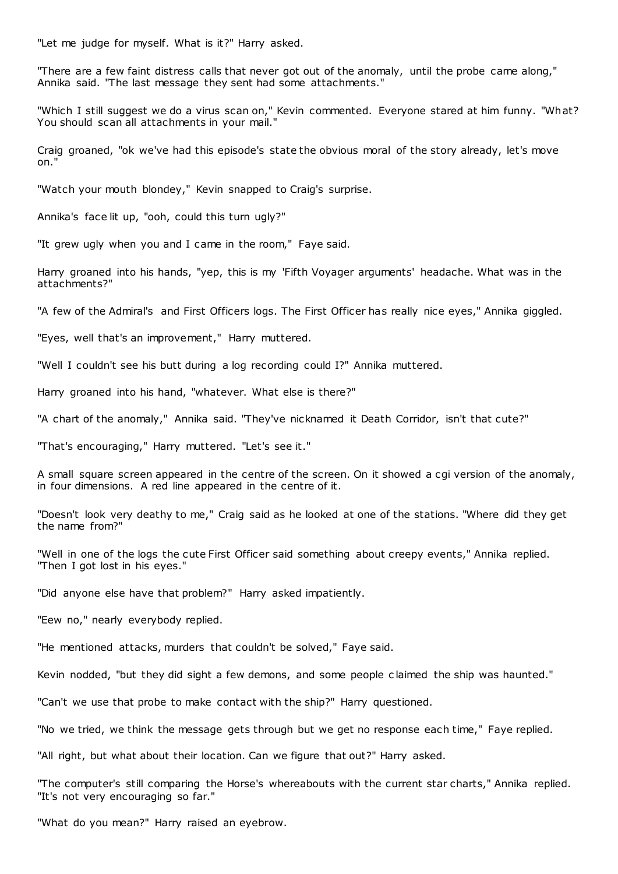"Let me judge for myself. What is it?" Harry asked.

"There are a few faint distress calls that never got out of the anomaly, until the probe came along," Annika said. "The last message they sent had some attachments."

"Which I still suggest we do a virus scan on," Kevin commented. Everyone stared at him funny. "What? You should scan all attachments in your mail."

Craig groaned, "ok we've had this episode's state the obvious moral of the story already, let's move on."

"Watch your mouth blondey," Kevin snapped to Craig's surprise.

Annika's face lit up, "ooh, could this turn ugly?"

"It grew ugly when you and I came in the room," Faye said.

Harry groaned into his hands, "yep, this is my 'Fifth Voyager arguments' headache. What was in the attachments?"

"A few of the Admiral's and First Officers logs. The First Officer has really nice eyes," Annika giggled.

"Eyes, well that's an improvement," Harry muttered.

"Well I couldn't see his butt during a log recording could I?" Annika muttered.

Harry groaned into his hand, "whatever. What else is there?"

"A chart of the anomaly," Annika said. "They've nicknamed it Death Corridor, isn't that cute?"

"That's encouraging," Harry muttered. "Let's see it."

A small square screen appeared in the centre of the screen. On it showed a cgi version of the anomaly, in four dimensions. A red line appeared in the centre of it.

"Doesn't look very deathy to me," Craig said as he looked at one of the stations. "Where did they get the name from?"

"Well in one of the logs the cute First Officer said something about creepy events," Annika replied. "Then I got lost in his eyes."

"Did anyone else have that problem?" Harry asked impatiently.

"Eew no," nearly everybody replied.

"He mentioned attacks, murders that couldn't be solved," Faye said.

Kevin nodded, "but they did sight a few demons, and some people c laimed the ship was haunted."

"Can't we use that probe to make contact with the ship?" Harry questioned.

"No we tried, we think the message gets through but we get no response each time," Faye replied.

"All right, but what about their location. Can we figure that out?" Harry asked.

"The computer's still comparing the Horse's whereabouts with the current star charts," Annika replied. "It's not very encouraging so far."

"What do you mean?" Harry raised an eyebrow.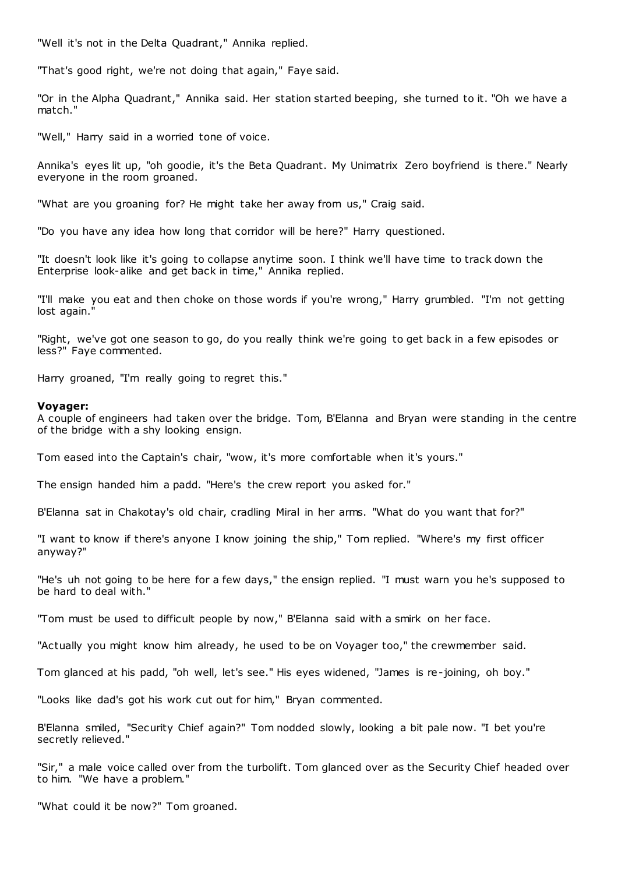"Well it's not in the Delta Quadrant," Annika replied.

"That's good right, we're not doing that again," Faye said.

"Or in the Alpha Quadrant," Annika said. Her station started beeping, she turned to it. "Oh we have a match."

"Well," Harry said in a worried tone of voice.

Annika's eyes lit up, "oh goodie, it's the Beta Quadrant. My Unimatrix Zero boyfriend is there." Nearly everyone in the room groaned.

"What are you groaning for? He might take her away from us," Craig said.

"Do you have any idea how long that corridor will be here?" Harry questioned.

"It doesn't look like it's going to collapse anytime soon. I think we'll have time to track down the Enterprise look-alike and get back in time," Annika replied.

"I'll make you eat and then choke on those words if you're wrong," Harry grumbled. "I'm not getting lost again.'

"Right, we've got one season to go, do you really think we're going to get back in a few episodes or less?" Faye commented.

Harry groaned, "I'm really going to regret this."

# **Voyager:**

A couple of engineers had taken over the bridge. Tom, B'Elanna and Bryan were standing in the centre of the bridge with a shy looking ensign.

Tom eased into the Captain's chair, "wow, it's more comfortable when it's yours."

The ensign handed him a padd. "Here's the crew report you asked for."

B'Elanna sat in Chakotay's old chair, cradling Miral in her arms. "What do you want that for?"

"I want to know if there's anyone I know joining the ship," Tom replied. "Where's my first officer anyway?"

"He's uh not going to be here for a few days," the ensign replied. "I must warn you he's supposed to be hard to deal with."

"Tom must be used to difficult people by now," B'Elanna said with a smirk on her face.

"Actually you might know him already, he used to be on Voyager too," the crewmember said.

Tom glanced at his padd, "oh well, let's see." His eyes widened, "James is re-joining, oh boy."

"Looks like dad's got his work cut out for him," Bryan commented.

B'Elanna smiled, "Security Chief again?" Tom nodded slowly, looking a bit pale now. "I bet you're secretly relieved."

"Sir," a male voice called over from the turbolift. Tom glanced over as the Security Chief headed over to him. "We have a problem."

"What could it be now?" Tom groaned.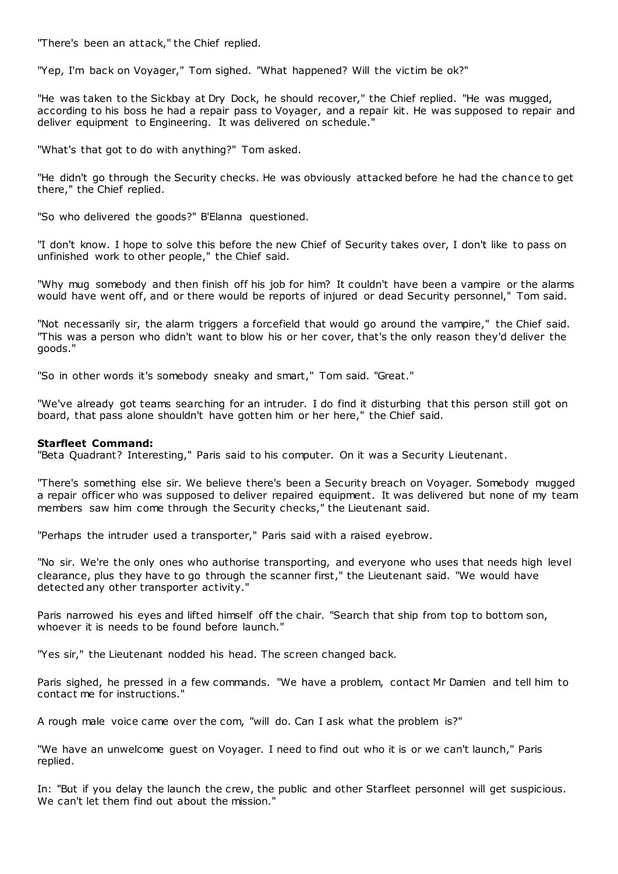"There's been an attack," the Chief replied.

"Yep, I'm back on Voyager," Tom sighed. "What happened? Will the victim be ok?"

"He was taken to the Sickbay at Dry Dock, he should recover," the Chief replied. "He was mugged, according to his boss he had a repair pass to Voyager, and a repair kit. He was supposed to repair and deliver equipment to Engineering. It was delivered on schedule."

"What's that got to do with anything?" Tom asked.

"He didn't go through the Security checks. He was obviously attacked before he had the chance to get there," the Chief replied.

"So who delivered the goods?" B'Elanna questioned.

"I don't know. I hope to solve this before the new Chief of Security takes over, I don't like to pass on unfinished work to other people," the Chief said.

"Why mug somebody and then finish off his job for him? It couldn't have been a vampire or the alarms would have went off, and or there would be reports of injured or dead Security personnel," Tom said.

"Not necessarily sir, the alarm triggers a forcefield that would go around the vampire," the Chief said. "This was a person who didn't want to blow his or her cover, that's the only reason they'd deliver the goods."

"So in other words it's somebody sneaky and smart," Tom said. "Great."

"We've already got teams searching for an intruder. I do find it disturbing that this person still got on board, that pass alone shouldn't have gotten him or her here," the Chief said.

# **Starfleet Command:**

"Beta Quadrant? Interesting," Paris said to his computer. On it was a Security Lieutenant.

"There's something else sir. We believe there's been a Security breach on Voyager. Somebody mugged a repair officer who was supposed to deliver repaired equipment. It was delivered but none of my team members saw him come through the Security checks," the Lieutenant said.

"Perhaps the intruder used a transporter," Paris said with a raised eyebrow.

"No sir. We're the only ones who authorise transporting, and everyone who uses that needs high level clearance, plus they have to go through the scanner first," the Lieutenant said. "We would have detected any other transporter activity."

Paris narrowed his eyes and lifted himself off the chair. "Search that ship from top to bottom son, whoever it is needs to be found before launch."

"Yes sir," the Lieutenant nodded his head. The screen changed back.

Paris sighed, he pressed in a few commands. "We have a problem, contact Mr Damien and tell him to contact me for instructions."

A rough male voice came over the com, "will do. Can I ask what the problem is?"

"We have an unwelcome guest on Voyager. I need to find out who it is or we can't launch," Paris replied.

In: "But if you delay the launch the crew, the public and other Starfleet personnel will get suspicious. We can't let them find out about the mission."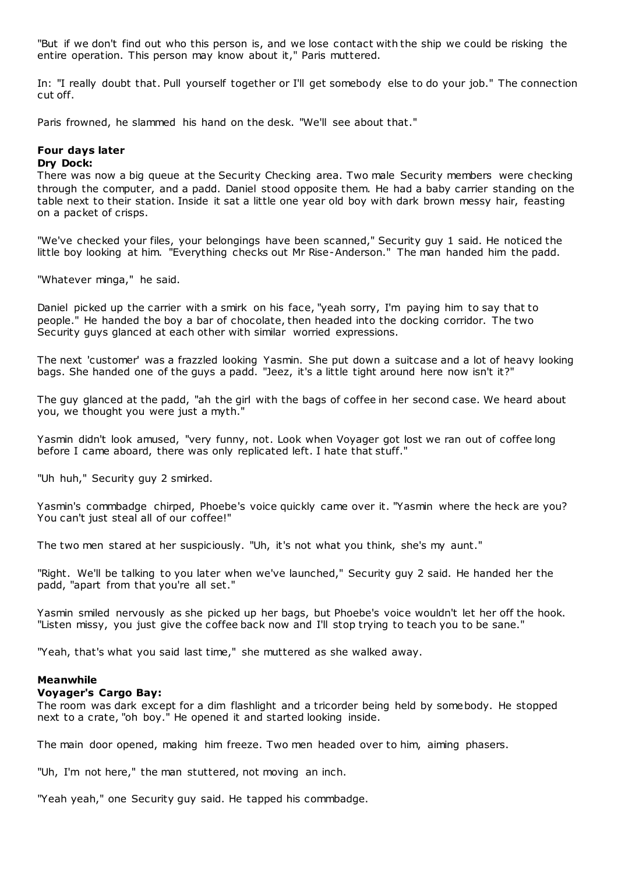"But if we don't find out who this person is, and we lose contact with the ship we could be risking the entire operation. This person may know about it," Paris muttered.

In: "I really doubt that. Pull yourself together or I'll get somebody else to do your job." The connection cut off.

Paris frowned, he slammed his hand on the desk. "We'll see about that."

# **Four days later**

# **Dry Dock:**

There was now a big queue at the Security Checking area. Two male Security members were checking through the computer, and a padd. Daniel stood opposite them. He had a baby carrier standing on the table next to their station. Inside it sat a little one year old boy with dark brown messy hair, feasting on a packet of crisps.

"We've checked your files, your belongings have been scanned," Security guy 1 said. He noticed the little boy looking at him. "Everything checks out Mr Rise-Anderson." The man handed him the padd.

"Whatever minga," he said.

Daniel picked up the carrier with a smirk on his face, "yeah sorry, I'm paying him to say that to people." He handed the boy a bar of chocolate, then headed into the docking corridor. The two Security guys glanced at each other with similar worried expressions.

The next 'customer' was a frazzled looking Yasmin. She put down a suitcase and a lot of heavy looking bags. She handed one of the guys a padd. "Jeez, it's a little tight around here now isn't it?"

The guy glanced at the padd, "ah the girl with the bags of coffee in her second case. We heard about you, we thought you were just a myth."

Yasmin didn't look amused, "very funny, not. Look when Voyager got lost we ran out of coffee long before I came aboard, there was only replicated left. I hate that stuff."

"Uh huh," Security guy 2 smirked.

Yasmin's commbadge chirped, Phoebe's voice quickly came over it. "Yasmin where the heck are you? You can't just steal all of our coffee!"

The two men stared at her suspiciously. "Uh, it's not what you think, she's my aunt."

"Right. We'll be talking to you later when we've launched," Security guy 2 said. He handed her the padd, "apart from that you're all set."

Yasmin smiled nervously as she picked up her bags, but Phoebe's voice wouldn't let her off the hook. "Listen missy, you just give the coffee back now and I'll stop trying to teach you to be sane."

"Yeah, that's what you said last time," she muttered as she walked away.

# **Meanwhile**

#### **Voyager's Cargo Bay:**

The room was dark except for a dim flashlight and a tricorder being held by somebody. He stopped next to a crate, "oh boy." He opened it and started looking inside.

The main door opened, making him freeze. Two men headed over to him, aiming phasers.

"Uh, I'm not here," the man stuttered, not moving an inch.

"Yeah yeah," one Security guy said. He tapped his commbadge.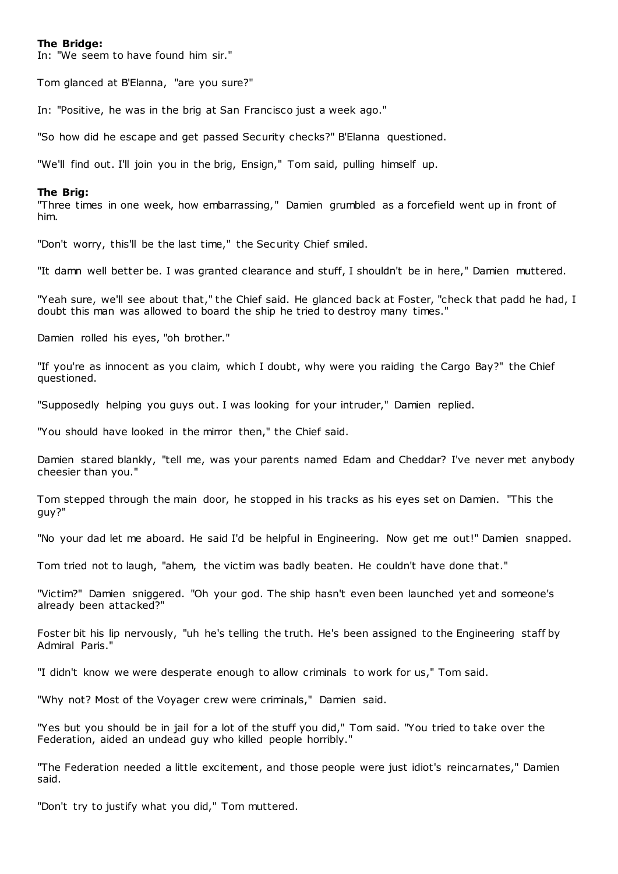### **The Bridge:**

In: "We seem to have found him sir."

Tom glanced at B'Elanna, "are you sure?"

In: "Positive, he was in the brig at San Francisco just a week ago."

"So how did he escape and get passed Security checks?" B'Elanna questioned.

"We'll find out. I'll join you in the brig, Ensign," Tom said, pulling himself up.

#### **The Brig:**

"Three times in one week, how embarrassing," Damien grumbled as a forcefield went up in front of him.

"Don't worry, this'll be the last time," the Security Chief smiled.

"It damn well better be. I was granted clearance and stuff, I shouldn't be in here," Damien muttered.

"Yeah sure, we'll see about that," the Chief said. He glanced back at Foster, "check that padd he had, I doubt this man was allowed to board the ship he tried to destroy many times."

Damien rolled his eyes, "oh brother."

"If you're as innocent as you claim, which I doubt, why were you raiding the Cargo Bay?" the Chief questioned.

"Supposedly helping you guys out. I was looking for your intruder," Damien replied.

"You should have looked in the mirror then," the Chief said.

Damien stared blankly, "tell me, was your parents named Edam and Cheddar? I've never met anybody cheesier than you."

Tom stepped through the main door, he stopped in his tracks as his eyes set on Damien. "This the guy?"

"No your dad let me aboard. He said I'd be helpful in Engineering. Now get me out!" Damien snapped.

Tom tried not to laugh, "ahem, the victim was badly beaten. He couldn't have done that."

"Victim?" Damien sniggered. "Oh your god. The ship hasn't even been launched yet and someone's already been attacked?"

Foster bit his lip nervously, "uh he's telling the truth. He's been assigned to the Engineering staff by Admiral Paris."

"I didn't know we were desperate enough to allow criminals to work for us," Tom said.

"Why not? Most of the Voyager crew were criminals," Damien said.

"Yes but you should be in jail for a lot of the stuff you did," Tom said. "You tried to take over the Federation, aided an undead guy who killed people horribly."

"The Federation needed a little excitement, and those people were just idiot's reincarnates," Damien said.

"Don't try to justify what you did," Tom muttered.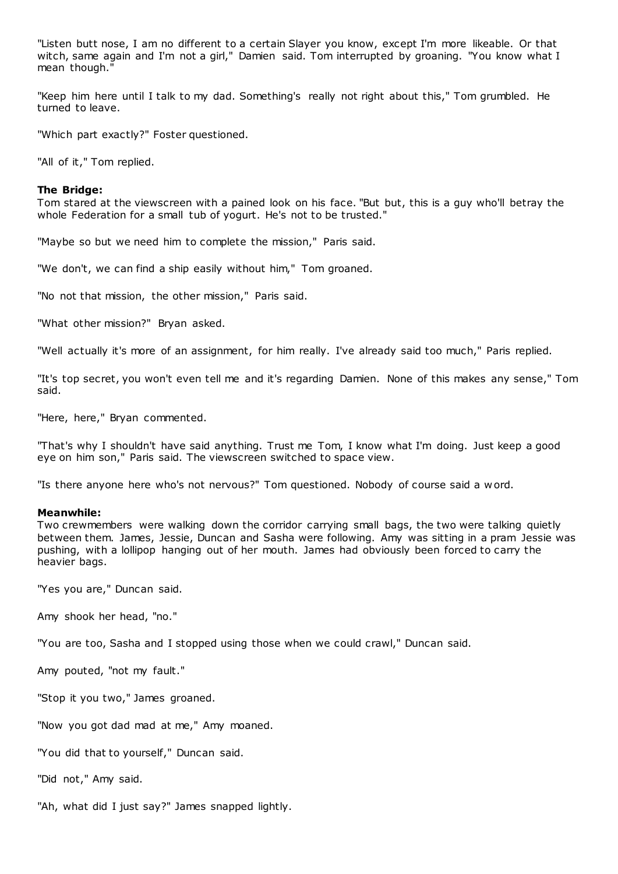"Listen butt nose, I am no different to a certain Slayer you know, except I'm more likeable. Or that witch, same again and I'm not a girl," Damien said. Tom interrupted by groaning. "You know what I mean though."

"Keep him here until I talk to my dad. Something's really not right about this," Tom grumbled. He turned to leave.

"Which part exactly?" Foster questioned.

"All of it," Tom replied.

# **The Bridge:**

Tom stared at the viewscreen with a pained look on his face. "But but, this is a guy who'll betray the whole Federation for a small tub of yogurt. He's not to be trusted."

"Maybe so but we need him to complete the mission," Paris said.

"We don't, we can find a ship easily without him," Tom groaned.

"No not that mission, the other mission," Paris said.

"What other mission?" Bryan asked.

"Well actually it's more of an assignment, for him really. I've already said too much," Paris replied.

"It's top secret, you won't even tell me and it's regarding Damien. None of this makes any sense," Tom said.

"Here, here," Bryan commented.

"That's why I shouldn't have said anything. Trust me Tom, I know what I'm doing. Just keep a good eye on him son," Paris said. The viewscreen switched to space view.

"Is there anyone here who's not nervous?" Tom questioned. Nobody of course said a w ord.

#### **Meanwhile:**

Two crewmembers were walking down the corridor carrying small bags, the two were talking quietly between them. James, Jessie, Duncan and Sasha were following. Amy was sitting in a pram Jessie was pushing, with a lollipop hanging out of her mouth. James had obviously been forced to carry the heavier bags.

"Yes you are," Duncan said.

Amy shook her head, "no."

"You are too, Sasha and I stopped using those when we could crawl," Duncan said.

Amy pouted, "not my fault."

"Stop it you two," James groaned.

"Now you got dad mad at me," Amy moaned.

"You did that to yourself," Duncan said.

"Did not," Amy said.

"Ah, what did I just say?" James snapped lightly.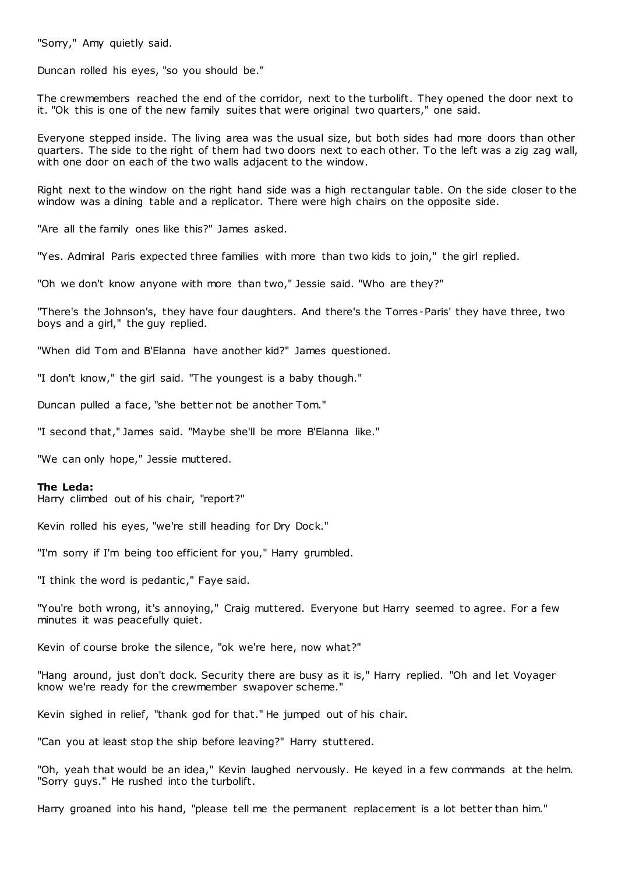"Sorry," Amy quietly said.

Duncan rolled his eyes, "so you should be."

The crewmembers reached the end of the corridor, next to the turbolift. They opened the door next to it. "Ok this is one of the new family suites that were original two quarters," one said.

Everyone stepped inside. The living area was the usual size, but both sides had more doors than other quarters. The side to the right of them had two doors next to each other. To the left was a zig zag wall, with one door on each of the two walls adjacent to the window.

Right next to the window on the right hand side was a high rectangular table. On the side closer to the window was a dining table and a replicator. There were high chairs on the opposite side.

"Are all the family ones like this?" James asked.

"Yes. Admiral Paris expected three families with more than two kids to join," the girl replied.

"Oh we don't know anyone with more than two," Jessie said. "Who are they?"

"There's the Johnson's, they have four daughters. And there's the Torres-Paris' they have three, two boys and a girl," the guy replied.

"When did Tom and B'Elanna have another kid?" James questioned.

"I don't know," the girl said. "The youngest is a baby though."

Duncan pulled a face, "she better not be another Tom."

"I second that," James said. "Maybe she'll be more B'Elanna like."

"We can only hope," Jessie muttered.

#### **The Leda:**

Harry climbed out of his chair, "report?"

Kevin rolled his eyes, "we're still heading for Dry Dock."

"I'm sorry if I'm being too efficient for you," Harry grumbled.

"I think the word is pedantic ," Faye said.

"You're both wrong, it's annoying," Craig muttered. Everyone but Harry seemed to agree. For a few minutes it was peacefully quiet.

Kevin of course broke the silence, "ok we're here, now what?"

"Hang around, just don't dock. Security there are busy as it is," Harry replied. "Oh and let Voyager know we're ready for the crewmember swapover scheme."

Kevin sighed in relief, "thank god for that." He jumped out of his chair.

"Can you at least stop the ship before leaving?" Harry stuttered.

"Oh, yeah that would be an idea," Kevin laughed nervously. He keyed in a few commands at the helm. "Sorry guys." He rushed into the turbolift.

Harry groaned into his hand, "please tell me the permanent replacement is a lot better than him."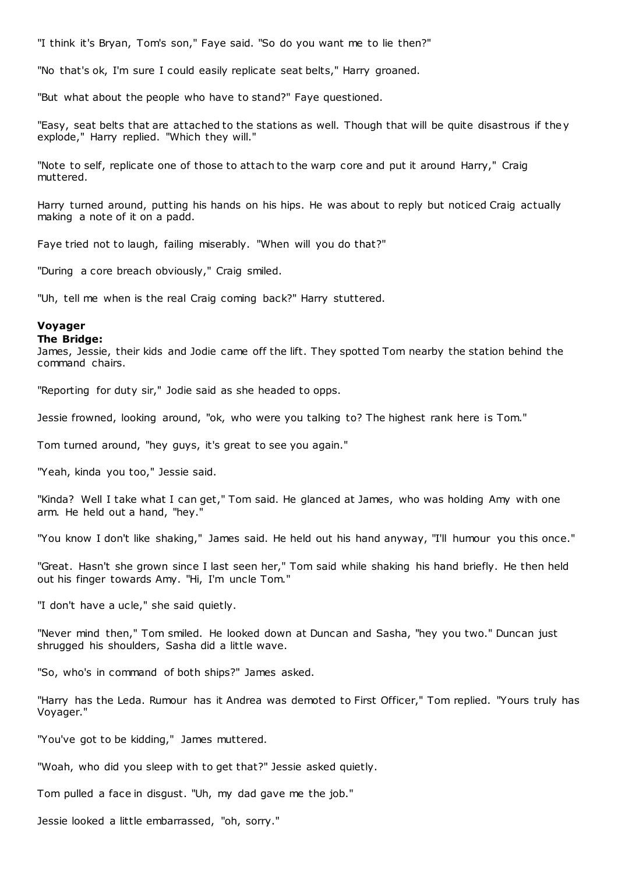"I think it's Bryan, Tom's son," Faye said. "So do you want me to lie then?"

"No that's ok, I'm sure I could easily replicate seat belts," Harry groaned.

"But what about the people who have to stand?" Faye questioned.

"Easy, seat belts that are attached to the stations as well. Though that will be quite disastrous if the y explode," Harry replied. "Which they will."

"Note to self, replicate one of those to attach to the warp core and put it around Harry," Craig muttered.

Harry turned around, putting his hands on his hips. He was about to reply but noticed Craig actually making a note of it on a padd.

Faye tried not to laugh, failing miserably. "When will you do that?"

"During a core breach obviously," Craig smiled.

"Uh, tell me when is the real Craig coming back?" Harry stuttered.

# **Voyager**

### **The Bridge:**

James, Jessie, their kids and Jodie came off the lift. They spotted Tom nearby the station behind the command chairs.

"Reporting for duty sir," Jodie said as she headed to opps.

Jessie frowned, looking around, "ok, who were you talking to? The highest rank here is Tom."

Tom turned around, "hey guys, it's great to see you again."

"Yeah, kinda you too," Jessie said.

"Kinda? Well I take what I can get," Tom said. He glanced at James, who was holding Amy with one arm. He held out a hand, "hey."

"You know I don't like shaking," James said. He held out his hand anyway, "I'll humour you this once."

"Great. Hasn't she grown since I last seen her," Tom said while shaking his hand briefly. He then held out his finger towards Amy. "Hi, I'm uncle Tom."

"I don't have a ucle," she said quietly.

"Never mind then," Tom smiled. He looked down at Duncan and Sasha, "hey you two." Duncan just shrugged his shoulders, Sasha did a little wave.

"So, who's in command of both ships?" James asked.

"Harry has the Leda. Rumour has it Andrea was demoted to First Officer," Tom replied. "Yours truly has Voyager."

"You've got to be kidding," James muttered.

"Woah, who did you sleep with to get that?" Jessie asked quietly.

Tom pulled a face in disgust. "Uh, my dad gave me the job."

Jessie looked a little embarrassed, "oh, sorry."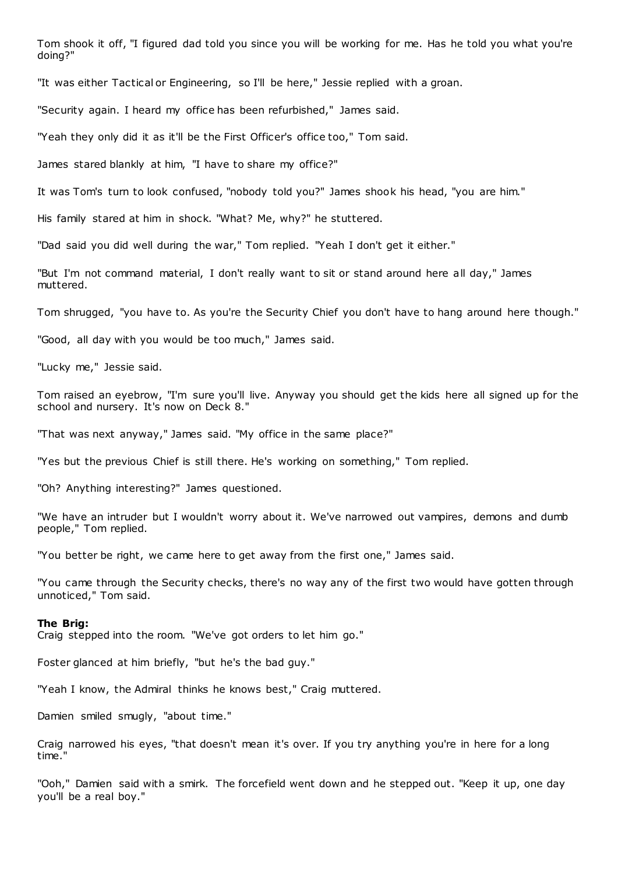Tom shook it off, "I figured dad told you since you will be working for me. Has he told you what you're doing?"

"It was either Tactical or Engineering, so I'll be here," Jessie replied with a groan.

"Security again. I heard my office has been refurbished," James said.

"Yeah they only did it as it'll be the First Officer's office too," Tom said.

James stared blankly at him, "I have to share my office?"

It was Tom's turn to look confused, "nobody told you?" James shook his head, "you are him."

His family stared at him in shock. "What? Me, why?" he stuttered.

"Dad said you did well during the war," Tom replied. "Yeah I don't get it either."

"But I'm not command material, I don't really want to sit or stand around here all day," James muttered.

Tom shrugged, "you have to. As you're the Security Chief you don't have to hang around here though."

"Good, all day with you would be too much," James said.

"Lucky me," Jessie said.

Tom raised an eyebrow, "I'm sure you'll live. Anyway you should get the kids here all signed up for the school and nursery. It's now on Deck 8."

"That was next anyway," James said. "My office in the same place?"

"Yes but the previous Chief is still there. He's working on something," Tom replied.

"Oh? Anything interesting?" James questioned.

"We have an intruder but I wouldn't worry about it. We've narrowed out vampires, demons and dumb people," Tom replied.

"You better be right, we came here to get away from the first one," James said.

"You came through the Security checks, there's no way any of the first two would have gotten through unnoticed," Tom said.

#### **The Brig:**

Craig stepped into the room. "We've got orders to let him go."

Foster glanced at him briefly, "but he's the bad guy."

"Yeah I know, the Admiral thinks he knows best," Craig muttered.

Damien smiled smugly, "about time."

Craig narrowed his eyes, "that doesn't mean it's over. If you try anything you're in here for a long time."

"Ooh," Damien said with a smirk. The forcefield went down and he stepped out. "Keep it up, one day you'll be a real boy."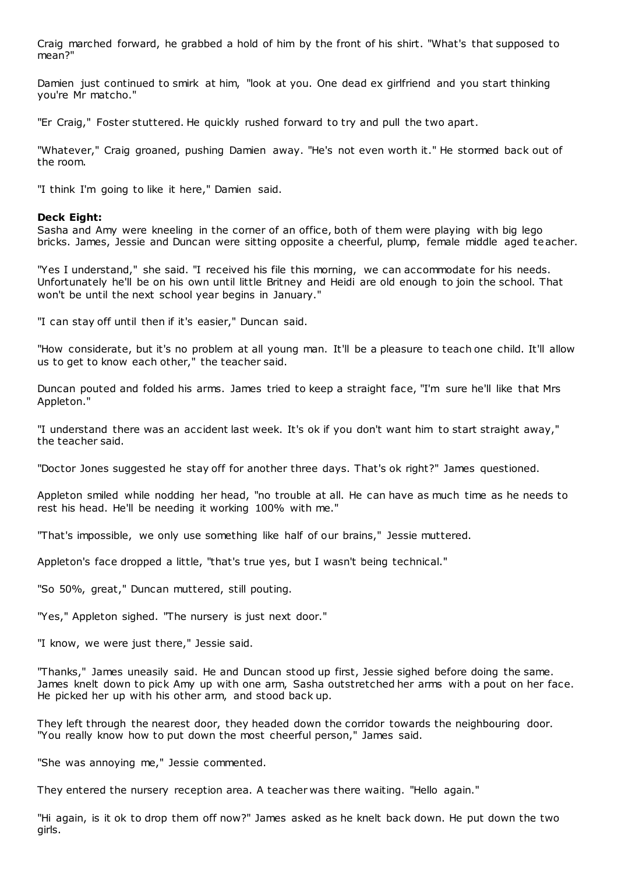Craig marched forward, he grabbed a hold of him by the front of his shirt. "What's that supposed to mean?"

Damien just continued to smirk at him, "look at you. One dead ex girlfriend and you start thinking you're Mr matcho."

"Er Craig," Foster stuttered. He quickly rushed forward to try and pull the two apart.

"Whatever," Craig groaned, pushing Damien away. "He's not even worth it." He stormed back out of the room.

"I think I'm going to like it here," Damien said.

# **Deck Eight:**

Sasha and Amy were kneeling in the corner of an office, both of them were playing with big lego bricks. James, Jessie and Duncan were sitting opposite a cheerful, plump, female middle aged teacher.

"Yes I understand," she said. "I received his file this morning, we can accommodate for his needs. Unfortunately he'll be on his own until little Britney and Heidi are old enough to join the school. That won't be until the next school year begins in January."

"I can stay off until then if it's easier," Duncan said.

"How considerate, but it's no problem at all young man. It'll be a pleasure to teach one child. It'll allow us to get to know each other," the teacher said.

Duncan pouted and folded his arms. James tried to keep a straight face, "I'm sure he'll like that Mrs Appleton."

"I understand there was an accident last week. It's ok if you don't want him to start straight away," the teacher said.

"Doctor Jones suggested he stay off for another three days. That's ok right?" James questioned.

Appleton smiled while nodding her head, "no trouble at all. He can have as much time as he needs to rest his head. He'll be needing it working 100% with me."

"That's impossible, we only use something like half of our brains," Jessie muttered.

Appleton's face dropped a little, "that's true yes, but I wasn't being technical."

"So 50%, great," Duncan muttered, still pouting.

"Yes," Appleton sighed. "The nursery is just next door."

"I know, we were just there," Jessie said.

"Thanks," James uneasily said. He and Duncan stood up first, Jessie sighed before doing the same. James knelt down to pick Amy up with one arm, Sasha outstretched her arms with a pout on her face. He picked her up with his other arm, and stood back up.

They left through the nearest door, they headed down the corridor towards the neighbouring door. "You really know how to put down the most cheerful person," James said.

"She was annoying me," Jessie commented.

They entered the nursery reception area. A teacher was there waiting. "Hello again."

"Hi again, is it ok to drop them off now?" James asked as he knelt back down. He put down the two girls.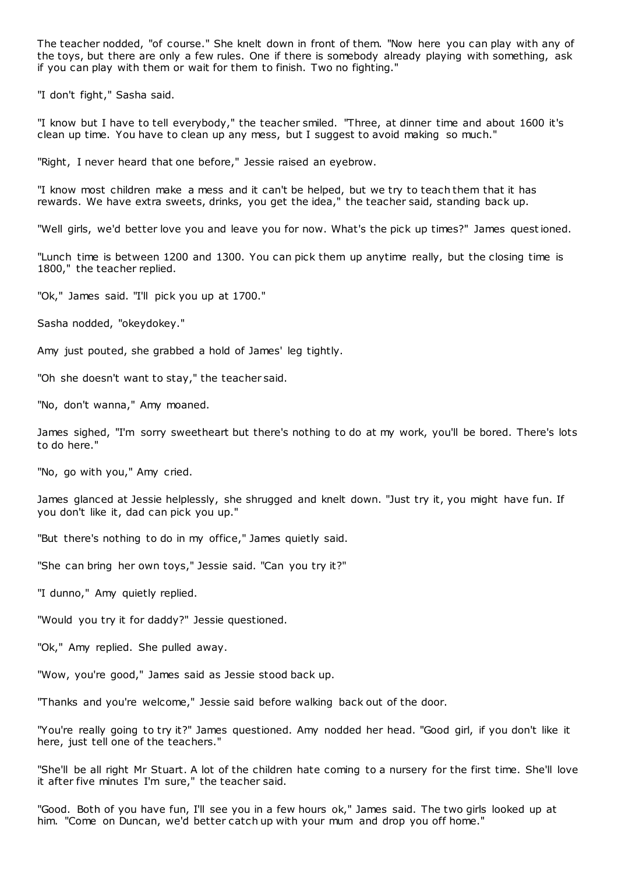The teacher nodded, "of course." She knelt down in front of them. "Now here you can play with any of the toys, but there are only a few rules. One if there is somebody already playing with something, ask if you can play with them or wait for them to finish. Two no fighting."

"I don't fight," Sasha said.

"I know but I have to tell everybody," the teacher smiled. "Three, at dinner time and about 1600 it's clean up time. You have to clean up any mess, but I suggest to avoid making so much."

"Right, I never heard that one before," Jessie raised an eyebrow.

"I know most children make a mess and it can't be helped, but we try to teach them that it has rewards. We have extra sweets, drinks, you get the idea," the teacher said, standing back up.

"Well girls, we'd better love you and leave you for now. What's the pick up times?" James questioned.

"Lunch time is between 1200 and 1300. You can pick them up anytime really, but the closing time is 1800," the teacher replied.

"Ok," James said. "I'll pick you up at 1700."

Sasha nodded, "okeydokey."

Amy just pouted, she grabbed a hold of James' leg tightly.

"Oh she doesn't want to stay," the teacher said.

"No, don't wanna," Amy moaned.

James sighed, "I'm sorry sweetheart but there's nothing to do at my work, you'll be bored. There's lots to do here."

"No, go with you," Amy cried.

James glanced at Jessie helplessly, she shrugged and knelt down. "Just try it, you might have fun. If you don't like it, dad can pick you up."

"But there's nothing to do in my office," James quietly said.

"She can bring her own toys," Jessie said. "Can you try it?"

"I dunno," Amy quietly replied.

"Would you try it for daddy?" Jessie questioned.

"Ok," Amy replied. She pulled away.

"Wow, you're good," James said as Jessie stood back up.

"Thanks and you're welcome," Jessie said before walking back out of the door.

"You're really going to try it?" James questioned. Amy nodded her head. "Good girl, if you don't like it here, just tell one of the teachers."

"She'll be all right Mr Stuart. A lot of the children hate coming to a nursery for the first time. She'll love it after five minutes I'm sure," the teacher said.

"Good. Both of you have fun, I'll see you in a few hours ok," James said. The two girls looked up at him. "Come on Duncan, we'd better catch up with your mum and drop you off home."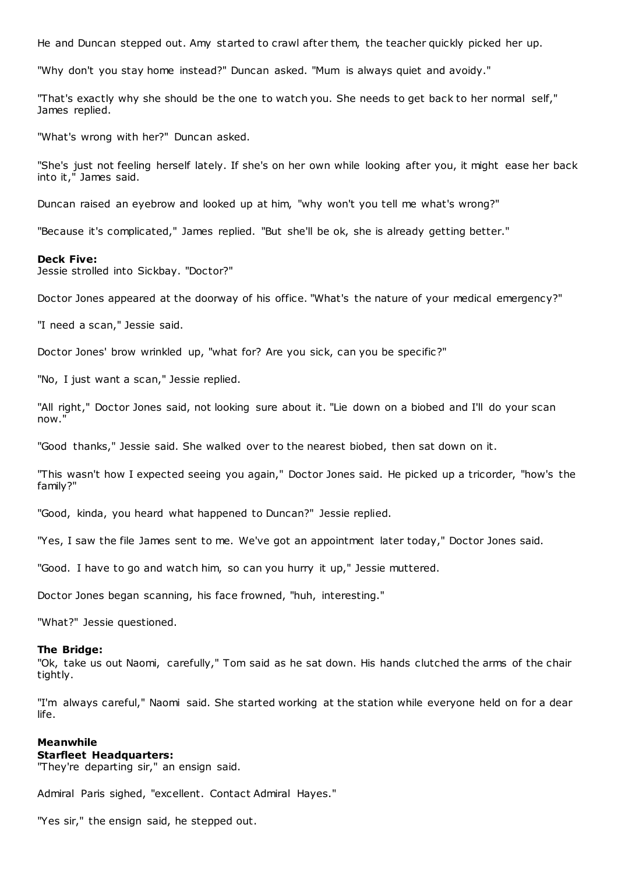He and Duncan stepped out. Amy started to crawl after them, the teacher quickly picked her up.

"Why don't you stay home instead?" Duncan asked. "Mum is always quiet and avoidy."

"That's exactly why she should be the one to watch you. She needs to get back to her normal self," James replied.

"What's wrong with her?" Duncan asked.

"She's just not feeling herself lately. If she's on her own while looking after you, it might ease her back into it," James said.

Duncan raised an eyebrow and looked up at him, "why won't you tell me what's wrong?"

"Because it's complicated," James replied. "But she'll be ok, she is already getting better."

#### **Deck Five:**

Jessie strolled into Sickbay. "Doctor?"

Doctor Jones appeared at the doorway of his office. "What's the nature of your medical emergency?"

"I need a scan," Jessie said.

Doctor Jones' brow wrinkled up, "what for? Are you sick, can you be specific?"

"No, I just want a scan," Jessie replied.

"All right," Doctor Jones said, not looking sure about it. "Lie down on a biobed and I'll do your scan now."

"Good thanks," Jessie said. She walked over to the nearest biobed, then sat down on it.

"This wasn't how I expected seeing you again," Doctor Jones said. He picked up a tricorder, "how's the family?"

"Good, kinda, you heard what happened to Duncan?" Jessie replied.

"Yes, I saw the file James sent to me. We've got an appointment later today," Doctor Jones said.

"Good. I have to go and watch him, so can you hurry it up," Jessie muttered.

Doctor Jones began scanning, his face frowned, "huh, interesting."

"What?" Jessie questioned.

#### **The Bridge:**

"Ok, take us out Naomi, carefully," Tom said as he sat down. His hands clutched the arms of the chair tightly.

"I'm always careful," Naomi said. She started working at the station while everyone held on for a dear life.

### **Meanwhile Starfleet Headquarters:**

"They're departing sir," an ensign said.

Admiral Paris sighed, "excellent. Contact Admiral Hayes."

"Yes sir," the ensign said, he stepped out.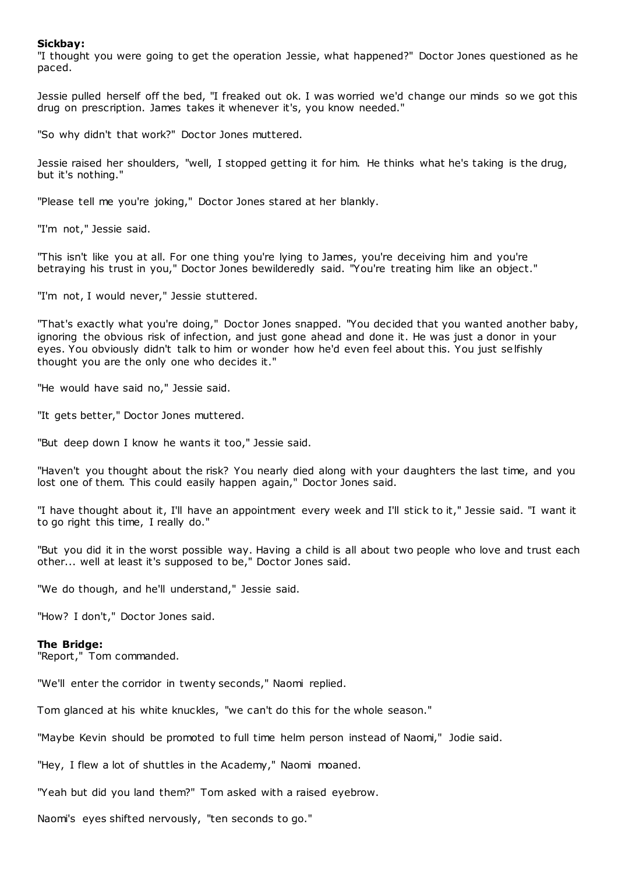# **Sickbay:**

"I thought you were going to get the operation Jessie, what happened?" Doctor Jones questioned as he paced.

Jessie pulled herself off the bed, "I freaked out ok. I was worried we'd change our minds so we got this drug on prescription. James takes it whenever it's, you know needed."

"So why didn't that work?" Doctor Jones muttered.

Jessie raised her shoulders, "well, I stopped getting it for him. He thinks what he's taking is the drug, but it's nothing."

"Please tell me you're joking," Doctor Jones stared at her blankly.

"I'm not," Jessie said.

"This isn't like you at all. For one thing you're lying to James, you're deceiving him and you're betraying his trust in you," Doctor Jones bewilderedly said. "You're treating him like an object."

"I'm not, I would never," Jessie stuttered.

"That's exactly what you're doing," Doctor Jones snapped. "You decided that you wanted another baby, ignoring the obvious risk of infection, and just gone ahead and done it. He was just a donor in your eyes. You obviously didn't talk to him or wonder how he'd even feel about this. You just selfishly thought you are the only one who decides it."

"He would have said no," Jessie said.

"It gets better," Doctor Jones muttered.

"But deep down I know he wants it too," Jessie said.

"Haven't you thought about the risk? You nearly died along with your daughters the last time, and you lost one of them. This could easily happen again," Doctor Jones said.

"I have thought about it, I'll have an appointment every week and I'll stick to it," Jessie said. "I want it to go right this time, I really do."

"But you did it in the worst possible way. Having a child is all about two people who love and trust each other... well at least it's supposed to be," Doctor Jones said.

"We do though, and he'll understand," Jessie said.

"How? I don't," Doctor Jones said.

#### **The Bridge:**

"Report," Tom commanded.

"We'll enter the corridor in twenty seconds," Naomi replied.

Tom glanced at his white knuckles, "we can't do this for the whole season."

"Maybe Kevin should be promoted to full time helm person instead of Naomi," Jodie said.

"Hey, I flew a lot of shuttles in the Academy," Naomi moaned.

"Yeah but did you land them?" Tom asked with a raised eyebrow.

Naomi's eyes shifted nervously, "ten seconds to go."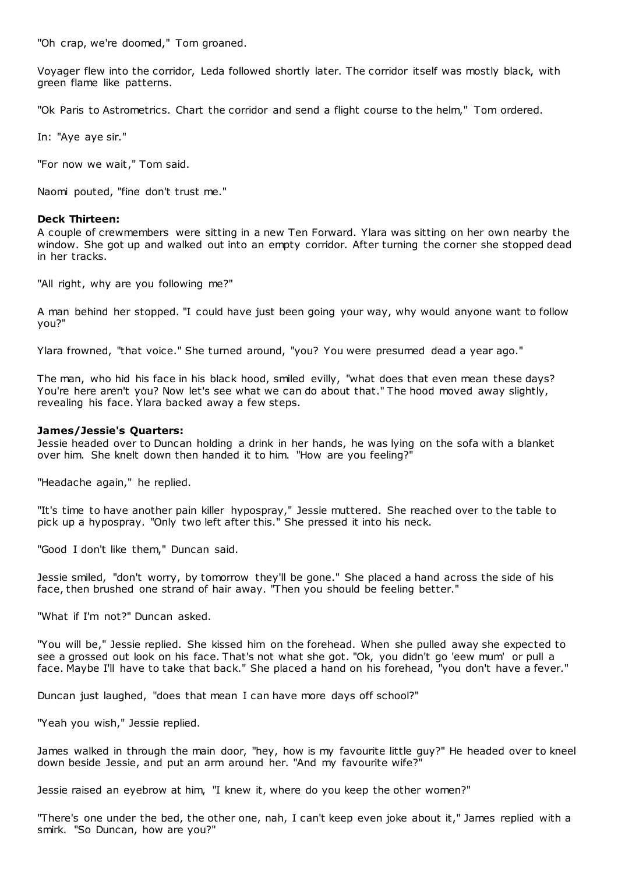"Oh crap, we're doomed," Tom groaned.

Voyager flew into the corridor, Leda followed shortly later. The corridor itself was mostly black, with green flame like patterns.

"Ok Paris to Astrometrics. Chart the corridor and send a flight course to the helm," Tom ordered.

In: "Aye aye sir."

"For now we wait," Tom said.

Naomi pouted, "fine don't trust me."

# **Deck Thirteen:**

A couple of crewmembers were sitting in a new Ten Forward. Ylara was sitting on her own nearby the window. She got up and walked out into an empty corridor. After turning the corner she stopped dead in her tracks.

"All right, why are you following me?"

A man behind her stopped. "I could have just been going your way, why would anyone want to follow you?"

Ylara frowned, "that voice." She turned around, "you? You were presumed dead a year ago."

The man, who hid his face in his black hood, smiled evilly, "what does that even mean these days? You're here aren't you? Now let's see what we can do about that." The hood moved away slightly, revealing his face. Ylara backed away a few steps.

# **James/Jessie's Quarters:**

Jessie headed over to Duncan holding a drink in her hands, he was lying on the sofa with a blanket over him. She knelt down then handed it to him. "How are you feeling?"

"Headache again," he replied.

"It's time to have another pain killer hypospray," Jessie muttered. She reached over to the table to pick up a hypospray. "Only two left after this." She pressed it into his neck.

"Good I don't like them," Duncan said.

Jessie smiled, "don't worry, by tomorrow they'll be gone." She placed a hand across the side of his face, then brushed one strand of hair away. "Then you should be feeling better."

"What if I'm not?" Duncan asked.

"You will be," Jessie replied. She kissed him on the forehead. When she pulled away she expected to see a grossed out look on his face. That's not what she got. "Ok, you didn't go 'eew mum' or pull a face. Maybe I'll have to take that back." She placed a hand on his forehead, "you don't have a fever."

Duncan just laughed, "does that mean I can have more days off school?"

"Yeah you wish," Jessie replied.

James walked in through the main door, "hey, how is my favourite little guy?" He headed over to kneel down beside Jessie, and put an arm around her. "And my favourite wife?"

Jessie raised an eyebrow at him, "I knew it, where do you keep the other women?"

"There's one under the bed, the other one, nah, I can't keep even joke about it," James replied with a smirk. "So Duncan, how are you?"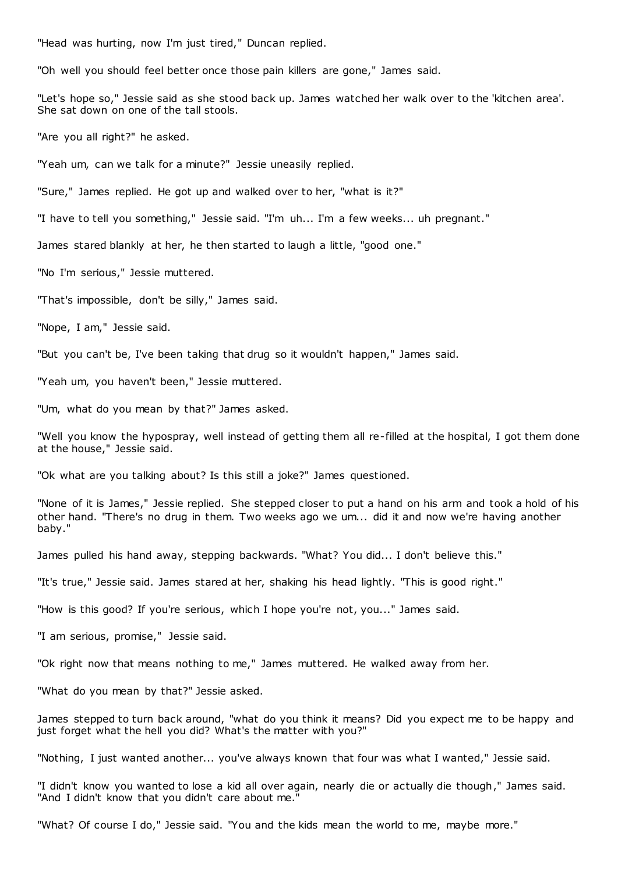"Head was hurting, now I'm just tired," Duncan replied.

"Oh well you should feel better once those pain killers are gone," James said.

"Let's hope so," Jessie said as she stood back up. James watched her walk over to the 'kitchen area'. She sat down on one of the tall stools.

"Are you all right?" he asked.

"Yeah um, can we talk for a minute?" Jessie uneasily replied.

"Sure," James replied. He got up and walked over to her, "what is it?"

"I have to tell you something," Jessie said. "I'm uh... I'm a few weeks... uh pregnant."

James stared blankly at her, he then started to laugh a little, "good one."

"No I'm serious," Jessie muttered.

"That's impossible, don't be silly," James said.

"Nope, I am," Jessie said.

"But you can't be, I've been taking that drug so it wouldn't happen," James said.

"Yeah um, you haven't been," Jessie muttered.

"Um, what do you mean by that?" James asked.

"Well you know the hypospray, well instead of getting them all re-filled at the hospital, I got them done at the house," Jessie said.

"Ok what are you talking about? Is this still a joke?" James questioned.

"None of it is James," Jessie replied. She stepped closer to put a hand on his arm and took a hold of his other hand. "There's no drug in them. Two weeks ago we um... did it and now we're having another baby."

James pulled his hand away, stepping backwards. "What? You did... I don't believe this."

"It's true," Jessie said. James stared at her, shaking his head lightly. "This is good right."

"How is this good? If you're serious, which I hope you're not, you..." James said.

"I am serious, promise," Jessie said.

"Ok right now that means nothing to me," James muttered. He walked away from her.

"What do you mean by that?" Jessie asked.

James stepped to turn back around, "what do you think it means? Did you expect me to be happy and just forget what the hell you did? What's the matter with you?"

"Nothing, I just wanted another... you've always known that four was what I wanted," Jessie said.

"I didn't know you wanted to lose a kid all over again, nearly die or actually die though," James said. "And I didn't know that you didn't care about me."

"What? Of course I do," Jessie said. "You and the kids mean the world to me, maybe more."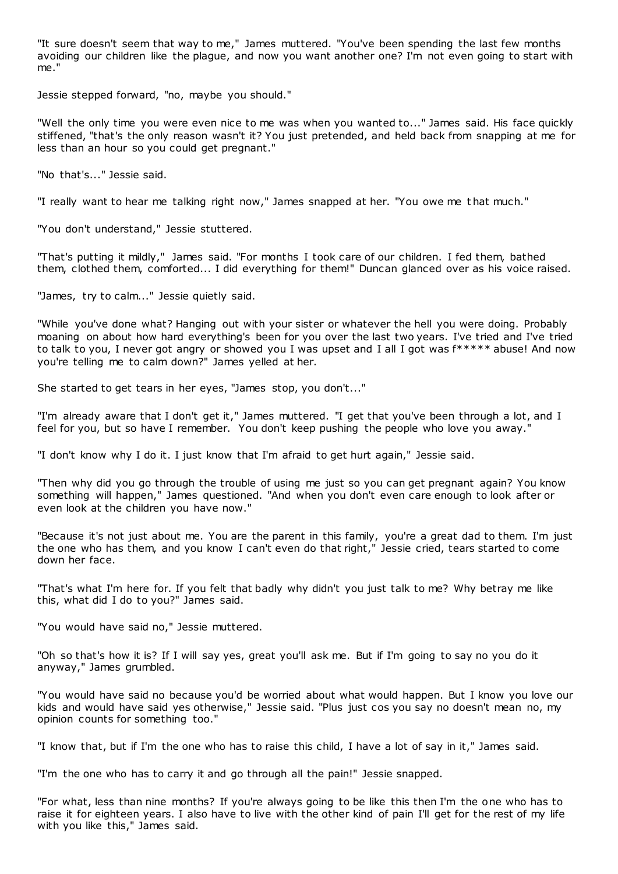"It sure doesn't seem that way to me," James muttered. "You've been spending the last few months avoiding our children like the plague, and now you want another one? I'm not even going to start with me."

Jessie stepped forward, "no, maybe you should."

"Well the only time you were even nice to me was when you wanted to..." James said. His face quickly stiffened, "that's the only reason wasn't it? You just pretended, and held back from snapping at me for less than an hour so you could get pregnant."

"No that's..." Jessie said.

"I really want to hear me talking right now," James snapped at her. "You owe me t hat much."

"You don't understand," Jessie stuttered.

"That's putting it mildly," James said. "For months I took care of our children. I fed them, bathed them, clothed them, comforted... I did everything for them!" Duncan glanced over as his voice raised.

"James, try to calm..." Jessie quietly said.

"While you've done what? Hanging out with your sister or whatever the hell you were doing. Probably moaning on about how hard everything's been for you over the last two years. I've tried and I've tried to talk to you, I never got angry or showed you I was upset and I all I got was f\*\*\*\*\* abuse! And now you're telling me to calm down?" James yelled at her.

She started to get tears in her eyes, "James stop, you don't..."

"I'm already aware that I don't get it," James muttered. "I get that you've been through a lot, and I feel for you, but so have I remember. You don't keep pushing the people who love you away."

"I don't know why I do it. I just know that I'm afraid to get hurt again," Jessie said.

"Then why did you go through the trouble of using me just so you can get pregnant again? You know something will happen," James questioned. "And when you don't even care enough to look after or even look at the children you have now."

"Because it's not just about me. You are the parent in this family, you're a great dad to them. I'm just the one who has them, and you know I can't even do that right," Jessie cried, tears started to come down her face.

"That's what I'm here for. If you felt that badly why didn't you just talk to me? Why betray me like this, what did I do to you?" James said.

"You would have said no," Jessie muttered.

"Oh so that's how it is? If I will say yes, great you'll ask me. But if I'm going to say no you do it anyway," James grumbled.

"You would have said no because you'd be worried about what would happen. But I know you love our kids and would have said yes otherwise," Jessie said. "Plus just cos you say no doesn't mean no, my opinion counts for something too."

"I know that, but if I'm the one who has to raise this child, I have a lot of say in it," James said.

"I'm the one who has to carry it and go through all the pain!" Jessie snapped.

"For what, less than nine months? If you're always going to be like this then I'm the one who has to raise it for eighteen years. I also have to live with the other kind of pain I'll get for the rest of my life with you like this," James said.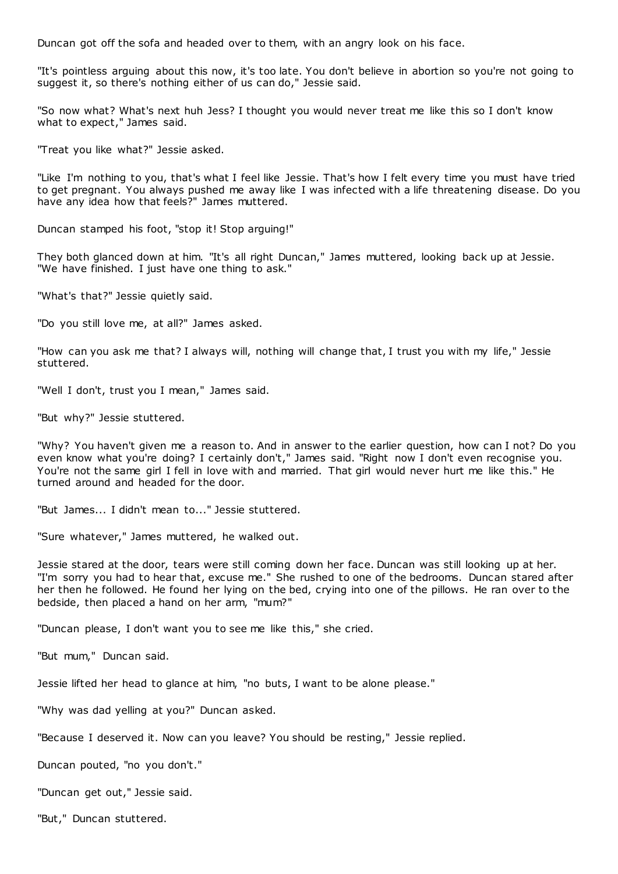Duncan got off the sofa and headed over to them, with an angry look on his face.

"It's pointless arguing about this now, it's too late. You don't believe in abortion so you're not going to suggest it, so there's nothing either of us can do," Jessie said.

"So now what? What's next huh Jess? I thought you would never treat me like this so I don't know what to expect," James said.

"Treat you like what?" Jessie asked.

"Like I'm nothing to you, that's what I feel like Jessie. That's how I felt every time you must have tried to get pregnant. You always pushed me away like I was infected with a life threatening disease. Do you have any idea how that feels?" James muttered.

Duncan stamped his foot, "stop it! Stop arguing!"

They both glanced down at him. "It's all right Duncan," James muttered, looking back up at Jessie. "We have finished. I just have one thing to ask."

"What's that?" Jessie quietly said.

"Do you still love me, at all?" James asked.

"How can you ask me that? I always will, nothing will change that, I trust you with my life," Jessie stuttered.

"Well I don't, trust you I mean," James said.

"But why?" Jessie stuttered.

"Why? You haven't given me a reason to. And in answer to the earlier question, how can I not? Do you even know what you're doing? I certainly don't," James said. "Right now I don't even recognise you. You're not the same girl I fell in love with and married. That girl would never hurt me like this." He turned around and headed for the door.

"But James... I didn't mean to..." Jessie stuttered.

"Sure whatever," James muttered, he walked out.

Jessie stared at the door, tears were still coming down her face. Duncan was still looking up at her. "I'm sorry you had to hear that, excuse me." She rushed to one of the bedrooms. Duncan stared after her then he followed. He found her lying on the bed, crying into one of the pillows. He ran over to the bedside, then placed a hand on her arm, "mum?"

"Duncan please, I don't want you to see me like this," she cried.

"But mum," Duncan said.

Jessie lifted her head to glance at him, "no buts, I want to be alone please."

"Why was dad yelling at you?" Duncan asked.

"Because I deserved it. Now can you leave? You should be resting," Jessie replied.

Duncan pouted, "no you don't."

"Duncan get out," Jessie said.

"But," Duncan stuttered.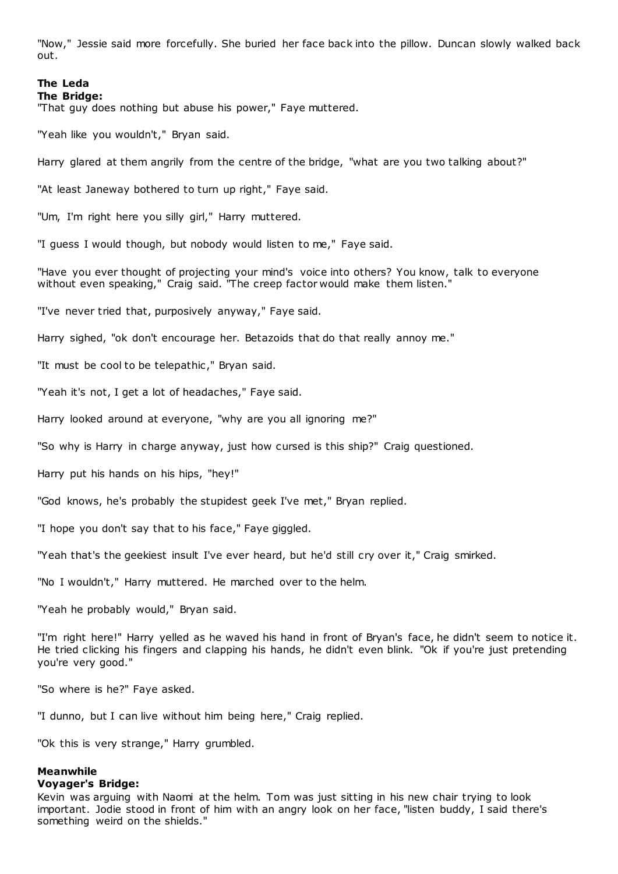"Now," Jessie said more forcefully. She buried her face back into the pillow. Duncan slowly walked back out.

### **The Leda The Bridge:**

"That guy does nothing but abuse his power," Faye muttered.

"Yeah like you wouldn't," Bryan said.

Harry glared at them angrily from the centre of the bridge, "what are you two talking about?"

"At least Janeway bothered to turn up right," Faye said.

"Um, I'm right here you silly girl," Harry muttered.

"I guess I would though, but nobody would listen to me," Faye said.

"Have you ever thought of projecting your mind's voice into others? You know, talk to everyone without even speaking," Craig said. "The creep factor would make them listen."

"I've never tried that, purposively anyway," Faye said.

Harry sighed, "ok don't encourage her. Betazoids that do that really annoy me."

"It must be cool to be telepathic ," Bryan said.

"Yeah it's not, I get a lot of headaches," Faye said.

Harry looked around at everyone, "why are you all ignoring me?"

"So why is Harry in charge anyway, just how cursed is this ship?" Craig questioned.

Harry put his hands on his hips, "hey!"

"God knows, he's probably the stupidest geek I've met," Bryan replied.

"I hope you don't say that to his face," Faye giggled.

"Yeah that's the geekiest insult I've ever heard, but he'd still cry over it," Craig smirked.

"No I wouldn't," Harry muttered. He marched over to the helm.

"Yeah he probably would," Bryan said.

"I'm right here!" Harry yelled as he waved his hand in front of Bryan's face, he didn't seem to notice it. He tried clicking his fingers and clapping his hands, he didn't even blink. "Ok if you're just pretending you're very good."

"So where is he?" Faye asked.

"I dunno, but I can live without him being here," Craig replied.

"Ok this is very strange," Harry grumbled.

#### **Meanwhile**

#### **Voyager's Bridge:**

Kevin was arguing with Naomi at the helm. Tom was just sitting in his new chair trying to look important. Jodie stood in front of him with an angry look on her face, "listen buddy, I said there's something weird on the shields."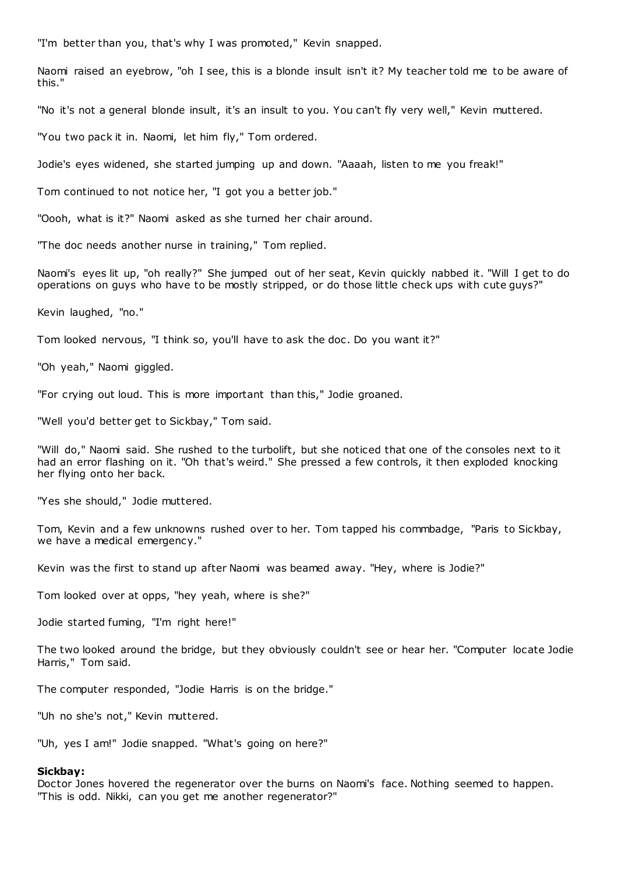"I'm better than you, that's why I was promoted," Kevin snapped.

Naomi raised an eyebrow, "oh I see, this is a blonde insult isn't it? My teacher told me to be aware of this."

"No it's not a general blonde insult, it's an insult to you. You can't fly very well," Kevin muttered.

"You two pack it in. Naomi, let him fly," Tom ordered.

Jodie's eyes widened, she started jumping up and down. "Aaaah, listen to me you freak!"

Tom continued to not notice her, "I got you a better job."

"Oooh, what is it?" Naomi asked as she turned her chair around.

"The doc needs another nurse in training," Tom replied.

Naomi's eyes lit up, "oh really?" She jumped out of her seat, Kevin quickly nabbed it. "Will I get to do operations on guys who have to be mostly stripped, or do those little check ups with cute guys?"

Kevin laughed, "no."

Tom looked nervous, "I think so, you'll have to ask the doc . Do you want it?"

"Oh yeah," Naomi giggled.

"For crying out loud. This is more important than this," Jodie groaned.

"Well you'd better get to Sickbay," Tom said.

"Will do," Naomi said. She rushed to the turbolift, but she noticed that one of the consoles next to it had an error flashing on it. "Oh that's weird." She pressed a few controls, it then exploded knocking her flying onto her back.

"Yes she should," Jodie muttered.

Tom, Kevin and a few unknowns rushed over to her. Tom tapped his commbadge, "Paris to Sickbay, we have a medical emergency."

Kevin was the first to stand up after Naomi was beamed away. "Hey, where is Jodie?"

Tom looked over at opps, "hey yeah, where is she?"

Jodie started fuming, "I'm right here!"

The two looked around the bridge, but they obviously couldn't see or hear her. "Computer locate Jodie Harris," Tom said.

The computer responded, "Jodie Harris is on the bridge."

"Uh no she's not," Kevin muttered.

"Uh, yes I am!" Jodie snapped. "What's going on here?"

#### **Sickbay:**

Doctor Jones hovered the regenerator over the burns on Naomi's face. Nothing seemed to happen. "This is odd. Nikki, can you get me another regenerator?"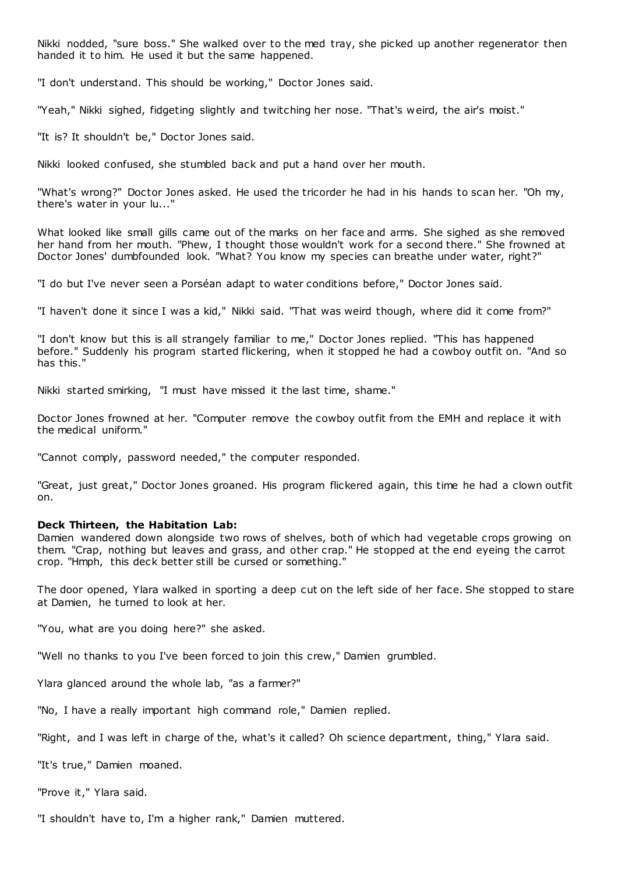Nikki nodded, "sure boss." She walked over to the med tray, she picked up another regenerator then handed it to him. He used it but the same happened.

"I don't understand. This should be working," Doctor Jones said.

"Yeah," Nikki sighed, fidgeting slightly and twitching her nose. "That's weird, the air's moist."

"It is? It shouldn't be," Doctor Jones said.

Nikki looked confused, she stumbled back and put a hand over her mouth.

"What's wrong?" Doctor Jones asked. He used the tricorder he had in his hands to scan her. "Oh my, there's water in your lu..."

What looked like small gills came out of the marks on her face and arms. She sighed as she removed her hand from her mouth. "Phew, I thought those wouldn't work for a second there." She frowned at Doctor Jones' dumbfounded look. "What? You know my species can breathe under water, right?"

"I do but I've never seen a Porséan adapt to water conditions before," Doctor Jones said.

"I haven't done it since I was a kid," Nikki said. "That was weird though, where did it come from?"

"I don't know but this is all strangely familiar to me," Doctor Jones replied. "This has happened before." Suddenly his program started flickering, when it stopped he had a cowboy outfit on. "And so has this."

Nikki started smirking, "I must have missed it the last time, shame."

Doctor Jones frowned at her. "Computer remove the cowboy outfit from the EMH and replace it with the medical uniform."

"Cannot comply, password needed," the computer responded.

"Great, just great," Doctor Jones groaned. His program flickered again, this time he had a clown outfit on.

#### **Deck Thirteen, the Habitation Lab:**

Damien wandered down alongside two rows of shelves, both of which had vegetable crops growing on them. "Crap, nothing but leaves and grass, and other crap." He stopped at the end eyeing the carrot crop. "Hmph, this deck better still be cursed or something."

The door opened, Ylara walked in sporting a deep cut on the left side of her face. She stopped to stare at Damien, he turned to look at her.

"You, what are you doing here?" she asked.

"Well no thanks to you I've been forced to join this crew," Damien grumbled.

Ylara glanced around the whole lab, "as a farmer?"

"No, I have a really important high command role," Damien replied.

"Right, and I was left in charge of the, what's it called? Oh science department, thing," Ylara said.

"It's true," Damien moaned.

"Prove it," Ylara said.

"I shouldn't have to, I'm a higher rank," Damien muttered.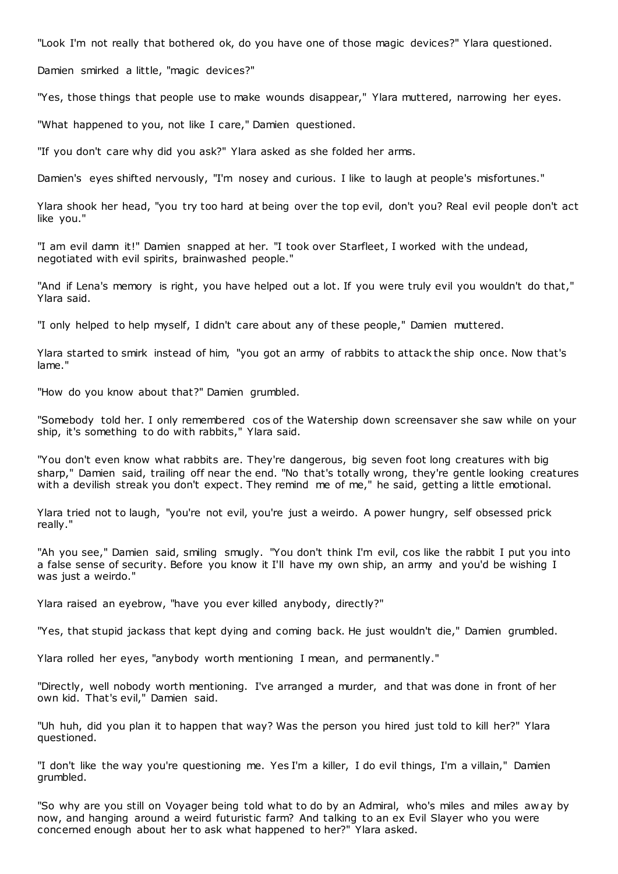"Look I'm not really that bothered ok, do you have one of those magic devices?" Ylara questioned.

Damien smirked a little, "magic devices?"

"Yes, those things that people use to make wounds disappear," Ylara muttered, narrowing her eyes.

"What happened to you, not like I care," Damien questioned.

"If you don't care why did you ask?" Ylara asked as she folded her arms.

Damien's eyes shifted nervously, "I'm nosey and curious. I like to laugh at people's misfortunes."

Ylara shook her head, "you try too hard at being over the top evil, don't you? Real evil people don't act like you."

"I am evil damn it!" Damien snapped at her. "I took over Starfleet, I worked with the undead, negotiated with evil spirits, brainwashed people."

"And if Lena's memory is right, you have helped out a lot. If you were truly evil you wouldn't do that," Ylara said.

"I only helped to help myself, I didn't care about any of these people," Damien muttered.

Ylara started to smirk instead of him, "you got an army of rabbits to attack the ship once. Now that's lame."

"How do you know about that?" Damien grumbled.

"Somebody told her. I only remembered cos of the Watership down screensaver she saw while on your ship, it's something to do with rabbits," Ylara said.

"You don't even know what rabbits are. They're dangerous, big seven foot long creatures with big sharp," Damien said, trailing off near the end. "No that's totally wrong, they're gentle looking creatures with a devilish streak you don't expect. They remind me of me," he said, getting a little emotional.

Ylara tried not to laugh, "you're not evil, you're just a weirdo. A power hungry, self obsessed prick really."

"Ah you see," Damien said, smiling smugly. "You don't think I'm evil, cos like the rabbit I put you into a false sense of security. Before you know it I'll have my own ship, an army and you'd be wishing I was just a weirdo."

Ylara raised an eyebrow, "have you ever killed anybody, directly?"

"Yes, that stupid jackass that kept dying and coming back. He just wouldn't die," Damien grumbled.

Ylara rolled her eyes, "anybody worth mentioning I mean, and permanently."

"Directly, well nobody worth mentioning. I've arranged a murder, and that was done in front of her own kid. That's evil," Damien said.

"Uh huh, did you plan it to happen that way? Was the person you hired just told to kill her?" Ylara questioned.

"I don't like the way you're questioning me. Yes I'm a killer, I do evil things, I'm a villain," Damien grumbled.

"So why are you still on Voyager being told what to do by an Admiral, who's miles and miles aw ay by now, and hanging around a weird futuristic farm? And talking to an ex Evil Slayer who you were concerned enough about her to ask what happened to her?" Ylara asked.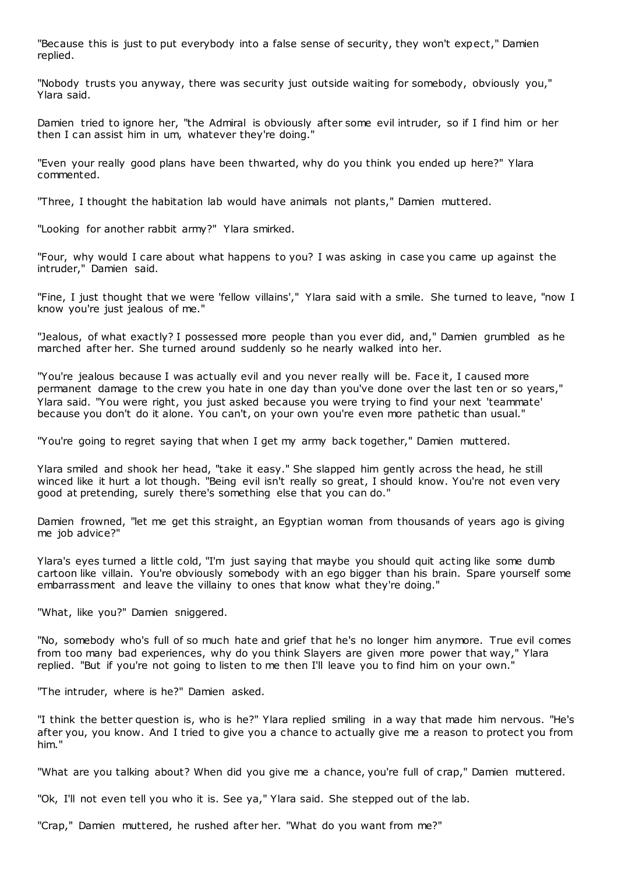"Because this is just to put everybody into a false sense of security, they won't expect," Damien replied.

"Nobody trusts you anyway, there was security just outside waiting for somebody, obviously you," Ylara said.

Damien tried to ignore her, "the Admiral is obviously after some evil intruder, so if I find him or her then I can assist him in um, whatever they're doing."

"Even your really good plans have been thwarted, why do you think you ended up here?" Ylara commented.

"Three, I thought the habitation lab would have animals not plants," Damien muttered.

"Looking for another rabbit army?" Ylara smirked.

"Four, why would I care about what happens to you? I was asking in case you came up against the intruder," Damien said.

"Fine, I just thought that we were 'fellow villains'," Ylara said with a smile. She turned to leave, "now I know you're just jealous of me."

"Jealous, of what exactly? I possessed more people than you ever did, and," Damien grumbled as he marched after her. She turned around suddenly so he nearly walked into her.

"You're jealous because I was actually evil and you never really will be. Face it, I caused more permanent damage to the crew you hate in one day than you've done over the last ten or so years," Ylara said. "You were right, you just asked because you were trying to find your next 'teammate' because you don't do it alone. You can't, on your own you're even more pathetic than usual."

"You're going to regret saying that when I get my army back together," Damien muttered.

Ylara smiled and shook her head, "take it easy." She slapped him gently across the head, he still winced like it hurt a lot though. "Being evil isn't really so great, I should know. You're not even very good at pretending, surely there's something else that you can do."

Damien frowned, "let me get this straight, an Egyptian woman from thousands of years ago is giving me job advice?"

Ylara's eyes turned a little cold, "I'm just saying that maybe you should quit acting like some dumb cartoon like villain. You're obviously somebody with an ego bigger than his brain. Spare yourself some embarrassment and leave the villainy to ones that know what they're doing."

"What, like you?" Damien sniggered.

"No, somebody who's full of so much hate and grief that he's no longer him anymore. True evil comes from too many bad experiences, why do you think Slayers are given more power that way," Ylara replied. "But if you're not going to listen to me then I'll leave you to find him on your own."

"The intruder, where is he?" Damien asked.

"I think the better question is, who is he?" Ylara replied smiling in a way that made him nervous. "He's after you, you know. And I tried to give you a chance to actually give me a reason to protect you from him."

"What are you talking about? When did you give me a chance, you're full of crap," Damien muttered.

"Ok, I'll not even tell you who it is. See ya," Ylara said. She stepped out of the lab.

"Crap," Damien muttered, he rushed after her. "What do you want from me?"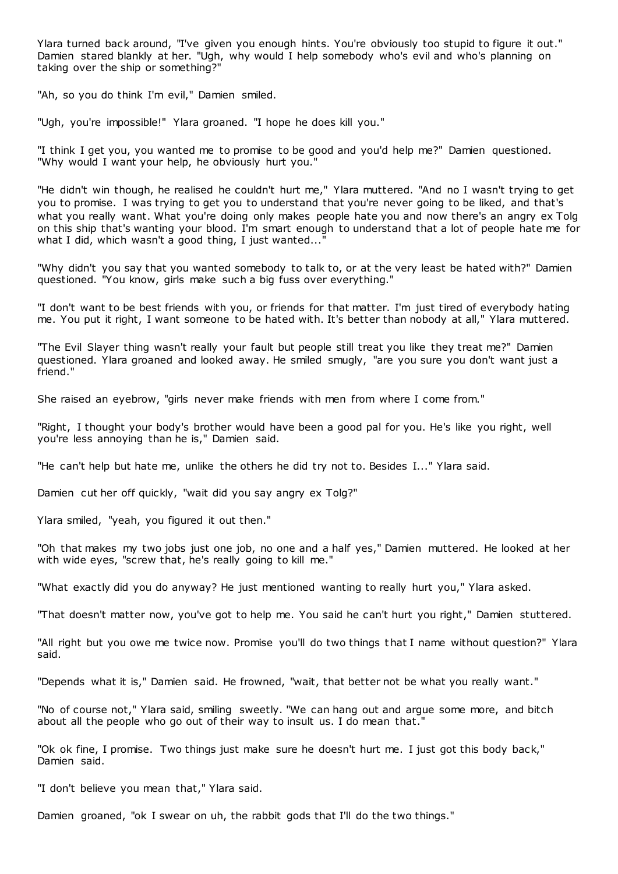Ylara turned back around, "I've given you enough hints. You're obviously too stupid to figure it out." Damien stared blankly at her. "Ugh, why would I help somebody who's evil and who's planning on taking over the ship or something?"

"Ah, so you do think I'm evil," Damien smiled.

"Ugh, you're impossible!" Ylara groaned. "I hope he does kill you."

"I think I get you, you wanted me to promise to be good and you'd help me?" Damien questioned. "Why would I want your help, he obviously hurt you."

"He didn't win though, he realised he couldn't hurt me," Ylara muttered. "And no I wasn't trying to get you to promise. I was trying to get you to understand that you're never going to be liked, and that's what you really want. What you're doing only makes people hate you and now there's an angry ex Tolg on this ship that's wanting your blood. I'm smart enough to understand that a lot of people hate me for what I did, which wasn't a good thing, I just wanted..."

"Why didn't you say that you wanted somebody to talk to, or at the very least be hated with?" Damien questioned. "You know, girls make such a big fuss over everything."

"I don't want to be best friends with you, or friends for that matter. I'm just tired of everybody hating me. You put it right, I want someone to be hated with. It's better than nobody at all," Ylara muttered.

"The Evil Slayer thing wasn't really your fault but people still treat you like they treat me?" Damien questioned. Ylara groaned and looked away. He smiled smugly, "are you sure you don't want just a friend."

She raised an eyebrow, "girls never make friends with men from where I come from."

"Right, I thought your body's brother would have been a good pal for you. He's like you right, well you're less annoying than he is," Damien said.

"He can't help but hate me, unlike the others he did try not to. Besides I..." Ylara said.

Damien cut her off quickly, "wait did you say angry ex Tolg?"

Ylara smiled, "yeah, you figured it out then."

"Oh that makes my two jobs just one job, no one and a half yes," Damien muttered. He looked at her with wide eyes, "screw that, he's really going to kill me."

"What exactly did you do anyway? He just mentioned wanting to really hurt you," Ylara asked.

"That doesn't matter now, you've got to help me. You said he can't hurt you right," Damien stuttered.

"All right but you owe me twice now. Promise you'll do two things that I name without question?" Ylara said.

"Depends what it is," Damien said. He frowned, "wait, that better not be what you really want."

"No of course not," Ylara said, smiling sweetly. "We can hang out and argue some more, and bitch about all the people who go out of their way to insult us. I do mean that."

"Ok ok fine, I promise. Two things just make sure he doesn't hurt me. I just got this body back," Damien said.

"I don't believe you mean that," Ylara said.

Damien groaned, "ok I swear on uh, the rabbit gods that I'll do the two things."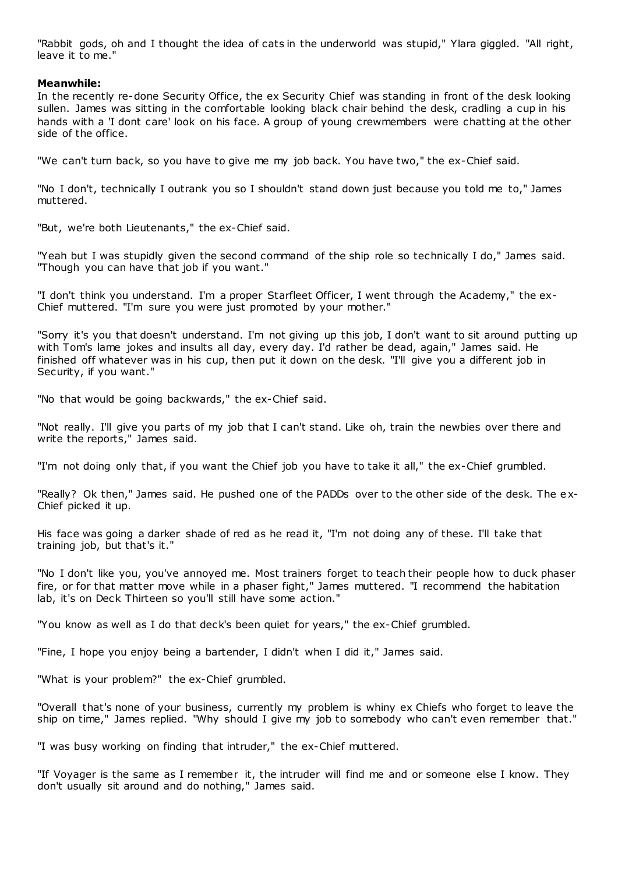"Rabbit gods, oh and I thought the idea of cats in the underworld was stupid," Ylara giggled. "All right, leave it to me."

# **Meanwhile:**

In the recently re-done Security Office, the ex Security Chief was standing in front of the desk looking sullen. James was sitting in the comfortable looking black chair behind the desk, cradling a cup in his hands with a 'I dont care' look on his face. A group of young crewmembers were chatting at the other side of the office.

"We can't turn back, so you have to give me my job back. You have two," the ex-Chief said.

"No I don't, technically I outrank you so I shouldn't stand down just because you told me to," James muttered.

"But, we're both Lieutenants," the ex-Chief said.

"Yeah but I was stupidly given the second command of the ship role so technically I do," James said. "Though you can have that job if you want."

"I don't think you understand. I'm a proper Starfleet Officer, I went through the Academy," the ex-Chief muttered. "I'm sure you were just promoted by your mother."

"Sorry it's you that doesn't understand. I'm not giving up this job, I don't want to sit around putting up with Tom's lame jokes and insults all day, every day. I'd rather be dead, again," James said. He finished off whatever was in his cup, then put it down on the desk. "I'll give you a different job in Security, if you want."

"No that would be going backwards," the ex-Chief said.

"Not really. I'll give you parts of my job that I can't stand. Like oh, train the newbies over there and write the reports," James said.

"I'm not doing only that, if you want the Chief job you have to take it all," the ex-Chief grumbled.

"Really? Ok then," James said. He pushed one of the PADDs over to the other side of the desk. The e x-Chief picked it up.

His face was going a darker shade of red as he read it, "I'm not doing any of these. I'll take that training job, but that's it."

"No I don't like you, you've annoyed me. Most trainers forget to teach their people how to duck phaser fire, or for that matter move while in a phaser fight," James muttered. "I recommend the habitation lab, it's on Deck Thirteen so you'll still have some action."

"You know as well as I do that deck's been quiet for years," the ex-Chief grumbled.

"Fine, I hope you enjoy being a bartender, I didn't when I did it," James said.

"What is your problem?" the ex-Chief grumbled.

"Overall that's none of your business, currently my problem is whiny ex Chiefs who forget to leave the ship on time," James replied. "Why should I give my job to somebody who can't even remember that."

"I was busy working on finding that intruder," the ex-Chief muttered.

"If Voyager is the same as I remember it, the intruder will find me and or someone else I know. They don't usually sit around and do nothing," James said.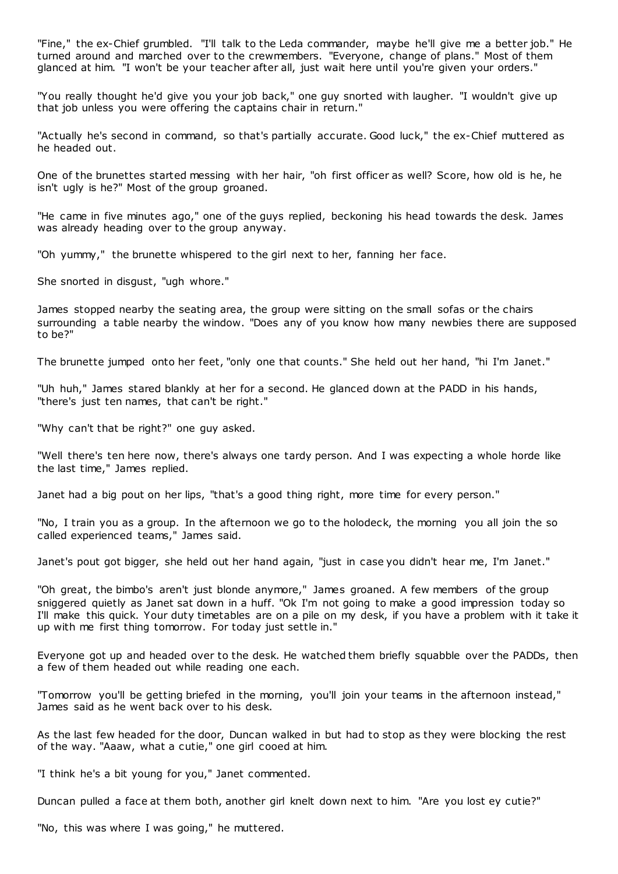"Fine," the ex-Chief grumbled. "I'll talk to the Leda commander, maybe he'll give me a better job." He turned around and marched over to the crewmembers. "Everyone, change of plans." Most of them glanced at him. "I won't be your teacher after all, just wait here until you're given your orders."

"You really thought he'd give you your job back," one guy snorted with laugher. "I wouldn't give up that job unless you were offering the captains chair in return."

"Actually he's second in command, so that's partially accurate. Good luck," the ex-Chief muttered as he headed out.

One of the brunettes started messing with her hair, "oh first officer as well? Score, how old is he, he isn't ugly is he?" Most of the group groaned.

"He came in five minutes ago," one of the guys replied, beckoning his head towards the desk. James was already heading over to the group anyway.

"Oh yummy," the brunette whispered to the girl next to her, fanning her face.

She snorted in disgust, "ugh whore."

James stopped nearby the seating area, the group were sitting on the small sofas or the chairs surrounding a table nearby the window. "Does any of you know how many newbies there are supposed to be?"

The brunette jumped onto her feet, "only one that counts." She held out her hand, "hi I'm Janet."

"Uh huh," James stared blankly at her for a second. He glanced down at the PADD in his hands, "there's just ten names, that can't be right."

"Why can't that be right?" one guy asked.

"Well there's ten here now, there's always one tardy person. And I was expecting a whole horde like the last time," James replied.

Janet had a big pout on her lips, "that's a good thing right, more time for every person."

"No, I train you as a group. In the afternoon we go to the holodeck, the morning you all join the so called experienced teams," James said.

Janet's pout got bigger, she held out her hand again, "just in case you didn't hear me, I'm Janet."

"Oh great, the bimbo's aren't just blonde anymore," James groaned. A few members of the group sniggered quietly as Janet sat down in a huff. "Ok I'm not going to make a good impression today so I'll make this quick. Your duty timetables are on a pile on my desk, if you have a problem with it take it up with me first thing tomorrow. For today just settle in."

Everyone got up and headed over to the desk. He watched them briefly squabble over the PADDs, then a few of them headed out while reading one each.

"Tomorrow you'll be getting briefed in the morning, you'll join your teams in the afternoon instead," James said as he went back over to his desk.

As the last few headed for the door, Duncan walked in but had to stop as they were blocking the rest of the way. "Aaaw, what a cutie," one girl cooed at him.

"I think he's a bit young for you," Janet commented.

Duncan pulled a face at them both, another girl knelt down next to him. "Are you lost ey cutie?"

"No, this was where I was going," he muttered.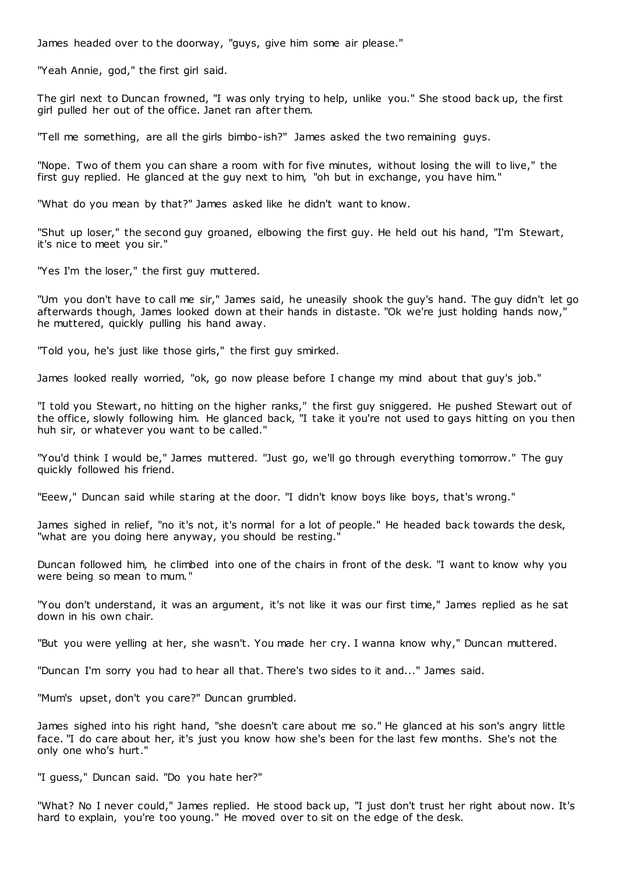James headed over to the doorway, "guys, give him some air please."

"Yeah Annie, god," the first girl said.

The girl next to Duncan frowned, "I was only trying to help, unlike you." She stood back up, the first girl pulled her out of the office. Janet ran after them.

"Tell me something, are all the girls bimbo-ish?" James asked the two remaining guys.

"Nope. Two of them you can share a room with for five minutes, without losing the will to live," the first guy replied. He glanced at the guy next to him, "oh but in exchange, you have him."

"What do you mean by that?" James asked like he didn't want to know.

"Shut up loser," the second guy groaned, elbowing the first guy. He held out his hand, "I'm Stewart, it's nice to meet you sir."

"Yes I'm the loser," the first guy muttered.

"Um you don't have to call me sir," James said, he uneasily shook the guy's hand. The guy didn't let go afterwards though, James looked down at their hands in distaste. "Ok we're just holding hands now," he muttered, quickly pulling his hand away.

"Told you, he's just like those girls," the first guy smirked.

James looked really worried, "ok, go now please before I change my mind about that guy's job."

"I told you Stewart, no hitting on the higher ranks," the first guy sniggered. He pushed Stewart out of the office, slowly following him. He glanced back, "I take it you're not used to gays hitting on you then huh sir, or whatever you want to be called."

"You'd think I would be," James muttered. "Just go, we'll go through everything tomorrow." The guy quickly followed his friend.

"Eeew," Duncan said while staring at the door. "I didn't know boys like boys, that's wrong."

James sighed in relief, "no it's not, it's normal for a lot of people." He headed back towards the desk, "what are you doing here anyway, you should be resting."

Duncan followed him, he climbed into one of the chairs in front of the desk. "I want to know why you were being so mean to mum."

"You don't understand, it was an argument, it's not like it was our first time," James replied as he sat down in his own chair.

"But you were yelling at her, she wasn't. You made her cry. I wanna know why," Duncan muttered.

"Duncan I'm sorry you had to hear all that. There's two sides to it and..." James said.

"Mum's upset, don't you care?" Duncan grumbled.

James sighed into his right hand, "she doesn't care about me so." He glanced at his son's angry little face. "I do care about her, it's just you know how she's been for the last few months. She's not the only one who's hurt."

"I guess," Duncan said. "Do you hate her?"

"What? No I never could," James replied. He stood back up, "I just don't trust her right about now. It's hard to explain, you're too young." He moved over to sit on the edge of the desk.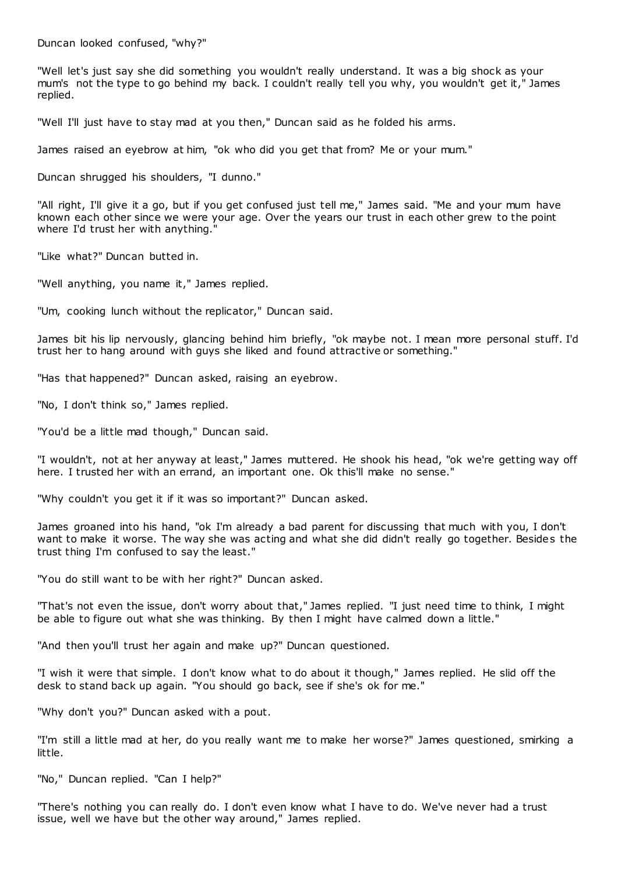Duncan looked confused, "why?"

"Well let's just say she did something you wouldn't really understand. It was a big shock as your mum's not the type to go behind my back. I couldn't really tell you why, you wouldn't get it," James replied.

"Well I'll just have to stay mad at you then," Duncan said as he folded his arms.

James raised an eyebrow at him, "ok who did you get that from? Me or your mum."

Duncan shrugged his shoulders, "I dunno."

"All right, I'll give it a go, but if you get confused just tell me," James said. "Me and your mum have known each other since we were your age. Over the years our trust in each other grew to the point where I'd trust her with anything."

"Like what?" Duncan butted in.

"Well anything, you name it," James replied.

"Um, cooking lunch without the replicator," Duncan said.

James bit his lip nervously, glancing behind him briefly, "ok maybe not. I mean more personal stuff. I'd trust her to hang around with guys she liked and found attractive or something."

"Has that happened?" Duncan asked, raising an eyebrow.

"No, I don't think so," James replied.

"You'd be a little mad though," Duncan said.

"I wouldn't, not at her anyway at least," James muttered. He shook his head, "ok we're getting way off here. I trusted her with an errand, an important one. Ok this'll make no sense."

"Why couldn't you get it if it was so important?" Duncan asked.

James groaned into his hand, "ok I'm already a bad parent for discussing that much with you, I don't want to make it worse. The way she was acting and what she did didn't really go together. Besides the trust thing I'm confused to say the least."

"You do still want to be with her right?" Duncan asked.

"That's not even the issue, don't worry about that," James replied. "I just need time to think, I might be able to figure out what she was thinking. By then I might have calmed down a little."

"And then you'll trust her again and make up?" Duncan questioned.

"I wish it were that simple. I don't know what to do about it though," James replied. He slid off the desk to stand back up again. "You should go back, see if she's ok for me."

"Why don't you?" Duncan asked with a pout.

"I'm still a little mad at her, do you really want me to make her worse?" James questioned, smirking a little.

"No," Duncan replied. "Can I help?"

"There's nothing you can really do. I don't even know what I have to do. We've never had a trust issue, well we have but the other way around," James replied.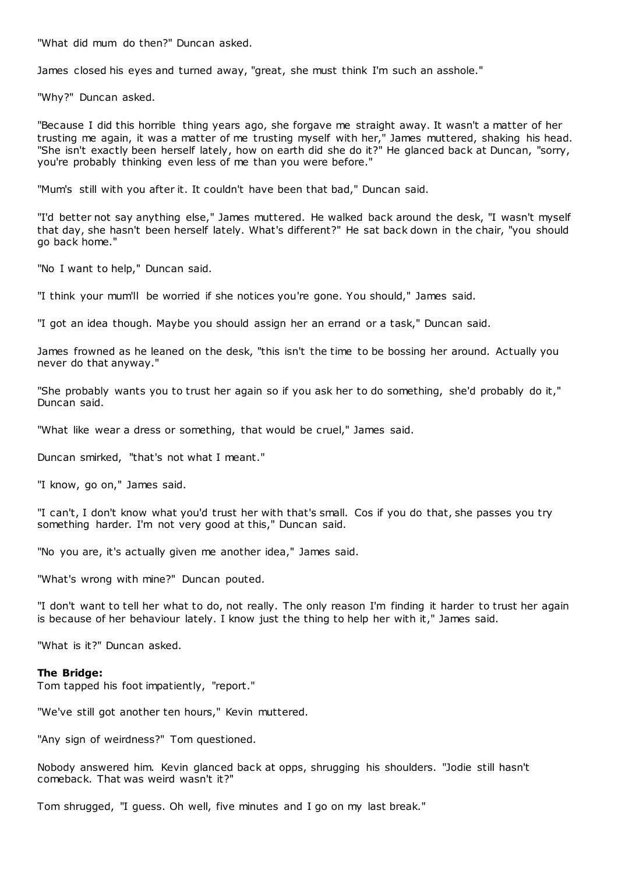"What did mum do then?" Duncan asked.

James closed his eyes and turned away, "great, she must think I'm such an asshole."

"Why?" Duncan asked.

"Because I did this horrible thing years ago, she forgave me straight away. It wasn't a matter of her trusting me again, it was a matter of me trusting myself with her," James muttered, shaking his head. "She isn't exactly been herself lately, how on earth did she do it?" He glanced back at Duncan, "sorry, you're probably thinking even less of me than you were before."

"Mum's still with you after it. It couldn't have been that bad," Duncan said.

"I'd better not say anything else," James muttered. He walked back around the desk, "I wasn't myself that day, she hasn't been herself lately. What's different?" He sat back down in the chair, "you should go back home."

"No I want to help," Duncan said.

"I think your mum'll be worried if she notices you're gone. You should," James said.

"I got an idea though. Maybe you should assign her an errand or a task," Duncan said.

James frowned as he leaned on the desk, "this isn't the time to be bossing her around. Actually you never do that anyway."

"She probably wants you to trust her again so if you ask her to do something, she'd probably do it," Duncan said.

"What like wear a dress or something, that would be cruel," James said.

Duncan smirked, "that's not what I meant."

"I know, go on," James said.

"I can't, I don't know what you'd trust her with that's small. Cos if you do that, she passes you try something harder. I'm not very good at this," Duncan said.

"No you are, it's actually given me another idea," James said.

"What's wrong with mine?" Duncan pouted.

"I don't want to tell her what to do, not really. The only reason I'm finding it harder to trust her again is because of her behaviour lately. I know just the thing to help her with it," James said.

"What is it?" Duncan asked.

#### **The Bridge:**

Tom tapped his foot impatiently, "report."

"We've still got another ten hours," Kevin muttered.

"Any sign of weirdness?" Tom questioned.

Nobody answered him. Kevin glanced back at opps, shrugging his shoulders. "Jodie still hasn't comeback. That was weird wasn't it?"

Tom shrugged, "I guess. Oh well, five minutes and I go on my last break."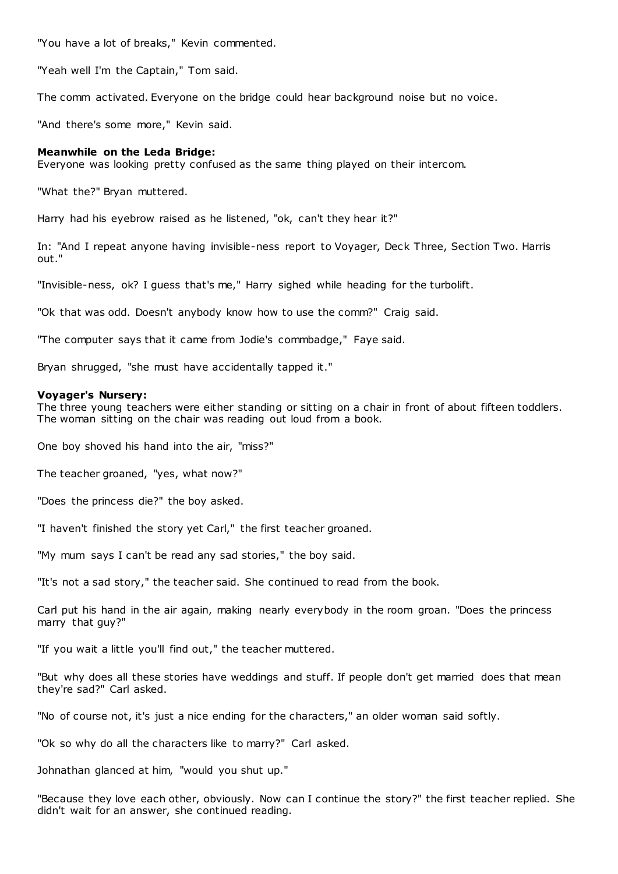"You have a lot of breaks," Kevin commented.

"Yeah well I'm the Captain," Tom said.

The comm activated. Everyone on the bridge could hear background noise but no voice.

"And there's some more," Kevin said.

#### **Meanwhile on the Leda Bridge:**

Everyone was looking pretty confused as the same thing played on their intercom.

"What the?" Bryan muttered.

Harry had his eyebrow raised as he listened, "ok, can't they hear it?"

In: "And I repeat anyone having invisible-ness report to Voyager, Deck Three, Section Two. Harris out."

"Invisible-ness, ok? I guess that's me," Harry sighed while heading for the turbolift.

"Ok that was odd. Doesn't anybody know how to use the comm?" Craig said.

"The computer says that it came from Jodie's commbadge," Faye said.

Bryan shrugged, "she must have accidentally tapped it."

#### **Voyager's Nursery:**

The three young teachers were either standing or sitting on a chair in front of about fifteen toddlers. The woman sitting on the chair was reading out loud from a book.

One boy shoved his hand into the air, "miss?"

The teacher groaned, "yes, what now?"

"Does the princess die?" the boy asked.

"I haven't finished the story yet Carl," the first teacher groaned.

"My mum says I can't be read any sad stories," the boy said.

"It's not a sad story," the teacher said. She continued to read from the book.

Carl put his hand in the air again, making nearly everybody in the room groan. "Does the princess marry that guy?"

"If you wait a little you'll find out," the teacher muttered.

"But why does all these stories have weddings and stuff. If people don't get married does that mean they're sad?" Carl asked.

"No of course not, it's just a nice ending for the characters," an older woman said softly.

"Ok so why do all the characters like to marry?" Carl asked.

Johnathan glanced at him, "would you shut up."

"Because they love each other, obviously. Now can I continue the story?" the first teacher replied. She didn't wait for an answer, she continued reading.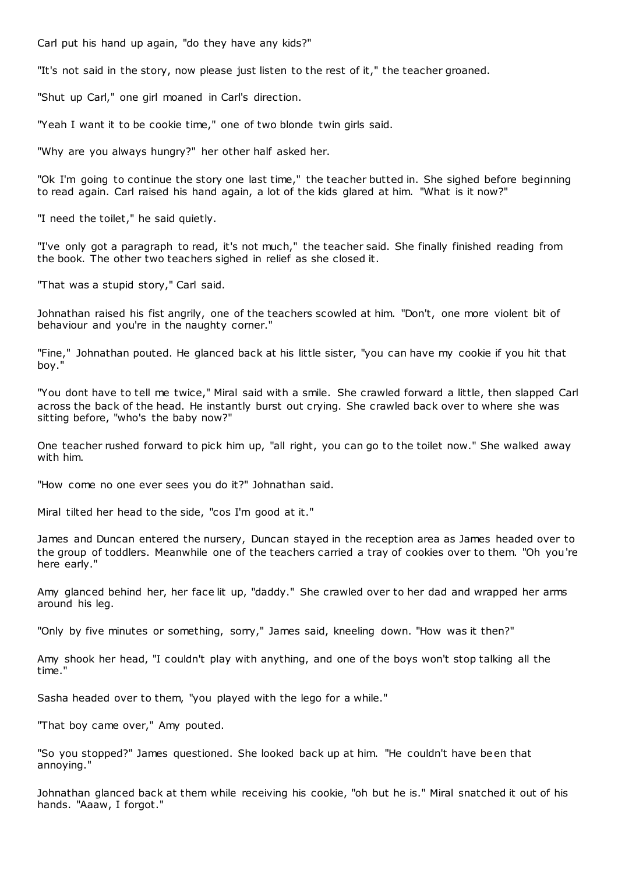Carl put his hand up again, "do they have any kids?"

"It's not said in the story, now please just listen to the rest of it," the teacher groaned.

"Shut up Carl," one girl moaned in Carl's direction.

"Yeah I want it to be cookie time," one of two blonde twin girls said.

"Why are you always hungry?" her other half asked her.

"Ok I'm going to continue the story one last time," the teacher butted in. She sighed before beginning to read again. Carl raised his hand again, a lot of the kids glared at him. "What is it now?"

"I need the toilet," he said quietly.

"I've only got a paragraph to read, it's not much," the teacher said. She finally finished reading from the book. The other two teachers sighed in relief as she closed it.

"That was a stupid story," Carl said.

Johnathan raised his fist angrily, one of the teachers scowled at him. "Don't, one more violent bit of behaviour and you're in the naughty corner."

"Fine," Johnathan pouted. He glanced back at his little sister, "you can have my cookie if you hit that boy."

"You dont have to tell me twice," Miral said with a smile. She crawled forward a little, then slapped Carl across the back of the head. He instantly burst out crying. She crawled back over to where she was sitting before, "who's the baby now?"

One teacher rushed forward to pick him up, "all right, you can go to the toilet now." She walked away with him.

"How come no one ever sees you do it?" Johnathan said.

Miral tilted her head to the side, "cos I'm good at it."

James and Duncan entered the nursery, Duncan stayed in the reception area as James headed over to the group of toddlers. Meanwhile one of the teachers carried a tray of cookies over to them. "Oh you're here early."

Amy glanced behind her, her face lit up, "daddy." She crawled over to her dad and wrapped her arms around his leg.

"Only by five minutes or something, sorry," James said, kneeling down. "How was it then?"

Amy shook her head, "I couldn't play with anything, and one of the boys won't stop talking all the time."

Sasha headed over to them, "you played with the lego for a while."

"That boy came over," Amy pouted.

"So you stopped?" James questioned. She looked back up at him. "He couldn't have been that annoying."

Johnathan glanced back at them while receiving his cookie, "oh but he is." Miral snatched it out of his hands. "Aaaw, I forgot."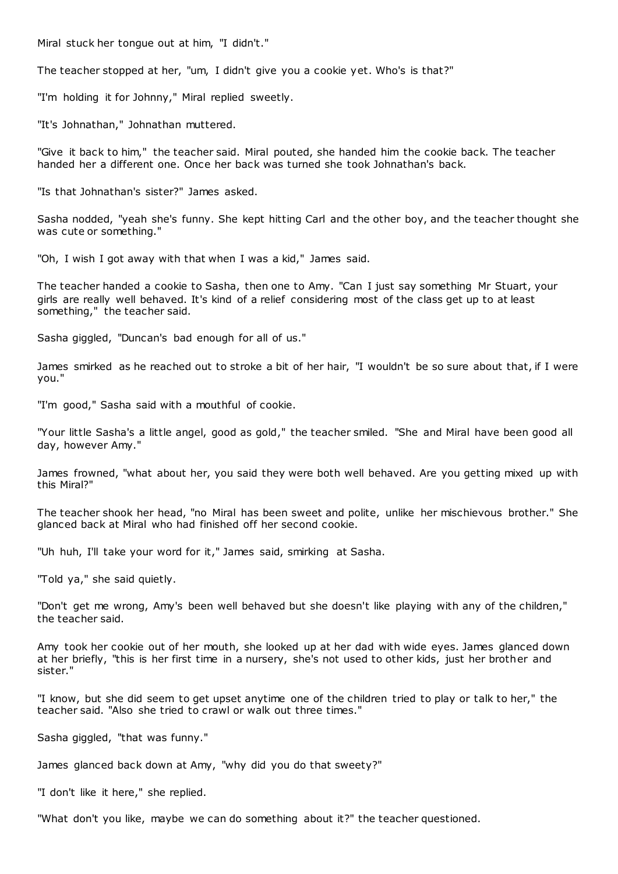Miral stuck her tongue out at him, "I didn't."

The teacher stopped at her, "um, I didn't give you a cookie yet. Who's is that?"

"I'm holding it for Johnny," Miral replied sweetly.

"It's Johnathan," Johnathan muttered.

"Give it back to him," the teacher said. Miral pouted, she handed him the cookie back. The teacher handed her a different one. Once her back was turned she took Johnathan's back.

"Is that Johnathan's sister?" James asked.

Sasha nodded, "yeah she's funny. She kept hitting Carl and the other boy, and the teacher thought she was cute or something."

"Oh, I wish I got away with that when I was a kid," James said.

The teacher handed a cookie to Sasha, then one to Amy. "Can I just say something Mr Stuart, your girls are really well behaved. It's kind of a relief considering most of the class get up to at least something," the teacher said.

Sasha giggled, "Duncan's bad enough for all of us."

James smirked as he reached out to stroke a bit of her hair, "I wouldn't be so sure about that, if I were you."

"I'm good," Sasha said with a mouthful of cookie.

"Your little Sasha's a little angel, good as gold," the teacher smiled. "She and Miral have been good all day, however Amy."

James frowned, "what about her, you said they were both well behaved. Are you getting mixed up with this Miral?"

The teacher shook her head, "no Miral has been sweet and polite, unlike her mischievous brother." She glanced back at Miral who had finished off her second cookie.

"Uh huh, I'll take your word for it," James said, smirking at Sasha.

"Told ya," she said quietly.

"Don't get me wrong, Amy's been well behaved but she doesn't like playing with any of the children," the teacher said.

Amy took her cookie out of her mouth, she looked up at her dad with wide eyes. James glanced down at her briefly, "this is her first time in a nursery, she's not used to other kids, just her brother and sister."

"I know, but she did seem to get upset anytime one of the children tried to play or talk to her," the teacher said. "Also she tried to crawl or walk out three times."

Sasha giggled, "that was funny."

James glanced back down at Amy, "why did you do that sweety?"

"I don't like it here," she replied.

"What don't you like, maybe we can do something about it?" the teacher questioned.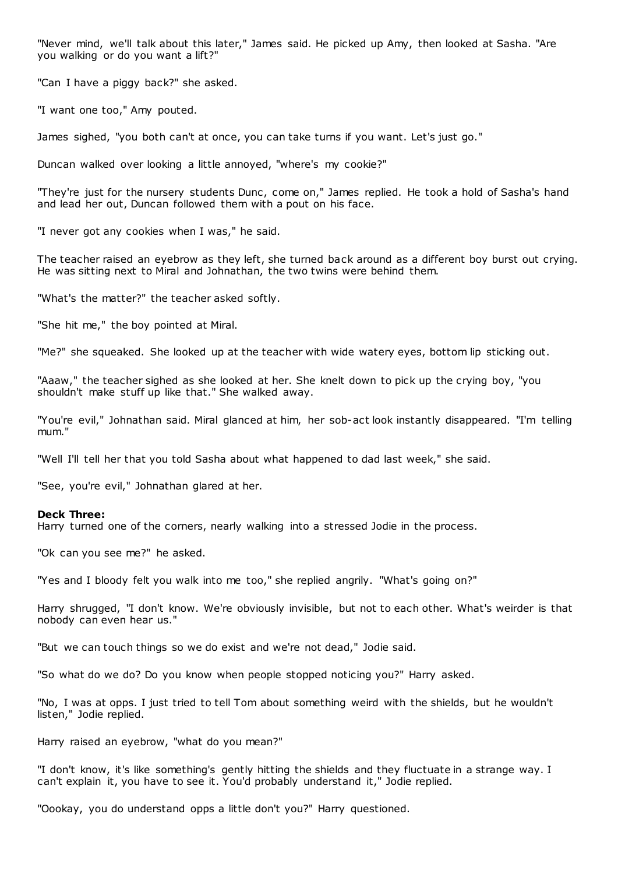"Never mind, we'll talk about this later," James said. He picked up Amy, then looked at Sasha. "Are you walking or do you want a lift?"

"Can I have a piggy back?" she asked.

"I want one too," Amy pouted.

James sighed, "you both can't at once, you can take turns if you want. Let's just go."

Duncan walked over looking a little annoyed, "where's my cookie?"

"They're just for the nursery students Dunc, come on," James replied. He took a hold of Sasha's hand and lead her out, Duncan followed them with a pout on his face.

"I never got any cookies when I was," he said.

The teacher raised an eyebrow as they left, she turned back around as a different boy burst out crying. He was sitting next to Miral and Johnathan, the two twins were behind them.

"What's the matter?" the teacher asked softly.

"She hit me," the boy pointed at Miral.

"Me?" she squeaked. She looked up at the teacher with wide watery eyes, bottom lip sticking out.

"Aaaw," the teacher sighed as she looked at her. She knelt down to pick up the crying boy, "you shouldn't make stuff up like that." She walked away.

"You're evil," Johnathan said. Miral glanced at him, her sob-act look instantly disappeared. "I'm telling mum."

"Well I'll tell her that you told Sasha about what happened to dad last week," she said.

"See, you're evil," Johnathan glared at her.

# **Deck Three:**

Harry turned one of the corners, nearly walking into a stressed Jodie in the process.

"Ok can you see me?" he asked.

"Yes and I bloody felt you walk into me too," she replied angrily. "What's going on?"

Harry shrugged, "I don't know. We're obviously invisible, but not to each other. What's weirder is that nobody can even hear us."

"But we can touch things so we do exist and we're not dead," Jodie said.

"So what do we do? Do you know when people stopped noticing you?" Harry asked.

"No, I was at opps. I just tried to tell Tom about something weird with the shields, but he wouldn't listen," Jodie replied.

Harry raised an eyebrow, "what do you mean?"

"I don't know, it's like something's gently hitting the shields and they fluctuate in a strange way. I can't explain it, you have to see it. You'd probably understand it," Jodie replied.

"Oookay, you do understand opps a little don't you?" Harry questioned.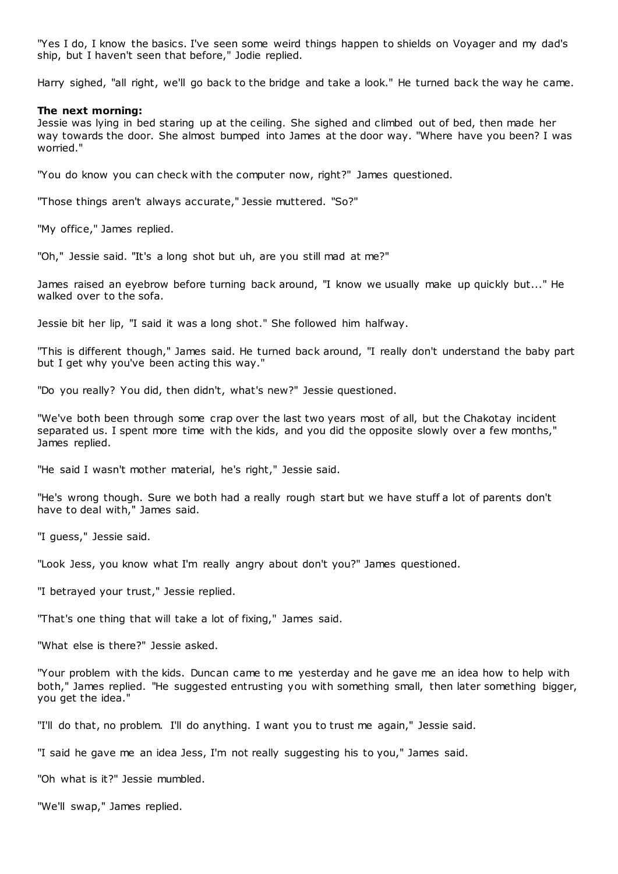"Yes I do, I know the basics. I've seen some weird things happen to shields on Voyager and my dad's ship, but I haven't seen that before," Jodie replied.

Harry sighed, "all right, we'll go back to the bridge and take a look." He turned back the way he came.

#### **The next morning:**

Jessie was lying in bed staring up at the ceiling. She sighed and climbed out of bed, then made her way towards the door. She almost bumped into James at the door way. "Where have you been? I was worried."

"You do know you can check with the computer now, right?" James questioned.

"Those things aren't always accurate," Jessie muttered. "So?"

"My office," James replied.

"Oh," Jessie said. "It's a long shot but uh, are you still mad at me?"

James raised an eyebrow before turning back around, "I know we usually make up quickly but..." He walked over to the sofa.

Jessie bit her lip, "I said it was a long shot." She followed him halfway.

"This is different though," James said. He turned back around, "I really don't understand the baby part but I get why you've been acting this way."

"Do you really? You did, then didn't, what's new?" Jessie questioned.

"We've both been through some crap over the last two years most of all, but the Chakotay incident separated us. I spent more time with the kids, and you did the opposite slowly over a few months," James replied.

"He said I wasn't mother material, he's right," Jessie said.

"He's wrong though. Sure we both had a really rough start but we have stuff a lot of parents don't have to deal with," James said.

"I guess," Jessie said.

"Look Jess, you know what I'm really angry about don't you?" James questioned.

"I betrayed your trust," Jessie replied.

"That's one thing that will take a lot of fixing," James said.

"What else is there?" Jessie asked.

"Your problem with the kids. Duncan came to me yesterday and he gave me an idea how to help with both," James replied. "He suggested entrusting you with something small, then later something bigger, you get the idea."

"I'll do that, no problem. I'll do anything. I want you to trust me again," Jessie said.

"I said he gave me an idea Jess, I'm not really suggesting his to you," James said.

"Oh what is it?" Jessie mumbled.

"We'll swap," James replied.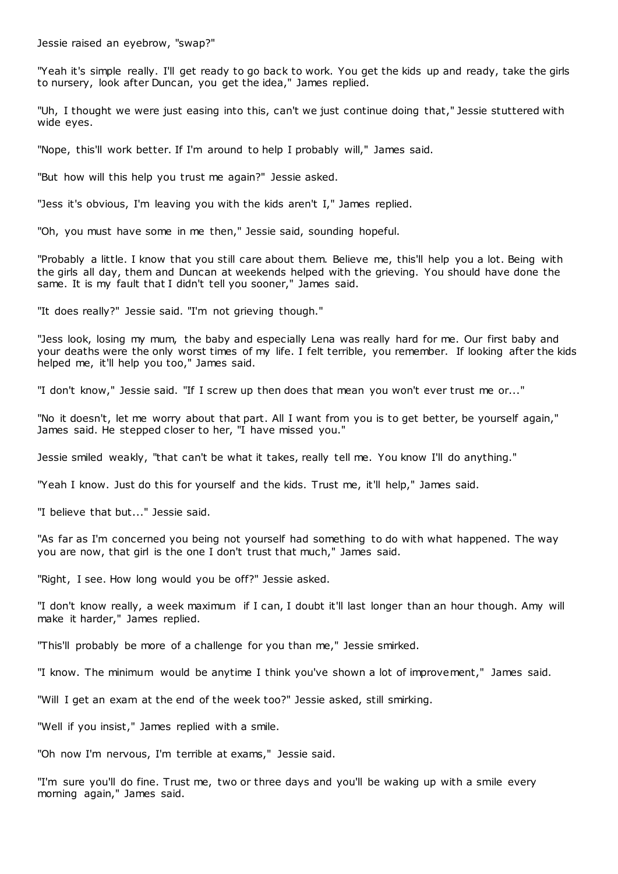Jessie raised an eyebrow, "swap?"

"Yeah it's simple really. I'll get ready to go back to work. You get the kids up and ready, take the girls to nursery, look after Duncan, you get the idea," James replied.

"Uh, I thought we were just easing into this, can't we just continue doing that," Jessie stuttered with wide eyes.

"Nope, this'll work better. If I'm around to help I probably will," James said.

"But how will this help you trust me again?" Jessie asked.

"Jess it's obvious, I'm leaving you with the kids aren't I," James replied.

"Oh, you must have some in me then," Jessie said, sounding hopeful.

"Probably a little. I know that you still care about them. Believe me, this'll help you a lot. Being with the girls all day, them and Duncan at weekends helped with the grieving. You should have done the same. It is my fault that I didn't tell you sooner," James said.

"It does really?" Jessie said. "I'm not grieving though."

"Jess look, losing my mum, the baby and especially Lena was really hard for me. Our first baby and your deaths were the only worst times of my life. I felt terrible, you remember. If looking after the kids helped me, it'll help you too," James said.

"I don't know," Jessie said. "If I screw up then does that mean you won't ever trust me or..."

"No it doesn't, let me worry about that part. All I want from you is to get better, be yourself again," James said. He stepped closer to her, "I have missed you."

Jessie smiled weakly, "that can't be what it takes, really tell me. You know I'll do anything."

"Yeah I know. Just do this for yourself and the kids. Trust me, it'll help," James said.

"I believe that but..." Jessie said.

"As far as I'm concerned you being not yourself had something to do with what happened. The way you are now, that girl is the one I don't trust that much," James said.

"Right, I see. How long would you be off?" Jessie asked.

"I don't know really, a week maximum if I can, I doubt it'll last longer than an hour though. Amy will make it harder," James replied.

"This'll probably be more of a challenge for you than me," Jessie smirked.

"I know. The minimum would be anytime I think you've shown a lot of improvement," James said.

"Will I get an exam at the end of the week too?" Jessie asked, still smirking.

"Well if you insist," James replied with a smile.

"Oh now I'm nervous, I'm terrible at exams," Jessie said.

"I'm sure you'll do fine. Trust me, two or three days and you'll be waking up with a smile every morning again," James said.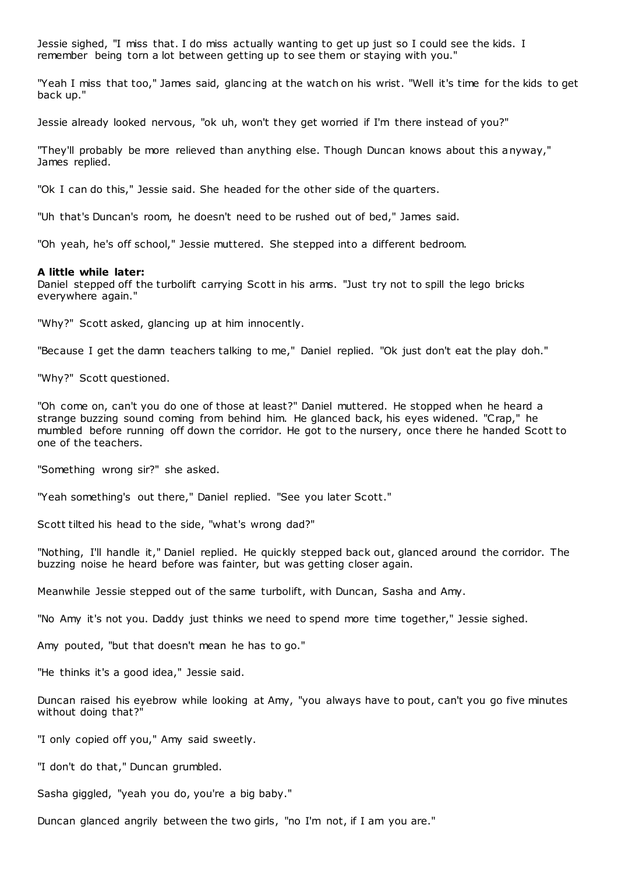Jessie sighed, "I miss that. I do miss actually wanting to get up just so I could see the kids. I remember being torn a lot between getting up to see them or staying with you."

"Yeah I miss that too," James said, glancing at the watch on his wrist. "Well it's time for the kids to get back up."

Jessie already looked nervous, "ok uh, won't they get worried if I'm there instead of you?"

"They'll probably be more relieved than anything else. Though Duncan knows about this anyway," James replied.

"Ok I can do this," Jessie said. She headed for the other side of the quarters.

"Uh that's Duncan's room, he doesn't need to be rushed out of bed," James said.

"Oh yeah, he's off school," Jessie muttered. She stepped into a different bedroom.

# **A little while later:**

Daniel stepped off the turbolift carrying Scott in his arms. "Just try not to spill the lego bricks everywhere again."

"Why?" Scott asked, glancing up at him innocently.

"Because I get the damn teachers talking to me," Daniel replied. "Ok just don't eat the play doh."

"Why?" Scott questioned.

"Oh come on, can't you do one of those at least?" Daniel muttered. He stopped when he heard a strange buzzing sound coming from behind him. He glanced back, his eyes widened. "Crap," he mumbled before running off down the corridor. He got to the nursery, once there he handed Scott to one of the teachers.

"Something wrong sir?" she asked.

"Yeah something's out there," Daniel replied. "See you later Scott."

Scott tilted his head to the side, "what's wrong dad?"

"Nothing, I'll handle it," Daniel replied. He quickly stepped back out, glanced around the corridor. The buzzing noise he heard before was fainter, but was getting closer again.

Meanwhile Jessie stepped out of the same turbolift, with Duncan, Sasha and Amy.

"No Amy it's not you. Daddy just thinks we need to spend more time together," Jessie sighed.

Amy pouted, "but that doesn't mean he has to go."

"He thinks it's a good idea," Jessie said.

Duncan raised his eyebrow while looking at Amy, "you always have to pout, can't you go five minutes without doing that?"

"I only copied off you," Amy said sweetly.

"I don't do that," Duncan grumbled.

Sasha giggled, "yeah you do, you're a big baby."

Duncan glanced angrily between the two girls, "no I'm not, if I am you are."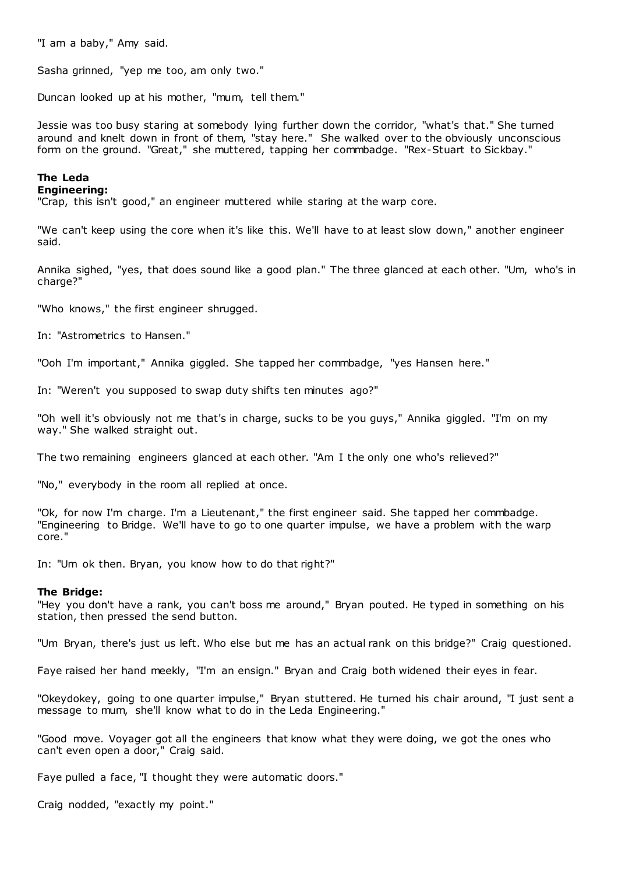"I am a baby," Amy said.

Sasha grinned, "yep me too, am only two."

Duncan looked up at his mother, "mum, tell them."

Jessie was too busy staring at somebody lying further down the corridor, "what's that." She turned around and knelt down in front of them, "stay here." She walked over to the obviously unconscious form on the ground. "Great," she muttered, tapping her commbadge. "Rex-Stuart to Sickbay."

# **The Leda**

# **Engineering:**

"Crap, this isn't good," an engineer muttered while staring at the warp core.

"We can't keep using the core when it's like this. We'll have to at least slow down," another engineer said.

Annika sighed, "yes, that does sound like a good plan." The three glanced at each other. "Um, who's in charge?"

"Who knows," the first engineer shrugged.

In: "Astrometrics to Hansen."

"Ooh I'm important," Annika giggled. She tapped her commbadge, "yes Hansen here."

In: "Weren't you supposed to swap duty shifts ten minutes ago?"

"Oh well it's obviously not me that's in charge, sucks to be you guys," Annika giggled. "I'm on my way." She walked straight out.

The two remaining engineers glanced at each other. "Am I the only one who's relieved?"

"No," everybody in the room all replied at once.

"Ok, for now I'm charge. I'm a Lieutenant," the first engineer said. She tapped her commbadge. "Engineering to Bridge. We'll have to go to one quarter impulse, we have a problem with the warp core."

In: "Um ok then. Bryan, you know how to do that right?"

# **The Bridge:**

"Hey you don't have a rank, you can't boss me around," Bryan pouted. He typed in something on his station, then pressed the send button.

"Um Bryan, there's just us left. Who else but me has an actual rank on this bridge?" Craig questioned.

Faye raised her hand meekly, "I'm an ensign." Bryan and Craig both widened their eyes in fear.

"Okeydokey, going to one quarter impulse," Bryan stuttered. He turned his chair around, "I just sent a message to mum, she'll know what to do in the Leda Engineering."

"Good move. Voyager got all the engineers that know what they were doing, we got the ones who can't even open a door," Craig said.

Faye pulled a face, "I thought they were automatic doors."

Craig nodded, "exactly my point."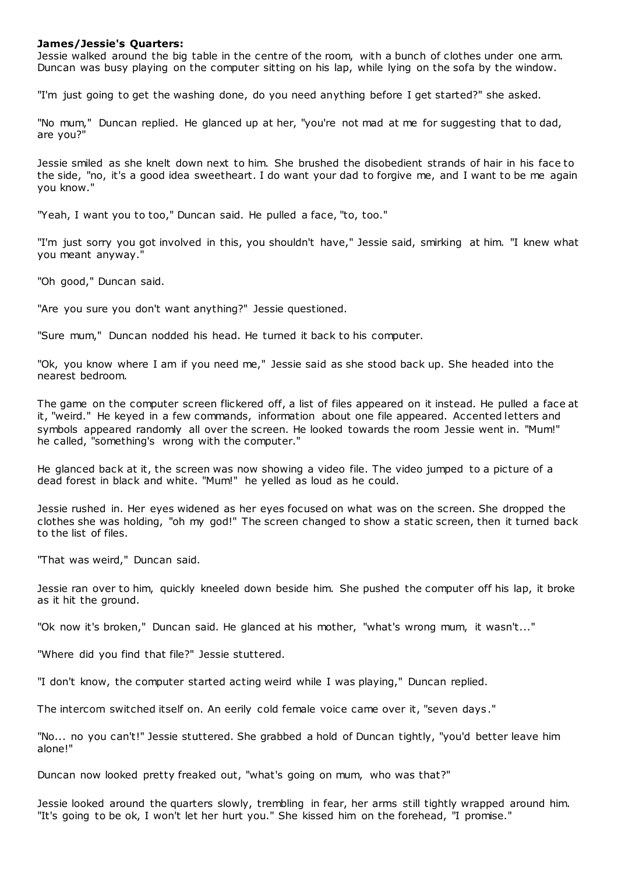# **James/Jessie's Quarters:**

Jessie walked around the big table in the centre of the room, with a bunch of clothes under one arm. Duncan was busy playing on the computer sitting on his lap, while lying on the sofa by the window.

"I'm just going to get the washing done, do you need anything before I get started?" she asked.

"No mum," Duncan replied. He glanced up at her, "you're not mad at me for suggesting that to dad, are you?"

Jessie smiled as she knelt down next to him. She brushed the disobedient strands of hair in his face to the side, "no, it's a good idea sweetheart. I do want your dad to forgive me, and I want to be me again you know."

"Yeah, I want you to too," Duncan said. He pulled a face, "to, too."

"I'm just sorry you got involved in this, you shouldn't have," Jessie said, smirking at him. "I knew what you meant anyway."

"Oh good," Duncan said.

"Are you sure you don't want anything?" Jessie questioned.

"Sure mum," Duncan nodded his head. He turned it back to his computer.

"Ok, you know where I am if you need me," Jessie said as she stood back up. She headed into the nearest bedroom.

The game on the computer screen flickered off, a list of files appeared on it instead. He pulled a face at it, "weird." He keyed in a few commands, information about one file appeared. Accented letters and symbols appeared randomly all over the screen. He looked towards the room Jessie went in. "Mum!" he called, "something's wrong with the computer."

He glanced back at it, the screen was now showing a video file. The video jumped to a picture of a dead forest in black and white. "Mum!" he yelled as loud as he could.

Jessie rushed in. Her eyes widened as her eyes focused on what was on the screen. She dropped the clothes she was holding, "oh my god!" The screen changed to show a static screen, then it turned back to the list of files.

"That was weird," Duncan said.

Jessie ran over to him, quickly kneeled down beside him. She pushed the computer off his lap, it broke as it hit the ground.

"Ok now it's broken," Duncan said. He glanced at his mother, "what's wrong mum, it wasn't..."

"Where did you find that file?" Jessie stuttered.

"I don't know, the computer started acting weird while I was playing," Duncan replied.

The intercom switched itself on. An eerily cold female voice came over it, "seven days ."

"No... no you can't!" Jessie stuttered. She grabbed a hold of Duncan tightly, "you'd better leave him alone!"

Duncan now looked pretty freaked out, "what's going on mum, who was that?"

Jessie looked around the quarters slowly, trembling in fear, her arms still tightly wrapped around him. "It's going to be ok, I won't let her hurt you." She kissed him on the forehead, "I promise."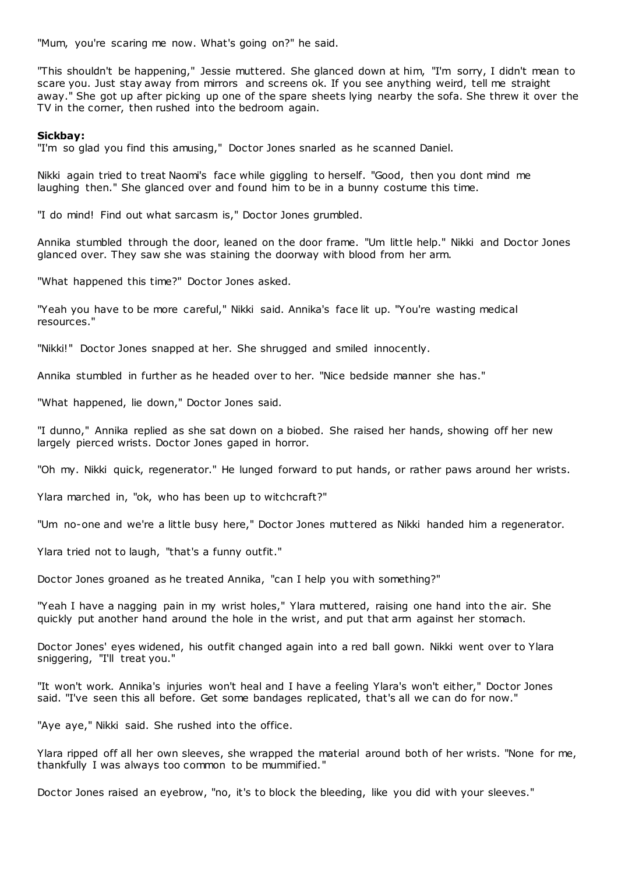"Mum, you're scaring me now. What's going on?" he said.

"This shouldn't be happening," Jessie muttered. She glanced down at him, "I'm sorry, I didn't mean to scare you. Just stay away from mirrors and screens ok. If you see anything weird, tell me straight away." She got up after picking up one of the spare sheets lying nearby the sofa. She threw it over the TV in the corner, then rushed into the bedroom again.

# **Sickbay:**

"I'm so glad you find this amusing," Doctor Jones snarled as he scanned Daniel.

Nikki again tried to treat Naomi's face while giggling to herself. "Good, then you dont mind me laughing then." She glanced over and found him to be in a bunny costume this time.

"I do mind! Find out what sarcasm is," Doctor Jones grumbled.

Annika stumbled through the door, leaned on the door frame. "Um little help." Nikki and Doctor Jones glanced over. They saw she was staining the doorway with blood from her arm.

"What happened this time?" Doctor Jones asked.

"Yeah you have to be more careful," Nikki said. Annika's face lit up. "You're wasting medical resources."

"Nikki!" Doctor Jones snapped at her. She shrugged and smiled innocently.

Annika stumbled in further as he headed over to her. "Nice bedside manner she has."

"What happened, lie down," Doctor Jones said.

"I dunno," Annika replied as she sat down on a biobed. She raised her hands, showing off her new largely pierced wrists. Doctor Jones gaped in horror.

"Oh my. Nikki quick, regenerator." He lunged forward to put hands, or rather paws around her wrists.

Ylara marched in, "ok, who has been up to witchcraft?"

"Um no-one and we're a little busy here," Doctor Jones muttered as Nikki handed him a regenerator.

Ylara tried not to laugh, "that's a funny outfit."

Doctor Jones groaned as he treated Annika, "can I help you with something?"

"Yeah I have a nagging pain in my wrist holes," Ylara muttered, raising one hand into the air. She quickly put another hand around the hole in the wrist, and put that arm against her stomach.

Doctor Jones' eyes widened, his outfit changed again into a red ball gown. Nikki went over to Ylara sniggering, "I'll treat you."

"It won't work. Annika's injuries won't heal and I have a feeling Ylara's won't either," Doctor Jones said. "I've seen this all before. Get some bandages replicated, that's all we can do for now."

"Aye aye," Nikki said. She rushed into the office.

Ylara ripped off all her own sleeves, she wrapped the material around both of her wrists. "None for me, thankfully I was always too common to be mummified."

Doctor Jones raised an eyebrow, "no, it's to block the bleeding, like you did with your sleeves."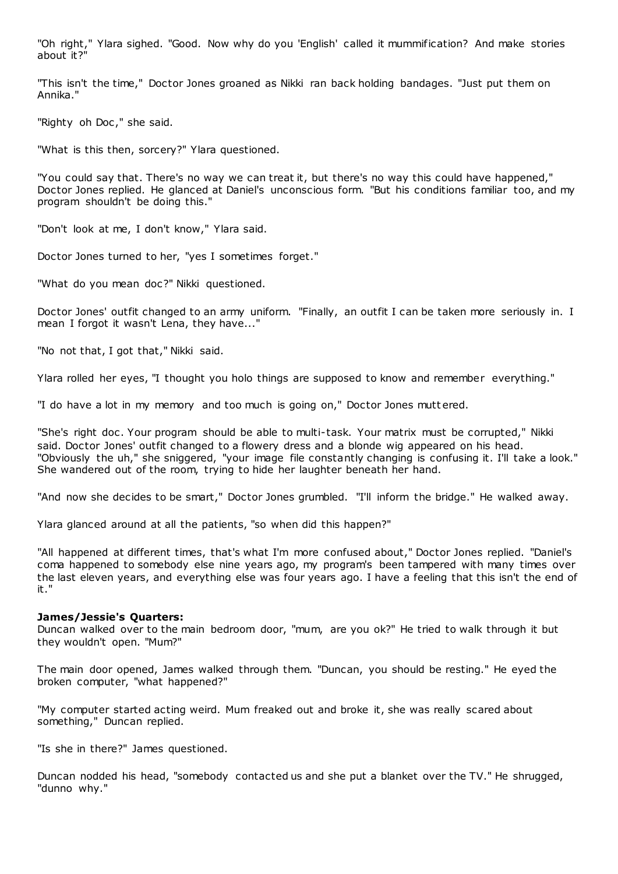"Oh right," Ylara sighed. "Good. Now why do you 'English' called it mummification? And make stories about it?"

"This isn't the time," Doctor Jones groaned as Nikki ran back holding bandages. "Just put them on Annika."

"Righty oh Doc," she said.

"What is this then, sorcery?" Ylara questioned.

"You could say that. There's no way we can treat it, but there's no way this could have happened," Doctor Jones replied. He glanced at Daniel's unconscious form. "But his conditions familiar too, and my program shouldn't be doing this."

"Don't look at me, I don't know," Ylara said.

Doctor Jones turned to her, "yes I sometimes forget."

"What do you mean doc?" Nikki questioned.

Doctor Jones' outfit changed to an army uniform. "Finally, an outfit I can be taken more seriously in. I mean I forgot it wasn't Lena, they have..."

"No not that, I got that," Nikki said.

Ylara rolled her eyes, "I thought you holo things are supposed to know and remember everything."

"I do have a lot in my memory and too much is going on," Doctor Jones mutt ered.

"She's right doc . Your program should be able to multi-task. Your matrix must be corrupted," Nikki said. Doctor Jones' outfit changed to a flowery dress and a blonde wig appeared on his head. "Obviously the uh," she sniggered, "your image file constantly changing is confusing it. I'll take a look." She wandered out of the room, trying to hide her laughter beneath her hand.

"And now she decides to be smart," Doctor Jones grumbled. "I'll inform the bridge." He walked away.

Ylara glanced around at all the patients, "so when did this happen?"

"All happened at different times, that's what I'm more confused about," Doctor Jones replied. "Daniel's coma happened to somebody else nine years ago, my program's been tampered with many times over the last eleven years, and everything else was four years ago. I have a feeling that this isn't the end of it."

## **James/Jessie's Quarters:**

Duncan walked over to the main bedroom door, "mum, are you ok?" He tried to walk through it but they wouldn't open. "Mum?"

The main door opened, James walked through them. "Duncan, you should be resting." He eyed the broken computer, "what happened?"

"My computer started acting weird. Mum freaked out and broke it, she was really scared about something," Duncan replied.

"Is she in there?" James questioned.

Duncan nodded his head, "somebody contacted us and she put a blanket over the TV." He shrugged, "dunno why."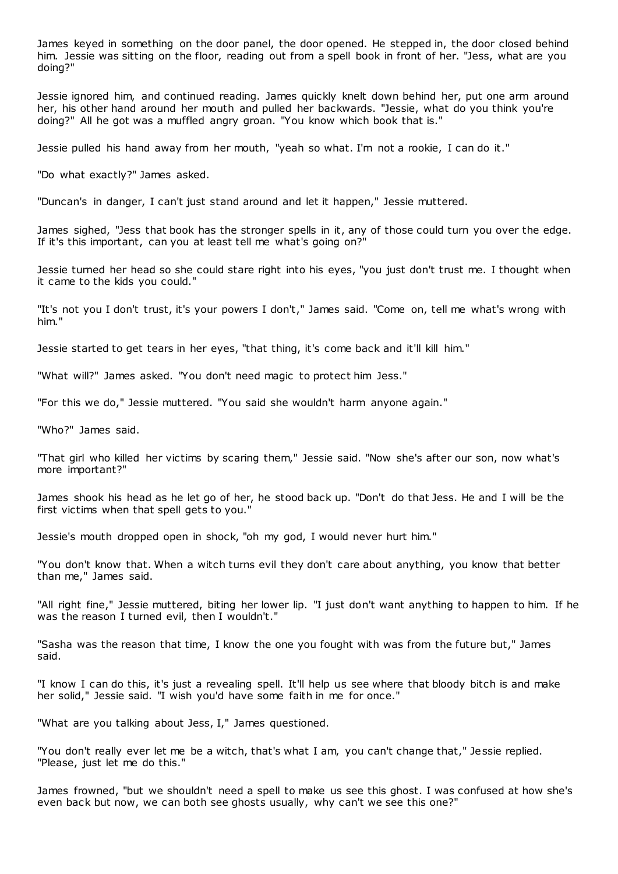James keyed in something on the door panel, the door opened. He stepped in, the door closed behind him. Jessie was sitting on the floor, reading out from a spell book in front of her. "Jess, what are you doing?"

Jessie ignored him, and continued reading. James quickly knelt down behind her, put one arm around her, his other hand around her mouth and pulled her backwards. "Jessie, what do you think you're doing?" All he got was a muffled angry groan. "You know which book that is."

Jessie pulled his hand away from her mouth, "yeah so what. I'm not a rookie, I can do it."

"Do what exactly?" James asked.

"Duncan's in danger, I can't just stand around and let it happen," Jessie muttered.

James sighed, "Jess that book has the stronger spells in it, any of those could turn you over the edge. If it's this important, can you at least tell me what's going on?"

Jessie turned her head so she could stare right into his eyes, "you just don't trust me. I thought when it came to the kids you could."

"It's not you I don't trust, it's your powers I don't," James said. "Come on, tell me what's wrong with him."

Jessie started to get tears in her eyes, "that thing, it's come back and it'll kill him."

"What will?" James asked. "You don't need magic to protect him Jess."

"For this we do," Jessie muttered. "You said she wouldn't harm anyone again."

"Who?" James said.

"That girl who killed her victims by scaring them," Jessie said. "Now she's after our son, now what's more important?"

James shook his head as he let go of her, he stood back up. "Don't do that Jess. He and I will be the first victims when that spell gets to you."

Jessie's mouth dropped open in shock, "oh my god, I would never hurt him."

"You don't know that. When a witch turns evil they don't care about anything, you know that better than me," James said.

"All right fine," Jessie muttered, biting her lower lip. "I just don't want anything to happen to him. If he was the reason I turned evil, then I wouldn't."

"Sasha was the reason that time, I know the one you fought with was from the future but," James said.

"I know I can do this, it's just a revealing spell. It'll help us see where that bloody bitch is and make her solid," Jessie said. "I wish you'd have some faith in me for once."

"What are you talking about Jess, I," James questioned.

"You don't really ever let me be a witch, that's what I am, you can't change that," Jessie replied. "Please, just let me do this."

James frowned, "but we shouldn't need a spell to make us see this ghost. I was confused at how she's even back but now, we can both see ghosts usually, why can't we see this one?"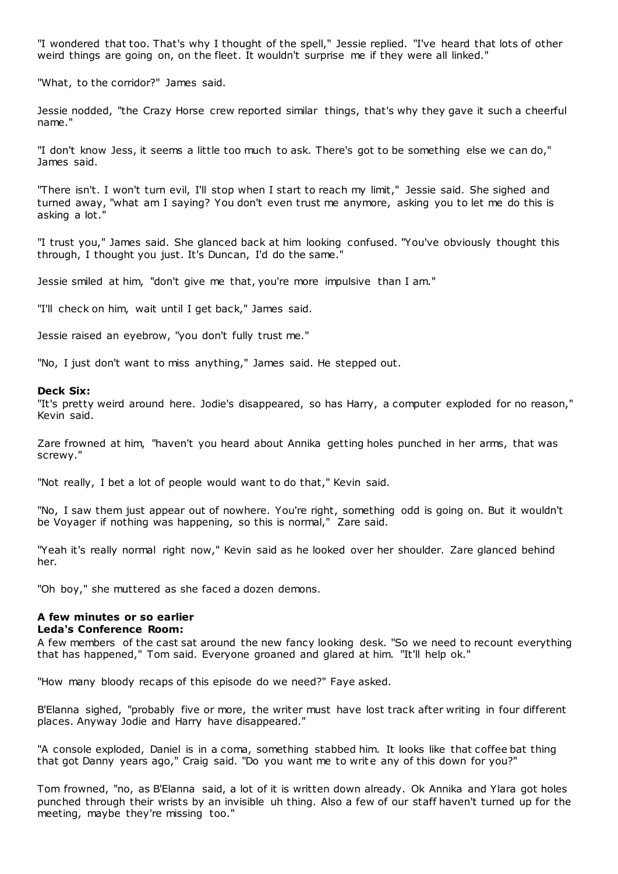"I wondered that too. That's why I thought of the spell," Jessie replied. "I've heard that lots of other weird things are going on, on the fleet. It wouldn't surprise me if they were all linked."

"What, to the corridor?" James said.

Jessie nodded, "the Crazy Horse crew reported similar things, that's why they gave it such a cheerful name."

"I don't know Jess, it seems a little too much to ask. There's got to be something else we can do," James said.

"There isn't. I won't turn evil, I'll stop when I start to reach my limit," Jessie said. She sighed and turned away, "what am I saying? You don't even trust me anymore, asking you to let me do this is asking a lot."

"I trust you," James said. She glanced back at him looking confused. "You've obviously thought this through, I thought you just. It's Duncan, I'd do the same."

Jessie smiled at him, "don't give me that, you're more impulsive than I am."

"I'll check on him, wait until I get back," James said.

Jessie raised an eyebrow, "you don't fully trust me."

"No, I just don't want to miss anything," James said. He stepped out.

# **Deck Six:**

"It's pretty weird around here. Jodie's disappeared, so has Harry, a computer exploded for no reason," Kevin said.

Zare frowned at him, "haven't you heard about Annika getting holes punched in her arms, that was screwy."

"Not really, I bet a lot of people would want to do that," Kevin said.

"No, I saw them just appear out of nowhere. You're right, something odd is going on. But it wouldn't be Voyager if nothing was happening, so this is normal," Zare said.

"Yeah it's really normal right now," Kevin said as he looked over her shoulder. Zare glanced behind her.

"Oh boy," she muttered as she faced a dozen demons.

# **A few minutes or so earlier Leda's Conference Room:**

A few members of the cast sat around the new fancy looking desk. "So we need to recount everything that has happened," Tom said. Everyone groaned and glared at him. "It'll help ok."

"How many bloody recaps of this episode do we need?" Faye asked.

B'Elanna sighed, "probably five or more, the writer must have lost track after writing in four different places. Anyway Jodie and Harry have disappeared."

"A console exploded, Daniel is in a coma, something stabbed him. It looks like that coffee bat thing that got Danny years ago," Craig said. "Do you want me to write any of this down for you?"

Tom frowned, "no, as B'Elanna said, a lot of it is written down already. Ok Annika and Ylara got holes punched through their wrists by an invisible uh thing. Also a few of our staff haven't turned up for the meeting, maybe they're missing too."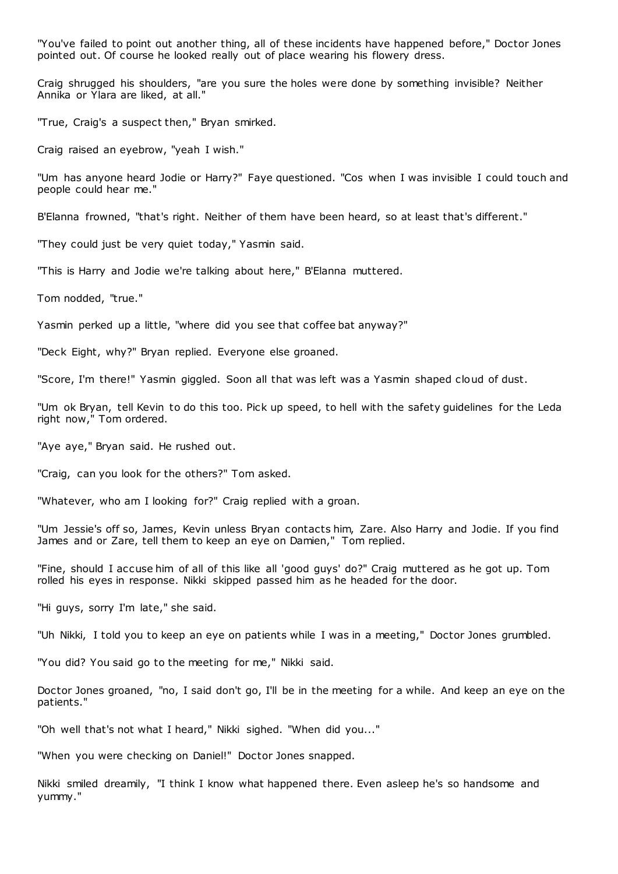"You've failed to point out another thing, all of these incidents have happened before," Doctor Jones pointed out. Of course he looked really out of place wearing his flowery dress.

Craig shrugged his shoulders, "are you sure the holes were done by something invisible? Neither Annika or Ylara are liked, at all."

"True, Craig's a suspect then," Bryan smirked.

Craig raised an eyebrow, "yeah I wish."

"Um has anyone heard Jodie or Harry?" Faye questioned. "Cos when I was invisible I could touch and people could hear me."

B'Elanna frowned, "that's right. Neither of them have been heard, so at least that's different."

"They could just be very quiet today," Yasmin said.

"This is Harry and Jodie we're talking about here," B'Elanna muttered.

Tom nodded, "true."

Yasmin perked up a little, "where did you see that coffee bat anyway?"

"Deck Eight, why?" Bryan replied. Everyone else groaned.

"Score, I'm there!" Yasmin giggled. Soon all that was left was a Yasmin shaped cloud of dust.

"Um ok Bryan, tell Kevin to do this too. Pick up speed, to hell with the safety guidelines for the Leda right now," Tom ordered.

"Aye aye," Bryan said. He rushed out.

"Craig, can you look for the others?" Tom asked.

"Whatever, who am I looking for?" Craig replied with a groan.

"Um Jessie's off so, James, Kevin unless Bryan contacts him, Zare. Also Harry and Jodie. If you find James and or Zare, tell them to keep an eye on Damien," Tom replied.

"Fine, should I accuse him of all of this like all 'good guys' do?" Craig muttered as he got up. Tom rolled his eyes in response. Nikki skipped passed him as he headed for the door.

"Hi guys, sorry I'm late," she said.

"Uh Nikki, I told you to keep an eye on patients while I was in a meeting," Doctor Jones grumbled.

"You did? You said go to the meeting for me," Nikki said.

Doctor Jones groaned, "no, I said don't go, I'll be in the meeting for a while. And keep an eye on the patients."

"Oh well that's not what I heard," Nikki sighed. "When did you..."

"When you were checking on Daniel!" Doctor Jones snapped.

Nikki smiled dreamily, "I think I know what happened there. Even asleep he's so handsome and yummy."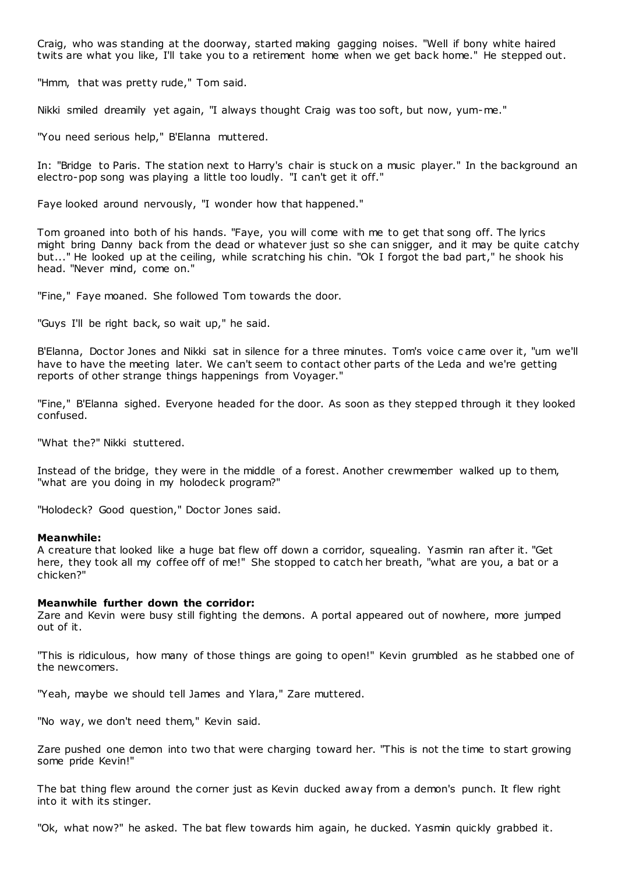Craig, who was standing at the doorway, started making gagging noises. "Well if bony white haired twits are what you like, I'll take you to a retirement home when we get back home." He stepped out.

"Hmm, that was pretty rude," Tom said.

Nikki smiled dreamily yet again, "I always thought Craig was too soft, but now, yum-me."

"You need serious help," B'Elanna muttered.

In: "Bridge to Paris. The station next to Harry's chair is stuck on a music player." In the background an electro-pop song was playing a little too loudly. "I can't get it off."

Faye looked around nervously, "I wonder how that happened."

Tom groaned into both of his hands. "Faye, you will come with me to get that song off. The lyrics might bring Danny back from the dead or whatever just so she can snigger, and it may be quite catchy but..." He looked up at the ceiling, while scratching his chin. "Ok I forgot the bad part," he shook his head. "Never mind, come on."

"Fine," Faye moaned. She followed Tom towards the door.

"Guys I'll be right back, so wait up," he said.

B'Elanna, Doctor Jones and Nikki sat in silence for a three minutes. Tom's voice c ame over it, "um we'll have to have the meeting later. We can't seem to contact other parts of the Leda and we're getting reports of other strange things happenings from Voyager."

"Fine," B'Elanna sighed. Everyone headed for the door. As soon as they stepped through it they looked confused.

"What the?" Nikki stuttered.

Instead of the bridge, they were in the middle of a forest. Another crewmember walked up to them, "what are you doing in my holodeck program?"

"Holodeck? Good question," Doctor Jones said.

## **Meanwhile:**

A creature that looked like a huge bat flew off down a corridor, squealing. Yasmin ran after it. "Get here, they took all my coffee off of me!" She stopped to catch her breath, "what are you, a bat or a chicken?"

#### **Meanwhile further down the corridor:**

Zare and Kevin were busy still fighting the demons. A portal appeared out of nowhere, more jumped out of it.

"This is ridiculous, how many of those things are going to open!" Kevin grumbled as he stabbed one of the newcomers.

"Yeah, maybe we should tell James and Ylara," Zare muttered.

"No way, we don't need them," Kevin said.

Zare pushed one demon into two that were charging toward her. "This is not the time to start growing some pride Kevin!"

The bat thing flew around the corner just as Kevin ducked away from a demon's punch. It flew right into it with its stinger.

"Ok, what now?" he asked. The bat flew towards him again, he ducked. Yasmin quickly grabbed it.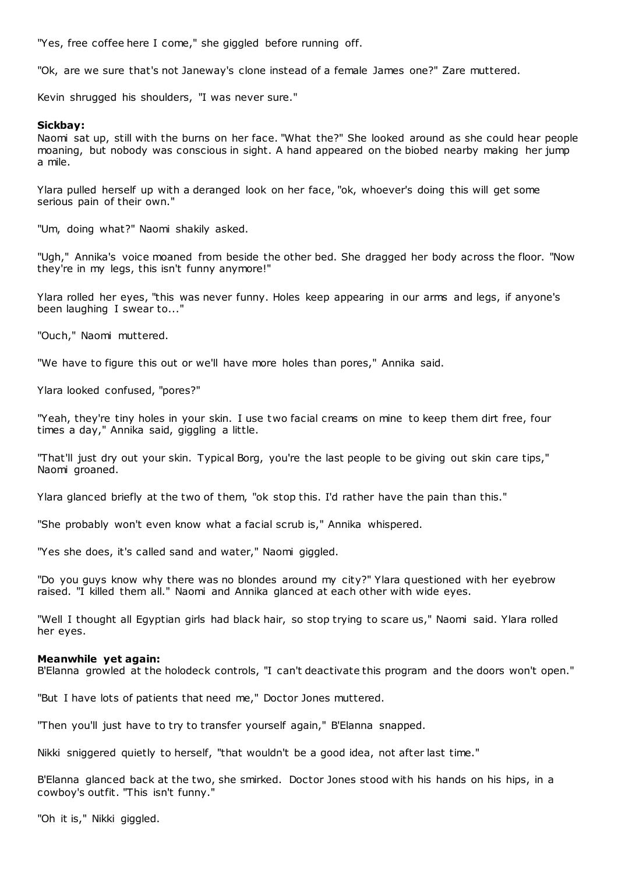"Yes, free coffee here I come," she giggled before running off.

"Ok, are we sure that's not Janeway's clone instead of a female James one?" Zare muttered.

Kevin shrugged his shoulders, "I was never sure."

# **Sickbay:**

Naomi sat up, still with the burns on her face. "What the?" She looked around as she could hear people moaning, but nobody was conscious in sight. A hand appeared on the biobed nearby making her jump a mile.

Ylara pulled herself up with a deranged look on her face, "ok, whoever's doing this will get some serious pain of their own."

"Um, doing what?" Naomi shakily asked.

"Ugh," Annika's voice moaned from beside the other bed. She dragged her body across the floor. "Now they're in my legs, this isn't funny anymore!"

Ylara rolled her eyes, "this was never funny. Holes keep appearing in our arms and legs, if anyone's been laughing I swear to..."

"Ouch," Naomi muttered.

"We have to figure this out or we'll have more holes than pores," Annika said.

Ylara looked confused, "pores?"

"Yeah, they're tiny holes in your skin. I use two facial creams on mine to keep them dirt free, four times a day," Annika said, giggling a little.

"That'll just dry out your skin. Typical Borg, you're the last people to be giving out skin care tips," Naomi groaned.

Ylara glanced briefly at the two of them, "ok stop this. I'd rather have the pain than this."

"She probably won't even know what a facial scrub is," Annika whispered.

"Yes she does, it's called sand and water," Naomi giggled.

"Do you guys know why there was no blondes around my city?" Ylara questioned with her eyebrow raised. "I killed them all." Naomi and Annika glanced at each other with wide eyes.

"Well I thought all Egyptian girls had black hair, so stop trying to scare us," Naomi said. Ylara rolled her eyes.

# **Meanwhile yet again:**

B'Elanna growled at the holodeck controls, "I can't deactivate this program and the doors won't open."

"But I have lots of patients that need me," Doctor Jones muttered.

"Then you'll just have to try to transfer yourself again," B'Elanna snapped.

Nikki sniggered quietly to herself, "that wouldn't be a good idea, not after last time."

B'Elanna glanced back at the two, she smirked. Doctor Jones stood with his hands on his hips, in a cowboy's outfit. "This isn't funny."

"Oh it is," Nikki giggled.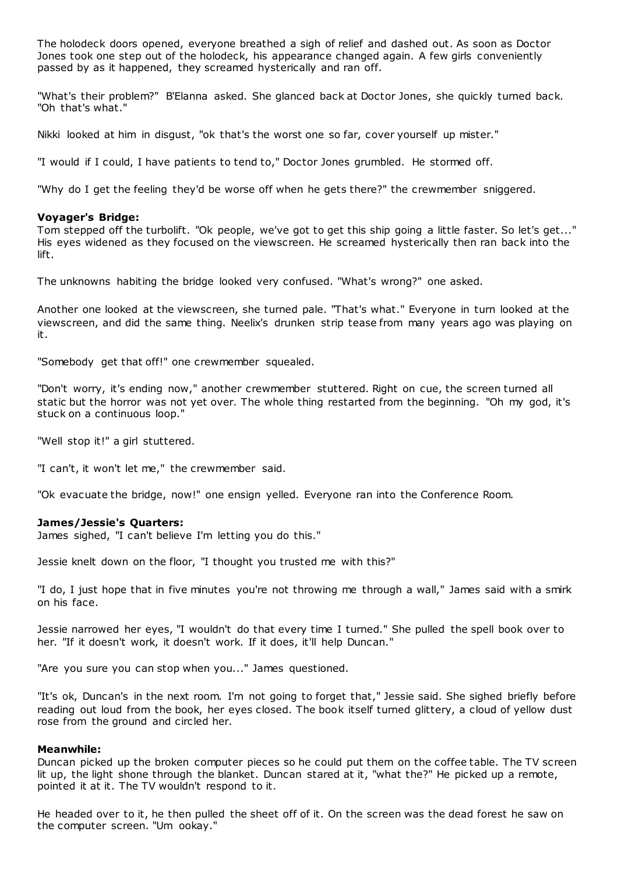The holodeck doors opened, everyone breathed a sigh of relief and dashed out. As soon as Doctor Jones took one step out of the holodeck, his appearance changed again. A few girls conveniently passed by as it happened, they screamed hysterically and ran off.

"What's their problem?" B'Elanna asked. She glanced back at Doctor Jones, she quickly turned back. "Oh that's what."

Nikki looked at him in disgust, "ok that's the worst one so far, cover yourself up mister."

"I would if I could, I have patients to tend to," Doctor Jones grumbled. He stormed off.

"Why do I get the feeling they'd be worse off when he gets there?" the crewmember sniggered.

### **Voyager's Bridge:**

Tom stepped off the turbolift. "Ok people, we've got to get this ship going a little faster. So let's get..." His eyes widened as they focused on the viewscreen. He screamed hysterically then ran back into the lift.

The unknowns habiting the bridge looked very confused. "What's wrong?" one asked.

Another one looked at the viewscreen, she turned pale. "That's what." Everyone in turn looked at the viewscreen, and did the same thing. Neelix's drunken strip tease from many years ago was playing on it.

"Somebody get that off!" one crewmember squealed.

"Don't worry, it's ending now," another crewmember stuttered. Right on cue, the screen turned all static but the horror was not yet over. The whole thing restarted from the beginning. "Oh my god, it's stuck on a continuous loop."

"Well stop it!" a girl stuttered.

"I can't, it won't let me," the crewmember said.

"Ok evacuate the bridge, now!" one ensign yelled. Everyone ran into the Conference Room.

#### **James/Jessie's Quarters:**

James sighed, "I can't believe I'm letting you do this."

Jessie knelt down on the floor, "I thought you trusted me with this?"

"I do, I just hope that in five minutes you're not throwing me through a wall," James said with a smirk on his face.

Jessie narrowed her eyes, "I wouldn't do that every time I turned." She pulled the spell book over to her. "If it doesn't work, it doesn't work. If it does, it'll help Duncan."

"Are you sure you can stop when you..." James questioned.

"It's ok, Duncan's in the next room. I'm not going to forget that," Jessie said. She sighed briefly before reading out loud from the book, her eyes closed. The book itself turned glittery, a cloud of yellow dust rose from the ground and circled her.

### **Meanwhile:**

Duncan picked up the broken computer pieces so he could put them on the coffee table. The TV screen lit up, the light shone through the blanket. Duncan stared at it, "what the?" He picked up a remote, pointed it at it. The TV wouldn't respond to it.

He headed over to it, he then pulled the sheet off of it. On the screen was the dead forest he saw on the computer screen. "Um ookay."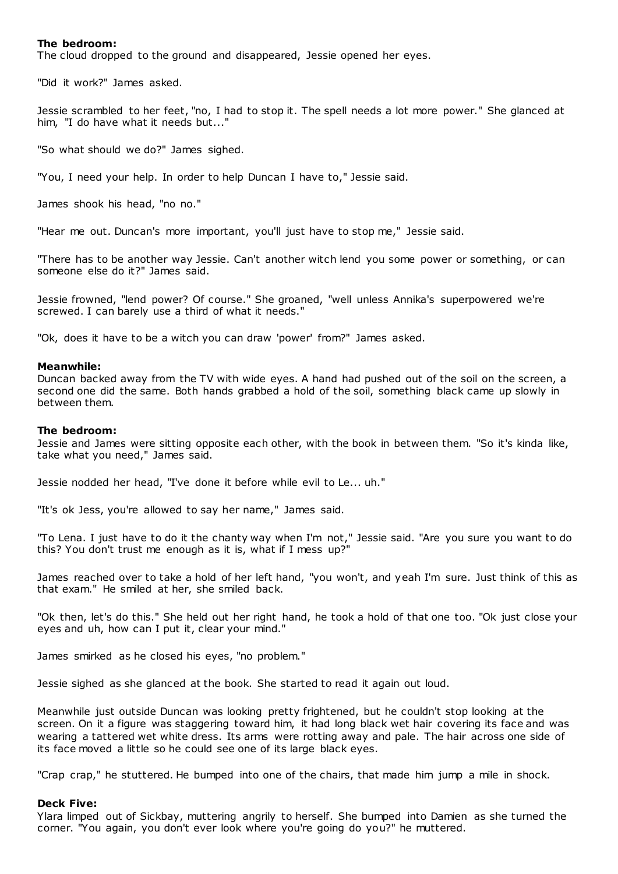# **The bedroom:**

The cloud dropped to the ground and disappeared, Jessie opened her eyes.

"Did it work?" James asked.

Jessie scrambled to her feet, "no, I had to stop it. The spell needs a lot more power." She glanced at him, "I do have what it needs but..."

"So what should we do?" James sighed.

"You, I need your help. In order to help Duncan I have to," Jessie said.

James shook his head, "no no."

"Hear me out. Duncan's more important, you'll just have to stop me," Jessie said.

"There has to be another way Jessie. Can't another witch lend you some power or something, or can someone else do it?" James said.

Jessie frowned, "lend power? Of course." She groaned, "well unless Annika's superpowered we're screwed. I can barely use a third of what it needs."

"Ok, does it have to be a witch you can draw 'power' from?" James asked.

#### **Meanwhile:**

Duncan backed away from the TV with wide eyes. A hand had pushed out of the soil on the screen, a second one did the same. Both hands grabbed a hold of the soil, something black came up slowly in between them.

# **The bedroom:**

Jessie and James were sitting opposite each other, with the book in between them. "So it's kinda like, take what you need," James said.

Jessie nodded her head, "I've done it before while evil to Le... uh."

"It's ok Jess, you're allowed to say her name," James said.

"To Lena. I just have to do it the chanty way when I'm not," Jessie said. "Are you sure you want to do this? You don't trust me enough as it is, what if I mess up?"

James reached over to take a hold of her left hand, "you won't, and yeah I'm sure. Just think of this as that exam." He smiled at her, she smiled back.

"Ok then, let's do this." She held out her right hand, he took a hold of that one too. "Ok just close your eyes and uh, how can I put it, clear your mind."

James smirked as he closed his eyes, "no problem."

Jessie sighed as she glanced at the book. She started to read it again out loud.

Meanwhile just outside Duncan was looking pretty frightened, but he couldn't stop looking at the screen. On it a figure was staggering toward him, it had long black wet hair covering its face and was wearing a tattered wet white dress. Its arms were rotting away and pale. The hair across one side of its face moved a little so he could see one of its large black eyes.

"Crap crap," he stuttered. He bumped into one of the chairs, that made him jump a mile in shock.

#### **Deck Five:**

Ylara limped out of Sickbay, muttering angrily to herself. She bumped into Damien as she turned the corner. "You again, you don't ever look where you're going do you?" he muttered.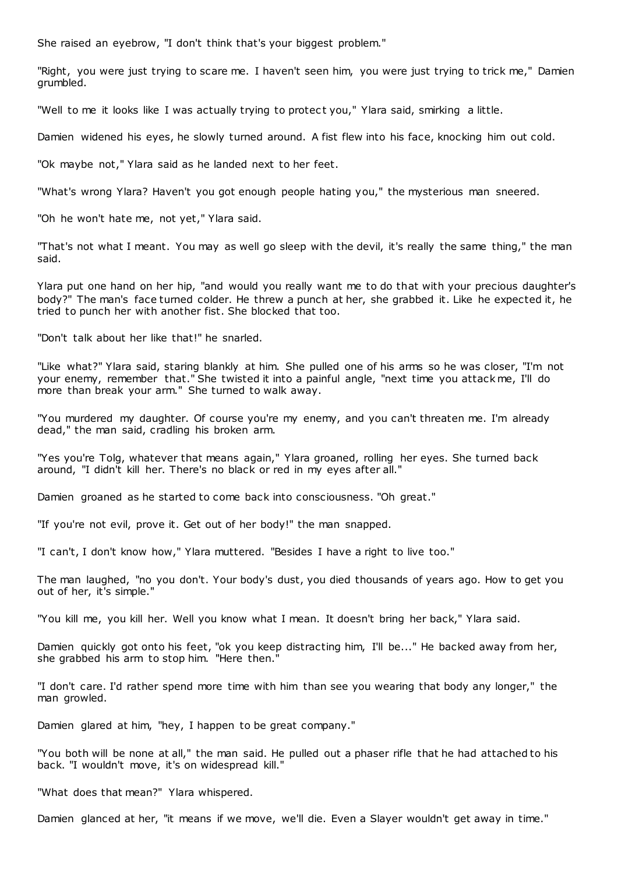She raised an eyebrow, "I don't think that's your biggest problem."

"Right, you were just trying to scare me. I haven't seen him, you were just trying to trick me," Damien grumbled.

"Well to me it looks like I was actually trying to protect you," Ylara said, smirking a little.

Damien widened his eyes, he slowly turned around. A fist flew into his face, knocking him out cold.

"Ok maybe not," Ylara said as he landed next to her feet.

"What's wrong Ylara? Haven't you got enough people hating you," the mysterious man sneered.

"Oh he won't hate me, not yet," Ylara said.

"That's not what I meant. You may as well go sleep with the devil, it's really the same thing," the man said.

Ylara put one hand on her hip, "and would you really want me to do that with your precious daughter's body?" The man's face turned colder. He threw a punch at her, she grabbed it. Like he expected it, he tried to punch her with another fist. She blocked that too.

"Don't talk about her like that!" he snarled.

"Like what?" Ylara said, staring blankly at him. She pulled one of his arms so he was closer, "I'm not your enemy, remember that." She twisted it into a painful angle, "next time you attack me, I'll do more than break your arm." She turned to walk away.

"You murdered my daughter. Of course you're my enemy, and you can't threaten me. I'm already dead," the man said, cradling his broken arm.

"Yes you're Tolg, whatever that means again," Ylara groaned, rolling her eyes. She turned back around, "I didn't kill her. There's no black or red in my eyes after all."

Damien groaned as he started to come back into consciousness. "Oh great."

"If you're not evil, prove it. Get out of her body!" the man snapped.

"I can't, I don't know how," Ylara muttered. "Besides I have a right to live too."

The man laughed, "no you don't. Your body's dust, you died thousands of years ago. How to get you out of her, it's simple."

"You kill me, you kill her. Well you know what I mean. It doesn't bring her back," Ylara said.

Damien quickly got onto his feet, "ok you keep distracting him, I'll be..." He backed away from her, she grabbed his arm to stop him. "Here then."

"I don't care. I'd rather spend more time with him than see you wearing that body any longer," the man growled.

Damien glared at him, "hey, I happen to be great company."

"You both will be none at all," the man said. He pulled out a phaser rifle that he had attached to his back. "I wouldn't move, it's on widespread kill."

"What does that mean?" Ylara whispered.

Damien glanced at her, "it means if we move, we'll die. Even a Slayer wouldn't get away in time."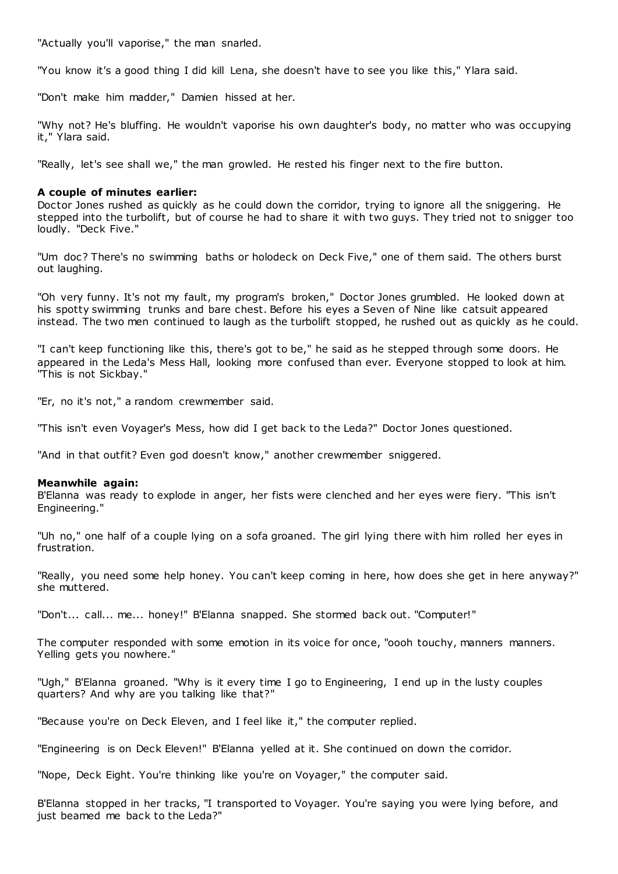"Actually you'll vaporise," the man snarled.

"You know it's a good thing I did kill Lena, she doesn't have to see you like this," Ylara said.

"Don't make him madder," Damien hissed at her.

"Why not? He's bluffing. He wouldn't vaporise his own daughter's body, no matter who was occupying it," Ylara said.

"Really, let's see shall we," the man growled. He rested his finger next to the fire button.

# **A couple of minutes earlier:**

Doctor Jones rushed as quickly as he could down the corridor, trying to ignore all the sniggering. He stepped into the turbolift, but of course he had to share it with two guys. They tried not to snigger too loudly. "Deck Five."

"Um doc? There's no swimming baths or holodeck on Deck Five," one of them said. The others burst out laughing.

"Oh very funny. It's not my fault, my program's broken," Doctor Jones grumbled. He looked down at his spotty swimming trunks and bare chest. Before his eyes a Seven of Nine like catsuit appeared instead. The two men continued to laugh as the turbolift stopped, he rushed out as quickly as he could.

"I can't keep functioning like this, there's got to be," he said as he stepped through some doors. He appeared in the Leda's Mess Hall, looking more confused than ever. Everyone stopped to look at him. "This is not Sickbay."

"Er, no it's not," a random crewmember said.

"This isn't even Voyager's Mess, how did I get back to the Leda?" Doctor Jones questioned.

"And in that outfit? Even god doesn't know," another crewmember sniggered.

# **Meanwhile again:**

B'Elanna was ready to explode in anger, her fists were clenched and her eyes were fiery. "This isn't Engineering."

"Uh no," one half of a couple lying on a sofa groaned. The girl lying there with him rolled her eyes in frustration.

"Really, you need some help honey. You can't keep coming in here, how does she get in here anyway?" she muttered.

"Don't... call... me... honey!" B'Elanna snapped. She stormed back out. "Computer!"

The computer responded with some emotion in its voice for once, "oooh touchy, manners manners. Yelling gets you nowhere."

"Ugh," B'Elanna groaned. "Why is it every time I go to Engineering, I end up in the lusty couples quarters? And why are you talking like that?"

"Because you're on Deck Eleven, and I feel like it," the computer replied.

"Engineering is on Deck Eleven!" B'Elanna yelled at it. She continued on down the corridor.

"Nope, Deck Eight. You're thinking like you're on Voyager," the computer said.

B'Elanna stopped in her tracks, "I transported to Voyager. You're saying you were lying before, and just beamed me back to the Leda?"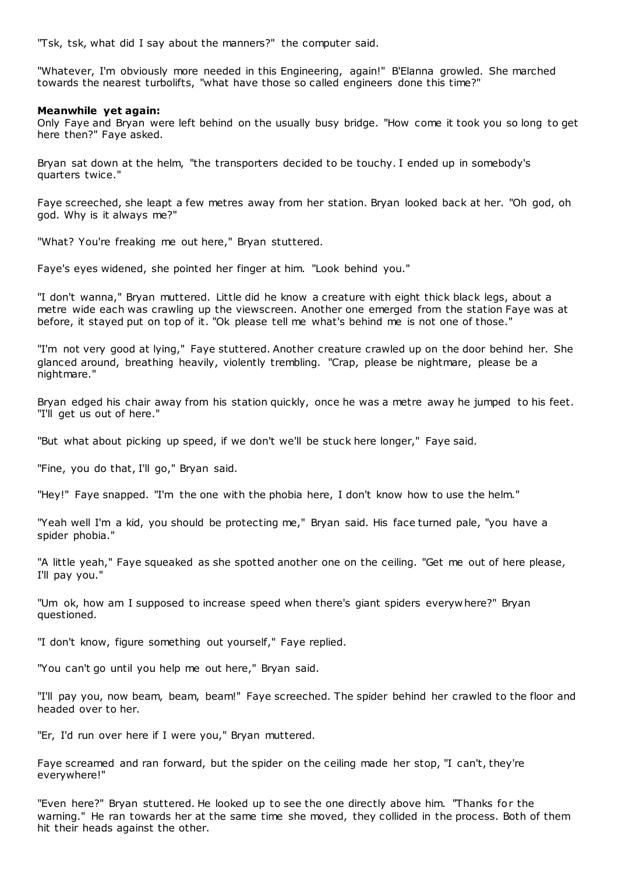"Tsk, tsk, what did I say about the manners?" the computer said.

"Whatever, I'm obviously more needed in this Engineering, again!" B'Elanna growled. She marched towards the nearest turbolifts, "what have those so called engineers done this time?"

# **Meanwhile yet again:**

Only Faye and Bryan were left behind on the usually busy bridge. "How come it took you so long to get here then?" Faye asked.

Bryan sat down at the helm, "the transporters decided to be touchy. I ended up in somebody's quarters twice."

Faye screeched, she leapt a few metres away from her station. Bryan looked back at her. "Oh god, oh god. Why is it always me?"

"What? You're freaking me out here," Bryan stuttered.

Faye's eyes widened, she pointed her finger at him. "Look behind you."

"I don't wanna," Bryan muttered. Little did he know a creature with eight thick black legs, about a metre wide each was crawling up the viewscreen. Another one emerged from the station Faye was at before, it stayed put on top of it. "Ok please tell me what's behind me is not one of those."

"I'm not very good at lying," Faye stuttered. Another creature crawled up on the door behind her. She glanced around, breathing heavily, violently trembling. "Crap, please be nightmare, please be a nightmare."

Bryan edged his chair away from his station quickly, once he was a metre away he jumped to his feet. "I'll get us out of here."

"But what about picking up speed, if we don't we'll be stuck here longer," Faye said.

"Fine, you do that, I'll go," Bryan said.

"Hey!" Faye snapped. "I'm the one with the phobia here, I don't know how to use the helm."

"Yeah well I'm a kid, you should be protecting me," Bryan said. His face turned pale, "you have a spider phobia."

"A little yeah," Faye squeaked as she spotted another one on the ceiling. "Get me out of here please, I'll pay you."

"Um ok, how am I supposed to increase speed when there's giant spiders everywhere?" Bryan questioned.

"I don't know, figure something out yourself," Faye replied.

"You can't go until you help me out here," Bryan said.

"I'll pay you, now beam, beam, beam!" Faye screeched. The spider behind her crawled to the floor and headed over to her.

"Er, I'd run over here if I were you," Bryan muttered.

Faye screamed and ran forward, but the spider on the ceiling made her stop, "I can't, they're everywhere!"

"Even here?" Bryan stuttered. He looked up to see the one directly above him. "Thanks for the warning." He ran towards her at the same time she moved, they collided in the process. Both of them hit their heads against the other.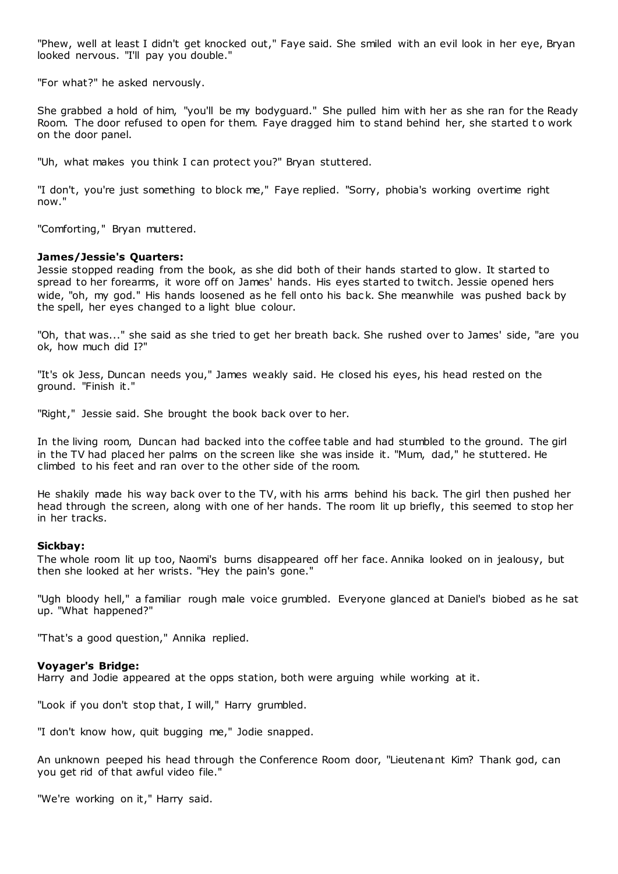"Phew, well at least I didn't get knocked out," Faye said. She smiled with an evil look in her eye, Bryan looked nervous. "I'll pay you double."

"For what?" he asked nervously.

She grabbed a hold of him, "you'll be my bodyguard." She pulled him with her as she ran for the Ready Room. The door refused to open for them. Faye dragged him to stand behind her, she started to work on the door panel.

"Uh, what makes you think I can protect you?" Bryan stuttered.

"I don't, you're just something to block me," Faye replied. "Sorry, phobia's working overtime right now."

"Comforting," Bryan muttered.

# **James/Jessie's Quarters:**

Jessie stopped reading from the book, as she did both of their hands started to glow. It started to spread to her forearms, it wore off on James' hands. His eyes started to twitch. Jessie opened hers wide. "oh. my god." His hands loosened as he fell onto his back. She meanwhile was pushed back by the spell, her eyes changed to a light blue colour.

"Oh, that was..." she said as she tried to get her breath back. She rushed over to James' side, "are you ok, how much did I?"

"It's ok Jess, Duncan needs you," James weakly said. He closed his eyes, his head rested on the ground. "Finish it."

"Right," Jessie said. She brought the book back over to her.

In the living room, Duncan had backed into the coffee table and had stumbled to the ground. The girl in the TV had placed her palms on the screen like she was inside it. "Mum, dad," he stuttered. He climbed to his feet and ran over to the other side of the room.

He shakily made his way back over to the TV, with his arms behind his back. The girl then pushed her head through the screen, along with one of her hands. The room lit up briefly, this seemed to stop her in her tracks.

#### **Sickbay:**

The whole room lit up too, Naomi's burns disappeared off her face. Annika looked on in jealousy, but then she looked at her wrists. "Hey the pain's gone."

"Ugh bloody hell," a familiar rough male voice grumbled. Everyone glanced at Daniel's biobed as he sat up. "What happened?"

"That's a good question," Annika replied.

# **Voyager's Bridge:**

Harry and Jodie appeared at the opps station, both were arguing while working at it.

"Look if you don't stop that, I will," Harry grumbled.

"I don't know how, quit bugging me," Jodie snapped.

An unknown peeped his head through the Conference Room door, "Lieutenant Kim? Thank god, can you get rid of that awful video file."

"We're working on it," Harry said.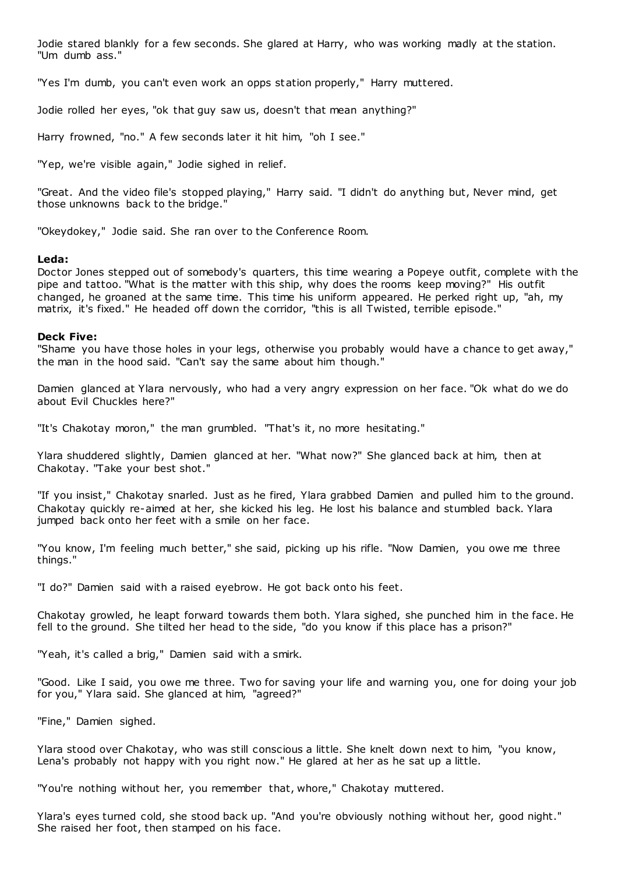Jodie stared blankly for a few seconds. She glared at Harry, who was working madly at the station. "Um dumb ass."

"Yes I'm dumb, you can't even work an opps station properly," Harry muttered.

Jodie rolled her eyes, "ok that guy saw us, doesn't that mean anything?"

Harry frowned, "no." A few seconds later it hit him, "oh I see."

"Yep, we're visible again," Jodie sighed in relief.

"Great. And the video file's stopped playing," Harry said. "I didn't do anything but, Never mind, get those unknowns back to the bridge."

"Okeydokey," Jodie said. She ran over to the Conference Room.

# **Leda:**

Doctor Jones stepped out of somebody's quarters, this time wearing a Popeye outfit, complete with the pipe and tattoo. "What is the matter with this ship, why does the rooms keep moving?" His outfit changed, he groaned at the same time. This time his uniform appeared. He perked right up, "ah, my matrix, it's fixed." He headed off down the corridor, "this is all Twisted, terrible episode."

# **Deck Five:**

"Shame you have those holes in your legs, otherwise you probably would have a chance to get away," the man in the hood said. "Can't say the same about him though."

Damien glanced at Ylara nervously, who had a very angry expression on her face. "Ok what do we do about Evil Chuckles here?"

"It's Chakotay moron," the man grumbled. "That's it, no more hesitating."

Ylara shuddered slightly, Damien glanced at her. "What now?" She glanced back at him, then at Chakotay. "Take your best shot."

"If you insist," Chakotay snarled. Just as he fired, Ylara grabbed Damien and pulled him to the ground. Chakotay quickly re-aimed at her, she kicked his leg. He lost his balance and stumbled back. Ylara jumped back onto her feet with a smile on her face.

"You know, I'm feeling much better," she said, picking up his rifle. "Now Damien, you owe me three things."

"I do?" Damien said with a raised eyebrow. He got back onto his feet.

Chakotay growled, he leapt forward towards them both. Ylara sighed, she punched him in the face. He fell to the ground. She tilted her head to the side, "do you know if this place has a prison?"

"Yeah, it's called a brig," Damien said with a smirk.

"Good. Like I said, you owe me three. Two for saving your life and warning you, one for doing your job for you," Ylara said. She glanced at him, "agreed?"

"Fine," Damien sighed.

Ylara stood over Chakotay, who was still conscious a little. She knelt down next to him, "you know, Lena's probably not happy with you right now." He glared at her as he sat up a little.

"You're nothing without her, you remember that, whore," Chakotay muttered.

Ylara's eyes turned cold, she stood back up. "And you're obviously nothing without her, good night." She raised her foot, then stamped on his face.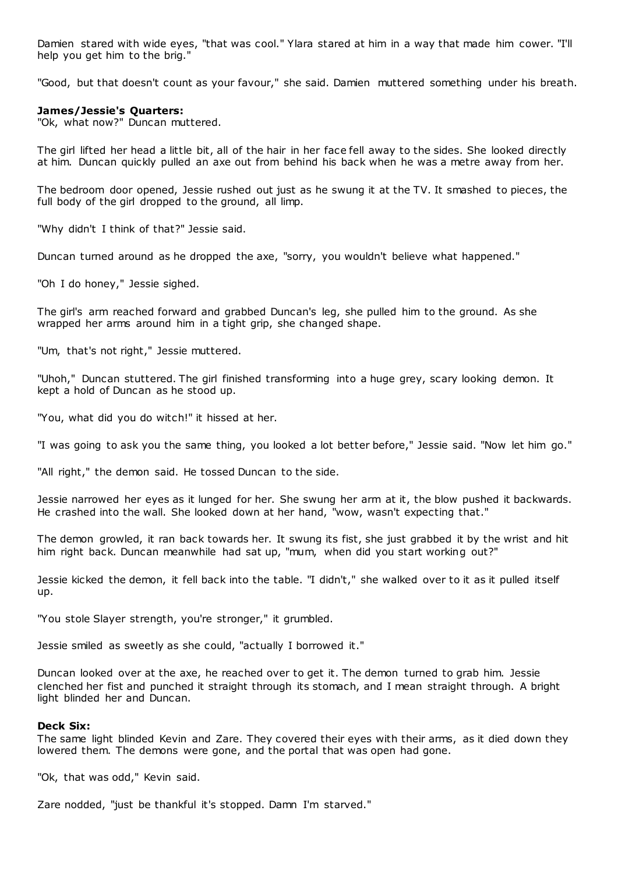Damien stared with wide eyes, "that was cool." Ylara stared at him in a way that made him cower. "I'll help you get him to the brig."

"Good, but that doesn't count as your favour," she said. Damien muttered something under his breath.

# **James/Jessie's Quarters:**

"Ok, what now?" Duncan muttered.

The girl lifted her head a little bit, all of the hair in her face fell away to the sides. She looked directly at him. Duncan quickly pulled an axe out from behind his back when he was a metre away from her.

The bedroom door opened, Jessie rushed out just as he swung it at the TV. It smashed to pieces, the full body of the girl dropped to the ground, all limp.

"Why didn't I think of that?" Jessie said.

Duncan turned around as he dropped the axe, "sorry, you wouldn't believe what happened."

"Oh I do honey," Jessie sighed.

The girl's arm reached forward and grabbed Duncan's leg, she pulled him to the ground. As she wrapped her arms around him in a tight grip, she changed shape.

"Um, that's not right," Jessie muttered.

"Uhoh," Duncan stuttered. The girl finished transforming into a huge grey, scary looking demon. It kept a hold of Duncan as he stood up.

"You, what did you do witch!" it hissed at her.

"I was going to ask you the same thing, you looked a lot better before," Jessie said. "Now let him go."

"All right," the demon said. He tossed Duncan to the side.

Jessie narrowed her eyes as it lunged for her. She swung her arm at it, the blow pushed it backwards. He crashed into the wall. She looked down at her hand, "wow, wasn't expecting that."

The demon growled, it ran back towards her. It swung its fist, she just grabbed it by the wrist and hit him right back. Duncan meanwhile had sat up, "mum, when did you start working out?"

Jessie kicked the demon, it fell back into the table. "I didn't," she walked over to it as it pulled itself up.

"You stole Slayer strength, you're stronger," it grumbled.

Jessie smiled as sweetly as she could, "actually I borrowed it."

Duncan looked over at the axe, he reached over to get it. The demon turned to grab him. Jessie clenched her fist and punched it straight through its stomach, and I mean straight through. A bright light blinded her and Duncan.

### **Deck Six:**

The same light blinded Kevin and Zare. They covered their eyes with their arms, as it died down they lowered them. The demons were gone, and the portal that was open had gone.

"Ok, that was odd," Kevin said.

Zare nodded, "just be thankful it's stopped. Damn I'm starved."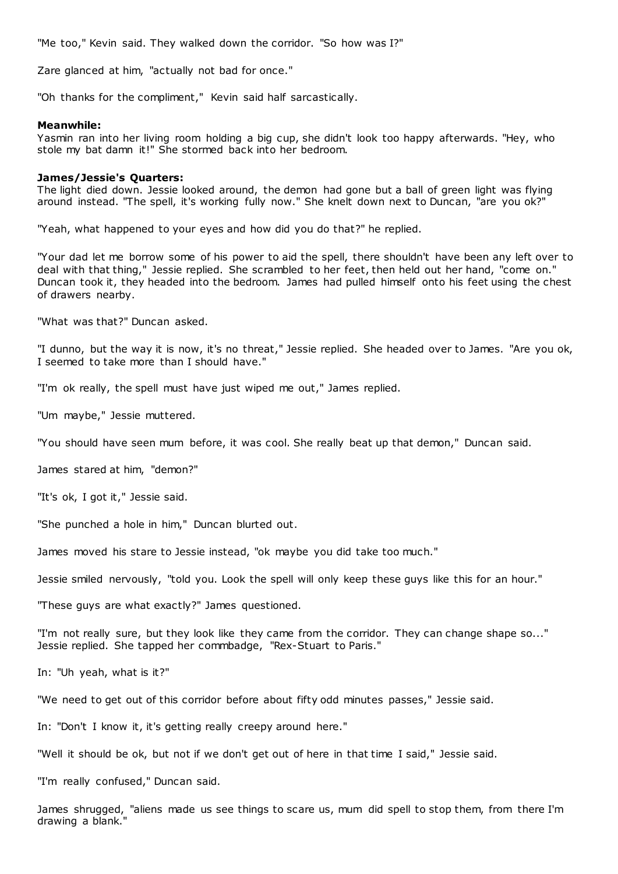"Me too," Kevin said. They walked down the corridor. "So how was I?"

Zare glanced at him, "actually not bad for once."

"Oh thanks for the compliment," Kevin said half sarcastically.

### **Meanwhile:**

Yasmin ran into her living room holding a big cup, she didn't look too happy afterwards. "Hey, who stole my bat damn it!" She stormed back into her bedroom.

### **James/Jessie's Quarters:**

The light died down. Jessie looked around, the demon had gone but a ball of green light was flying around instead. "The spell, it's working fully now." She knelt down next to Duncan, "are you ok?"

"Yeah, what happened to your eyes and how did you do that?" he replied.

"Your dad let me borrow some of his power to aid the spell, there shouldn't have been any left over to deal with that thing," Jessie replied. She scrambled to her feet, then held out her hand, "come on." Duncan took it, they headed into the bedroom. James had pulled himself onto his feet using the chest of drawers nearby.

"What was that?" Duncan asked.

"I dunno, but the way it is now, it's no threat," Jessie replied. She headed over to James. "Are you ok, I seemed to take more than I should have."

"I'm ok really, the spell must have just wiped me out," James replied.

"Um maybe," Jessie muttered.

"You should have seen mum before, it was cool. She really beat up that demon," Duncan said.

James stared at him, "demon?"

"It's ok, I got it," Jessie said.

"She punched a hole in him," Duncan blurted out.

James moved his stare to Jessie instead, "ok maybe you did take too much."

Jessie smiled nervously, "told you. Look the spell will only keep these guys like this for an hour."

"These guys are what exactly?" James questioned.

"I'm not really sure, but they look like they came from the corridor. They can change shape so..." Jessie replied. She tapped her commbadge, "Rex-Stuart to Paris."

In: "Uh yeah, what is it?"

"We need to get out of this corridor before about fifty odd minutes passes," Jessie said.

In: "Don't I know it, it's getting really creepy around here."

"Well it should be ok, but not if we don't get out of here in that time I said," Jessie said.

"I'm really confused," Duncan said.

James shrugged, "aliens made us see things to scare us, mum did spell to stop them, from there I'm drawing a blank."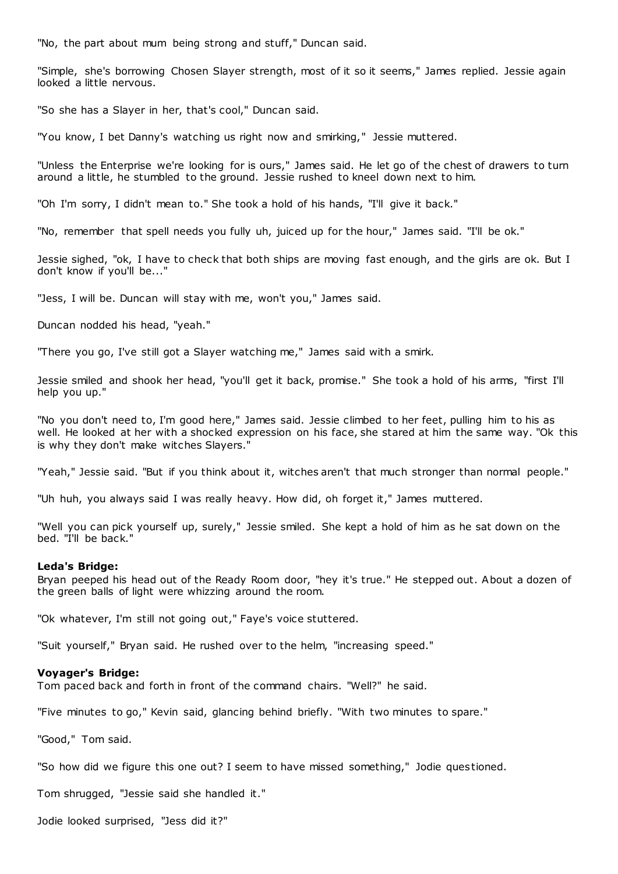"No, the part about mum being strong and stuff," Duncan said.

"Simple, she's borrowing Chosen Slayer strength, most of it so it seems," James replied. Jessie again looked a little nervous.

"So she has a Slayer in her, that's cool," Duncan said.

"You know, I bet Danny's watching us right now and smirking," Jessie muttered.

"Unless the Enterprise we're looking for is ours," James said. He let go of the chest of drawers to turn around a little, he stumbled to the ground. Jessie rushed to kneel down next to him.

"Oh I'm sorry, I didn't mean to." She took a hold of his hands, "I'll give it back."

"No, remember that spell needs you fully uh, juiced up for the hour," James said. "I'll be ok."

Jessie sighed, "ok, I have to check that both ships are moving fast enough, and the girls are ok. But I don't know if you'll be..."

"Jess, I will be. Duncan will stay with me, won't you," James said.

Duncan nodded his head, "yeah."

"There you go, I've still got a Slayer watching me," James said with a smirk.

Jessie smiled and shook her head, "you'll get it back, promise." She took a hold of his arms, "first I'll help you up."

"No you don't need to, I'm good here," James said. Jessie climbed to her feet, pulling him to his as well. He looked at her with a shocked expression on his face, she stared at him the same way. "Ok this is why they don't make witches Slayers."

"Yeah," Jessie said. "But if you think about it, witches aren't that much stronger than normal people."

"Uh huh, you always said I was really heavy. How did, oh forget it," James muttered.

"Well you can pick yourself up, surely," Jessie smiled. She kept a hold of him as he sat down on the bed. "I'll be back."

#### **Leda's Bridge:**

Bryan peeped his head out of the Ready Room door, "hey it's true." He stepped out. About a dozen of the green balls of light were whizzing around the room.

"Ok whatever, I'm still not going out," Faye's voice stuttered.

"Suit yourself," Bryan said. He rushed over to the helm, "increasing speed."

#### **Voyager's Bridge:**

Tom paced back and forth in front of the command chairs. "Well?" he said.

"Five minutes to go," Kevin said, glancing behind briefly. "With two minutes to spare."

"Good," Tom said.

"So how did we figure this one out? I seem to have missed something," Jodie questioned.

Tom shrugged, "Jessie said she handled it."

Jodie looked surprised, "Jess did it?"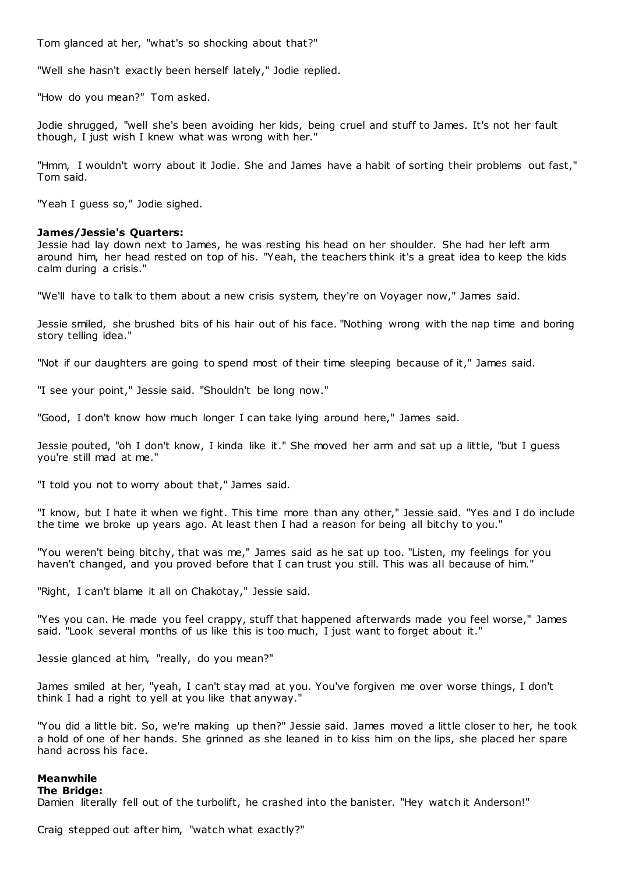Tom glanced at her, "what's so shocking about that?"

"Well she hasn't exactly been herself lately," Jodie replied.

"How do you mean?" Tom asked.

Jodie shrugged, "well she's been avoiding her kids, being cruel and stuff to James. It's not her fault though, I just wish I knew what was wrong with her."

"Hmm, I wouldn't worry about it Jodie. She and James have a habit of sorting their problems out fast," Tom said.

"Yeah I guess so," Jodie sighed.

# **James/Jessie's Quarters:**

Jessie had lay down next to James, he was resting his head on her shoulder. She had her left arm around him, her head rested on top of his. "Yeah, the teachers think it's a great idea to keep the kids calm during a crisis."

"We'll have to talk to them about a new crisis system, they're on Voyager now," James said.

Jessie smiled, she brushed bits of his hair out of his face. "Nothing wrong with the nap time and boring story telling idea."

"Not if our daughters are going to spend most of their time sleeping because of it," James said.

"I see your point," Jessie said. "Shouldn't be long now."

"Good, I don't know how much longer I can take lying around here," James said.

Jessie pouted, "oh I don't know, I kinda like it." She moved her arm and sat up a little, "but I guess you're still mad at me."

"I told you not to worry about that," James said.

"I know, but I hate it when we fight. This time more than any other," Jessie said. "Yes and I do include the time we broke up years ago. At least then I had a reason for being all bitchy to you."

"You weren't being bitchy, that was me," James said as he sat up too. "Listen, my feelings for you haven't changed, and you proved before that I can trust you still. This was all because of him.

"Right, I can't blame it all on Chakotay," Jessie said.

"Yes you can. He made you feel crappy, stuff that happened afterwards made you feel worse," James said. "Look several months of us like this is too much, I just want to forget about it."

Jessie glanced at him, "really, do you mean?"

James smiled at her, "yeah, I can't stay mad at you. You've forgiven me over worse things, I don't think I had a right to yell at you like that anyway."

"You did a little bit. So, we're making up then?" Jessie said. James moved a little closer to her, he took a hold of one of her hands. She grinned as she leaned in to kiss him on the lips, she placed her spare hand across his face.

# **Meanwhile**

#### **The Bridge:**

Damien literally fell out of the turbolift, he crashed into the banister. "Hey watch it Anderson!"

Craig stepped out after him, "watch what exactly?"